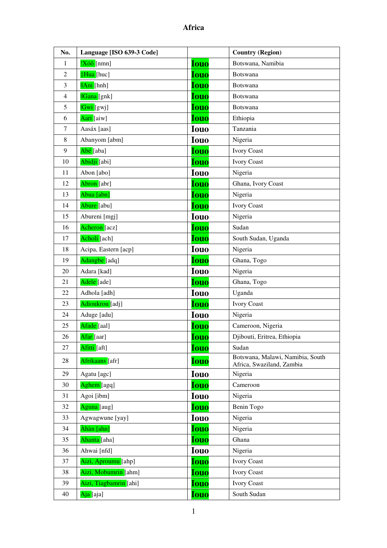| No.            | Language [ISO 639-3 Code] |             | <b>Country (Region)</b>                                       |
|----------------|---------------------------|-------------|---------------------------------------------------------------|
| 1              | $ X$ óõ [nmn]             | <b>Iouo</b> | Botswana, Namibia                                             |
| $\mathfrak{2}$ | #Hua [huc]                | <b>Iouo</b> | <b>Botswana</b>                                               |
| 3              | <b>IAni</b> [hnh]         | <b>Iouo</b> | <b>Botswana</b>                                               |
| 4              | <b>IGana</b> [gnk]        | Iouo        | <b>Botswana</b>                                               |
| 5              | <mark>lGwi</mark> [gwj]   | <b>Iouo</b> | <b>Botswana</b>                                               |
| 6              | Aari [aiw]                | <b>Iouo</b> | Ethiopia                                                      |
| 7              | Aasáx [aas]               | <b>Iouo</b> | Tanzania                                                      |
| 8              | Abanyom [abm]             | <b>Iouo</b> | Nigeria                                                       |
| 9              | Abé [aba]                 | <b>Iouo</b> | <b>Ivory Coast</b>                                            |
| 10             | Abidji [abi]              | <b>Iouo</b> | <b>Ivory Coast</b>                                            |
| 11             | Abon [abo]                | <b>Iouo</b> | Nigeria                                                       |
| 12             | Abron [abr]               | <b>Iouo</b> | Ghana, Ivory Coast                                            |
| 13             | Abua [abn]                | <b>Iouo</b> | Nigeria                                                       |
| 14             | Abure [abu]               | <b>Iouo</b> | <b>Ivory Coast</b>                                            |
| 15             | Abureni [mgj]             | <b>Iouo</b> | Nigeria                                                       |
| 16             | Acheron [acz]             | <b>Iouo</b> | Sudan                                                         |
| 17             | Acholi [ach]              | <b>Iouo</b> | South Sudan, Uganda                                           |
| 18             | Acipa, Eastern [acp]      | <b>Iouo</b> | Nigeria                                                       |
| 19             | Adangbe [adq]             | <b>Iouo</b> | Ghana, Togo                                                   |
| 20             | Adara [kad]               | <b>Iouo</b> | Nigeria                                                       |
| 21             | Adele [ade]               | <b>Iouo</b> | Ghana, Togo                                                   |
| 22             | Adhola [adh]              | <b>Iouo</b> | Uganda                                                        |
| 23             | Adioukrou [adj]           | <b>Iouo</b> | <b>Ivory Coast</b>                                            |
| 24             | Aduge [adu]               | <b>Iouo</b> | Nigeria                                                       |
| 25             | Afade [aal]               | Iouo        | Cameroon, Nigeria                                             |
| 26             | Afar [aar]                | <u>Iouo</u> | Djibouti, Eritrea, Ethiopia                                   |
| 27             | Afitti [aft]              | <b>Iouo</b> | Sudan                                                         |
| 28             | Afrikaans [afr]           | <b>Iouo</b> | Botswana, Malawi, Namibia, South<br>Africa, Swaziland, Zambia |
| 29             | Agatu [agc]               | <b>Iouo</b> | Nigeria                                                       |
| 30             | Aghem [agq]               | <b>Iouo</b> | Cameroon                                                      |
| 31             | Agoi [ibm]                | <b>Iouo</b> | Nigeria                                                       |
| 32             | Aguna [aug]               | <b>Iouo</b> | Benin Togo                                                    |
| 33             | Agwagwune [yay]           | <b>Iouo</b> | Nigeria                                                       |
| 34             | Àhàn [ahn]                | <b>Iouo</b> | Nigeria                                                       |
| 35             | Ahanta [aha]              | <b>Iouo</b> | Ghana                                                         |
| 36             | Ahwai [nfd]               | <b>Iouo</b> | Nigeria                                                       |
| 37             | Aizi, Aproumu [ahp]       | <b>Iouo</b> | <b>Ivory Coast</b>                                            |
| 38             | Aizi, Mobumrin [ahm]      | <b>Iouo</b> | <b>Ivory Coast</b>                                            |
| 39             | Aizi, Tiagbamrin [ahi]    | <b>Iouo</b> | <b>Ivory Coast</b>                                            |
| 40             | Aja [aja]                 | <b>Iouo</b> | South Sudan                                                   |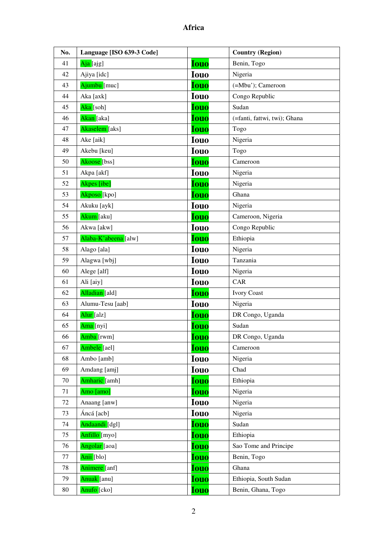| No.    | Language [ISO 639-3 Code] |             | <b>Country (Region)</b>      |
|--------|---------------------------|-------------|------------------------------|
| 41     | Aja [ajg]                 | <b>Iouo</b> | Benin, Togo                  |
| 42     | Ajiya [idc]               | <b>Iouo</b> | Nigeria                      |
| 43     | Ajumbu [muc]              | <b>Iouo</b> | (=Mbu'); Cameroon            |
| 44     | Aka [axk]                 | <b>Iouo</b> | Congo Republic               |
| 45     | Aka [soh]                 | <b>Iouo</b> | Sudan                        |
| 46     | Akan [aka]                | <b>Iouo</b> | (=fanti, fattwi, twi); Ghana |
| 47     | Akaselem [aks]            | <b>Iouo</b> | Togo                         |
| 48     | Ake [aik]                 | <b>Iouo</b> | Nigeria                      |
| 49     | Akebu [keu]               | <b>Iouo</b> | Togo                         |
| 50     | Akoose <sup>[bss]</sup>   | <b>Iouo</b> | Cameroon                     |
| 51     | Akpa [akf]                | <b>Iouo</b> | Nigeria                      |
| 52     | Akpes [ibe]               | <b>Iouo</b> | Nigeria                      |
| 53     | Akposo [kpo]              | <b>Iouo</b> | Ghana                        |
| 54     | Akuku [ayk]               | <b>Iouo</b> | Nigeria                      |
| 55     | Akum [aku]                | <b>Iouo</b> | Cameroon, Nigeria            |
| 56     | Akwa [akw]                | <b>Iouo</b> | Congo Republic               |
| 57     | Alaba-K'abeena [alw]      | <b>Iouo</b> | Ethiopia                     |
| 58     | Alago [ala]               | <b>Iouo</b> | Nigeria                      |
| 59     | Alagwa [wbj]              | <b>Iouo</b> | Tanzania                     |
| 60     | Alege [alf]               | <b>Iouo</b> | Nigeria                      |
| 61     | Ali [aiy]                 | <b>Iouo</b> | CAR                          |
| 62     | Alladian [ald]            | <b>Iouo</b> | <b>Ivory Coast</b>           |
| 63     | Alumu-Tesu [aab]          | <b>Iouo</b> | Nigeria                      |
| 64     | Alur [alz]                | <b>Iouo</b> | DR Congo, Uganda             |
| 65     | Ama [nyi]                 | <b>Iouo</b> | Sudan                        |
| 66     | Amba [rwm]                | <b>Iouo</b> | DR Congo, Uganda             |
| 67     | Ambele [ael]              | <b>Iouo</b> | Cameroon                     |
| 68     | Ambo [amb]                | <b>Iouo</b> | Nigeria                      |
| 69     | Amdang [amj]              | <b>Iouo</b> | Chad                         |
| $70\,$ | Amharic [amh]             | <b>Iouo</b> | Ethiopia                     |
| 71     | Amo [amo]                 | <b>Iouo</b> | Nigeria                      |
| 72     | Anaang [anw]              | <b>Iouo</b> | Nigeria                      |
| 73     | Áncá [acb]                | <b>Iouo</b> | Nigeria                      |
| 74     | Andaandi [dgl]            | <b>Iouo</b> | Sudan                        |
| 75     | Anfillo [myo]             | <b>Iouo</b> | Ethiopia                     |
| 76     | Angolar [aoa]             | <b>Iouo</b> | Sao Tome and Principe        |
| 77     | Anii [blo]                | <b>Iouo</b> | Benin, Togo                  |
| 78     | Animere [anf]             | <b>Iouo</b> | Ghana                        |
| 79     | Anuak [anu]               | <b>Iouo</b> | Ethiopia, South Sudan        |
| 80     | Anufo [cko]               | <b>Iouo</b> | Benin, Ghana, Togo           |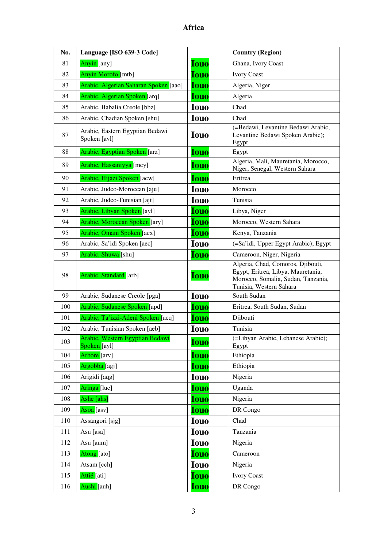| No. | Language [ISO 639-3 Code]                       |             | <b>Country (Region)</b>                                                                                                                  |
|-----|-------------------------------------------------|-------------|------------------------------------------------------------------------------------------------------------------------------------------|
| 81  | Anyin [any]                                     | <b>Iouo</b> | Ghana, Ivory Coast                                                                                                                       |
| 82  | Anyin Morofo [mtb]                              | <b>Iouo</b> | <b>Ivory Coast</b>                                                                                                                       |
| 83  | Arabic, Algerian Saharan Spoken [aao]           | <b>Iouo</b> | Algeria, Niger                                                                                                                           |
| 84  | Arabic, Algerian Spoken [arq]                   | <b>Iouo</b> | Algeria                                                                                                                                  |
| 85  | Arabic, Babalia Creole [bbz]                    | <b>Iouo</b> | Chad                                                                                                                                     |
| 86  | Arabic, Chadian Spoken [shu]                    | <b>Iouo</b> | Chad                                                                                                                                     |
| 87  | Arabic, Eastern Egyptian Bedawi<br>Spoken [avl] | <b>Iouo</b> | (=Bedawi, Levantine Bedawi Arabic,<br>Levantine Bedawi Spoken Arabic);<br>Egypt                                                          |
| 88  | Arabic, Egyptian Spoken [arz]                   | <b>Iouo</b> | Egypt                                                                                                                                    |
| 89  | Arabic, Hassaniyya [mey]                        | <b>Iouo</b> | Algeria, Mali, Mauretania, Morocco,<br>Niger, Senegal, Western Sahara                                                                    |
| 90  | Arabic, Hijazi Spoken [acw]                     | <b>Iouo</b> | Eritrea                                                                                                                                  |
| 91  | Arabic, Judeo-Moroccan [aju]                    | <b>Iouo</b> | Morocco                                                                                                                                  |
| 92  | Arabic, Judeo-Tunisian [ajt]                    | <b>Iouo</b> | Tunisia                                                                                                                                  |
| 93  | Arabic, Libyan Spoken [ayl]                     | <b>Iouo</b> | Libya, Niger                                                                                                                             |
| 94  | Arabic, Moroccan Spoken [ary]                   | <b>Iouo</b> | Morocco, Western Sahara                                                                                                                  |
| 95  | Arabic, Omani Spoken [acx]                      | <b>Iouo</b> | Kenya, Tanzania                                                                                                                          |
| 96  | Arabic, Sa'idi Spoken [aec]                     | <b>Iouo</b> | (=Sa'idi, Upper Egypt Arabic); Egypt                                                                                                     |
| 97  | Arabic, Shuwa [shu]                             | <b>Iouo</b> | Cameroon, Niger, Nigeria                                                                                                                 |
| 98  | Arabic, Standard [arb]                          | <b>Iouo</b> | Algeria, Chad, Comoros, Djibouti,<br>Egypt, Eritrea, Libya, Mauretania,<br>Morocco, Somalia, Sudan, Tanzania,<br>Tunisia, Western Sahara |
| 99  | Arabic, Sudanese Creole [pga]                   | <b>Iouo</b> | South Sudan                                                                                                                              |
| 100 | Arabic, Sudanese Spoken [apd]                   | <b>Iouo</b> | Eritrea, South Sudan, Sudan                                                                                                              |
| 101 | Arabic, Ta'izzi-Adeni Spoken [acq]              | <b>Iouo</b> | Djibouti                                                                                                                                 |
| 102 | Arabic, Tunisian Spoken [aeb]                   | <b>Iouo</b> | Tunisia                                                                                                                                  |
| 103 | Arabic, Western Egyptian Bedawi<br>Spoken [ayl] | <u>Iouo</u> | (=Libyan Arabic, Lebanese Arabic);<br>Egypt                                                                                              |
| 104 | Arbore [arv]                                    | <b>Iouo</b> | Ethiopia                                                                                                                                 |
| 105 | Argobba <sup>[</sup> agj]                       | <b>Iouo</b> | Ethiopia                                                                                                                                 |
| 106 | Arigidi [aqg]                                   | <b>Iouo</b> | Nigeria                                                                                                                                  |
| 107 | Aringa <sup>[luc]</sup>                         | <b>Iouo</b> | Uganda                                                                                                                                   |
| 108 | Ashe [ahs]                                      | <b>Iouo</b> | Nigeria                                                                                                                                  |
| 109 | Asoa <sup>[</sup> asv]                          | <b>Iouo</b> | DR Congo                                                                                                                                 |
| 110 | Assangori [sjg]                                 | <b>Iouo</b> | Chad                                                                                                                                     |
| 111 | Asu [asa]                                       | <b>Iouo</b> | Tanzania                                                                                                                                 |
| 112 | Asu [aum]                                       | <b>Iouo</b> | Nigeria                                                                                                                                  |
| 113 | Atong [ato]                                     | <b>Iouo</b> | Cameroon                                                                                                                                 |
| 114 | Atsam [cch]                                     | <b>Iouo</b> | Nigeria                                                                                                                                  |
| 115 | Attié [ati]                                     | <b>Iouo</b> | <b>Ivory Coast</b>                                                                                                                       |
| 116 | Aushi [auh]                                     | <b>Iouo</b> | DR Congo                                                                                                                                 |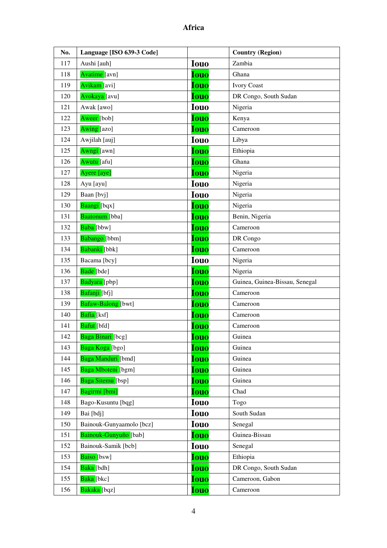| No. | Language [ISO 639-3 Code] |             | <b>Country (Region)</b>        |
|-----|---------------------------|-------------|--------------------------------|
| 117 | Aushi [auh]               | <b>Iouo</b> | Zambia                         |
| 118 | Avatime [avn]             | <b>Iouo</b> | Ghana                          |
| 119 | Avikam [avi]              | <b>Iouo</b> | <b>Ivory Coast</b>             |
| 120 | Avokaya [avu]             | Iouo        | DR Congo, South Sudan          |
| 121 | Awak [awo]                | <b>Iouo</b> | Nigeria                        |
| 122 | Aweer [bob]               | <b>Iouo</b> | Kenya                          |
| 123 | Awing [azo]               | <b>Iouo</b> | Cameroon                       |
| 124 | Awjilah [auj]             | <b>Iouo</b> | Libya                          |
| 125 | Awngi [awn]               | <b>Iouo</b> | Ethiopia                       |
| 126 | Awutu [afu]               | <b>Iouo</b> | Ghana                          |
| 127 | Ayere [aye]               | Iouo        | Nigeria                        |
| 128 | Ayu [ayu]                 | <b>Iouo</b> | Nigeria                        |
| 129 | Baan [bvj]                | <b>Iouo</b> | Nigeria                        |
| 130 | Baangi [bqx]              | <b>Iouo</b> | Nigeria                        |
| 131 | Baatonum [bba]            | <b>Iouo</b> | Benin, Nigeria                 |
| 132 | Baba [bbw]                | <b>Iouo</b> | Cameroon                       |
| 133 | Babango [bbm]             | <b>Iouo</b> | DR Congo                       |
| 134 | Babanki [bbk]             | <b>Iouo</b> | Cameroon                       |
| 135 | Bacama [bcy]              | <b>Iouo</b> | Nigeria                        |
| 136 | Bade [bde]                | <b>Iouo</b> | Nigeria                        |
| 137 | Badyara [pbp]             | <b>Iouo</b> | Guinea, Guinea-Bissau, Senegal |
| 138 | Bafanji [bfj]             | <b>Iouo</b> | Cameroon                       |
| 139 | Bafaw-Balong [bwt]        | <b>Iouo</b> | Cameroon                       |
| 140 | Bafia [ksf]               | <b>Iouo</b> | Cameroon                       |
| 141 | Bafut [bfd]               | <b>Iouo</b> | Cameroon                       |
| 142 | Baga Binari [bcg]         | <b>Iouo</b> | Guinea                         |
| 143 | Baga Koga [bgo]           | <b>Iouo</b> | Guinea                         |
| 144 | Baga Manduri [bmd]        | <b>Iouo</b> | Guinea                         |
| 145 | Baga Mboteni [bgm]        | <b>Iouo</b> | Guinea                         |
| 146 | Baga Sitemu [bsp]         | <b>Iouo</b> | Guinea                         |
| 147 | Bagirmi [bmi]             | <b>Iouo</b> | Chad                           |
| 148 | Bago-Kusuntu [bqg]        | <b>Iouo</b> | Togo                           |
| 149 | Bai [bdj]                 | <b>Iouo</b> | South Sudan                    |
| 150 | Bainouk-Gunyaamolo [bcz]  | <b>Iouo</b> | Senegal                        |
| 151 | Bainouk-Gunyuño [bab]     | <b>Iouo</b> | Guinea-Bissau                  |
| 152 | Bainouk-Samik [bcb]       | <b>Iouo</b> | Senegal                        |
| 153 | Baiso [bsw]               | <b>Iouo</b> | Ethiopia                       |
| 154 | Baka [bdh]                | <b>Iouo</b> | DR Congo, South Sudan          |
| 155 | Baka [bkc]                | <b>Iouo</b> | Cameroon, Gabon                |
| 156 | Bakaka [bqz]              | <b>Iouo</b> | Cameroon                       |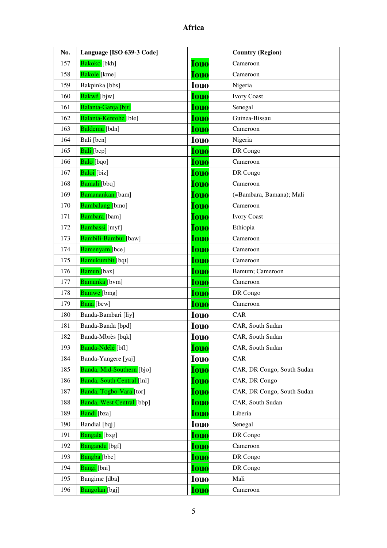| No. | Language [ISO 639-3 Code]  |             | <b>Country (Region)</b>    |
|-----|----------------------------|-------------|----------------------------|
| 157 | Bakoko [bkh]               | <b>Iouo</b> | Cameroon                   |
| 158 | Bakole [kme]               | <b>Iouo</b> | Cameroon                   |
| 159 | Bakpinka [bbs]             | <b>Iouo</b> | Nigeria                    |
| 160 | Bakwé [bjw]                | <b>Iouo</b> | <b>Ivory Coast</b>         |
| 161 | Balanta-Ganja [bjt]        | <b>Iouo</b> | Senegal                    |
| 162 | Balanta-Kentohe [ble]      | <b>Iouo</b> | Guinea-Bissau              |
| 163 | Baldemu [bdn]              | <b>Iouo</b> | Cameroon                   |
| 164 | Bali [bcn]                 | <b>Iouo</b> | Nigeria                    |
| 165 | Bali [bcp]                 | <b>Iouo</b> | DR Congo                   |
| 166 | Balo [bqo]                 | <b>Iouo</b> | Cameroon                   |
| 167 | Baloi [biz]                | <b>Iouo</b> | DR Congo                   |
| 168 | Bamali [bbq]               | <b>Iouo</b> | Cameroon                   |
| 169 | Bamanankan [bam]           | <b>Iouo</b> | (=Bambara, Bamana); Mali   |
| 170 | <b>Bambalang</b> [bmo]     | <b>Iouo</b> | Cameroon                   |
| 171 | Bambara [bam]              | <b>Iouo</b> | <b>Ivory Coast</b>         |
| 172 | Bambassi [myf]             | <b>Iouo</b> | Ethiopia                   |
| 173 | Bambili-Bambui [baw]       | <b>Iouo</b> | Cameroon                   |
| 174 | Bamenyam [bce]             | <b>Iouo</b> | Cameroon                   |
| 175 | Bamukumbit [bqt]           | <b>Iouo</b> | Cameroon                   |
| 176 | Bamun [bax]                | <b>Iouo</b> | Bamum; Cameroon            |
| 177 | Bamunka [bvm]              | <b>Iouo</b> | Cameroon                   |
| 178 | <b>Bamwe</b> [bmg]         | <b>Iouo</b> | DR Congo                   |
| 179 | Bana [bcw]                 | <b>Iouo</b> | Cameroon                   |
| 180 | Banda-Bambari [liy]        | <b>Iouo</b> | CAR                        |
| 181 | Banda-Banda [bpd]          | <b>Iouo</b> | CAR, South Sudan           |
| 182 | Banda-Mbrès [bqk]          | Iouo        | CAR, South Sudan           |
| 193 | Banda-Ndélé [bfl]          | <b>Iouo</b> | CAR, South Sudan           |
| 184 | Banda-Yangere [yaj]        | <b>Iouo</b> | CAR                        |
| 185 | Banda, Mid-Southern [bjo]  | <b>Iouo</b> | CAR, DR Congo, South Sudan |
| 186 | Banda, South Central [1n1] | <b>Iouo</b> | CAR, DR Congo              |
| 187 | Banda, Togbo-Vara [tor]    | <b>Iouo</b> | CAR, DR Congo, South Sudan |
| 188 | Banda, West Central [bbp]  | <b>Iouo</b> | CAR, South Sudan           |
| 189 | Bandi [bza]                | <b>Iouo</b> | Liberia                    |
| 190 | Bandial [bqj]              | <b>Iouo</b> | Senegal                    |
| 191 | Bangala [bxg]              | <b>Iouo</b> | DR Congo                   |
| 192 | Bangandu [bgf]             | <b>Iouo</b> | Cameroon                   |
| 193 | Bangba [bbe]               | <b>Iouo</b> | DR Congo                   |
| 194 | Bangi [bni]                | <b>Iouo</b> | DR Congo                   |
| 195 | Bangime [dba]              | <b>Iouo</b> | Mali                       |
| 196 | Bangolan [bgj]             | <b>Iouo</b> | Cameroon                   |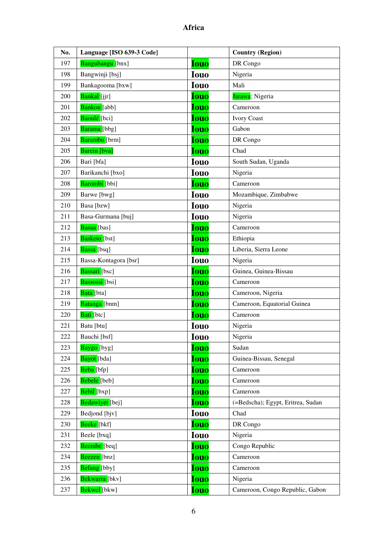| No. | Language [ISO 639-3 Code]    |             | <b>Country (Region)</b>           |
|-----|------------------------------|-------------|-----------------------------------|
| 197 | Bangubangu [bnx]             | <b>Iouo</b> | DR Congo                          |
| 198 | Bangwinji [bsj]              | <b>Iouo</b> | Nigeria                           |
| 199 | Bankagooma [bxw]             | <b>Iouo</b> | Mali                              |
| 200 | Bankal [jjr]                 | <b>Iouo</b> | Jarawa; Nigeria                   |
| 201 | Bankon [abb]                 | <b>Iouo</b> | Cameroon                          |
| 202 | Baoulé [bci]                 | <b>Iouo</b> | <b>Ivory Coast</b>                |
| 203 | Barama [bbg]                 | <b>Iouo</b> | Gabon                             |
| 204 | Barambu [brm]                | <b>Iouo</b> | DR Congo                          |
| 205 | Barein [bva]                 | <b>Iouo</b> | Chad                              |
| 206 | Bari [bfa]                   | <b>Iouo</b> | South Sudan, Uganda               |
| 207 | Barikanchi [bxo]             | <b>Iouo</b> | Nigeria                           |
| 208 | Barombi [bbi]                | <b>Iouo</b> | Cameroon                          |
| 209 | Barwe [bwg]                  | <b>Iouo</b> | Mozambique, Zimbabwe              |
| 210 | Basa [bzw]                   | <b>Iouo</b> | Nigeria                           |
| 211 | Basa-Gurmana [buj]           | <b>Iouo</b> | Nigeria                           |
| 212 | Basaa [bas]                  | <b>Iouo</b> | Cameroon                          |
| 213 | Basketo [bst]                | <b>Iouo</b> | Ethiopia                          |
| 214 | Bassa [bsq]                  | <b>Iouo</b> | Liberia, Sierra Leone             |
| 215 | Bassa-Kontagora [bsr]        | <b>Iouo</b> | Nigeria                           |
| 216 | Bassari [bsc]                | <b>Iouo</b> | Guinea, Guinea-Bissau             |
| 217 | Bassossi [bsi]               | <b>Iouo</b> | Cameroon                          |
| 218 | Bata [bta]                   | <b>Iouo</b> | Cameroon, Nigeria                 |
| 219 | Batanga [bnm]                | <b>Iouo</b> | Cameroon, Equatorial Guinea       |
| 220 | Bati [btc]                   | <b>Iouo</b> | Cameroon                          |
| 221 | Batu [btu]                   | <b>Iouo</b> | Nigeria                           |
| 222 | Bauchi [bsf]                 | <b>Iouo</b> | Nigeria                           |
| 223 | Baygo [byg]                  | <b>Iouo</b> | Sudan                             |
| 224 | Bayot [bda]                  | <b>Iouo</b> | Guinea-Bissau, Senegal            |
| 225 | Beba [bfp]                   | <b>Iouo</b> | Cameroon                          |
| 226 | Bebele [beb]                 | <b>Iouo</b> | Cameroon                          |
| 227 | Bebil [bxp]                  | <b>Iouo</b> | Cameroon                          |
| 228 | Bedawiyet [bej]              | <b>Iouo</b> | (=Bedscha); Egypt, Eritrea, Sudan |
| 229 | Bedjond [bjv]                | <b>Iouo</b> | Chad                              |
| 230 | Beeke [bkf]                  | <b>Iouo</b> | DR Congo                          |
| 231 | Beele [bxq]                  | <b>Iouo</b> | Nigeria                           |
| 232 | Beembe [beq]                 | <b>Iouo</b> | Congo Republic                    |
| 234 | Beezen [bnz]                 | <b>Iouo</b> | Cameroon                          |
| 235 | Befang [bby]                 | <b>Iouo</b> | Cameroon                          |
| 236 | <mark>Bekwarra [</mark> bkv] | <b>Iouo</b> | Nigeria                           |
| 237 | Bekwel [bkw]                 | <b>Iouo</b> | Cameroon, Congo Republic, Gabon   |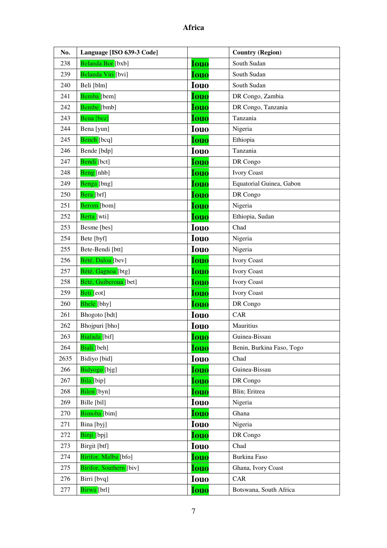| No.  | Language [ISO 639-3 Code]     |             | <b>Country (Region)</b>   |
|------|-------------------------------|-------------|---------------------------|
| 238  | Belanda Bor [bxb]             | <b>Iouo</b> | South Sudan               |
| 239  | Belanda Viri [bvi]            | <b>Iouo</b> | South Sudan               |
| 240  | Beli [blm]                    | <b>Iouo</b> | South Sudan               |
| 241  | Bemba [bem]                   | <b>Iouo</b> | DR Congo, Zambia          |
| 242  | Bembe [bmb]                   | <b>Iouo</b> | DR Congo, Tanzania        |
| 243  | Bena [bez]                    | <b>Iouo</b> | Tanzania                  |
| 244  | Bena [yun]                    | <b>Iouo</b> | Nigeria                   |
| 245  | Bench [bcq]                   | <b>Iouo</b> | Ethiopia                  |
| 246  | Bende [bdp]                   | <b>Iouo</b> | Tanzania                  |
| 247  | Bendi [bct]                   | <b>Iouo</b> | DR Congo                  |
| 248  | Beng [nhb]                    | <b>Iouo</b> | <b>Ivory Coast</b>        |
| 249  | Benga [bng]                   | <b>Iouo</b> | Equatorial Guinea, Gabon  |
| 250  | Bera [brf]                    | <b>Iouo</b> | DR Congo                  |
| 251  | Berom [bom]                   | <b>Iouo</b> | Nigeria                   |
| 252  | Berta [wti]                   | <b>Iouo</b> | Ethiopia, Sudan           |
| 253  | Besme [bes]                   | <b>Iouo</b> | Chad                      |
| 254  | Bete [byf]                    | <b>Iouo</b> | Nigeria                   |
| 255  | Bete-Bendi [btt]              | <b>Iouo</b> | Nigeria                   |
| 256  | Bété, Daloa [bev]             | <b>Iouo</b> | <b>Ivory Coast</b>        |
| 257  | Bété, Gagnoa <sup>[btg]</sup> | <b>Iouo</b> | <b>Ivory Coast</b>        |
| 258  | Bété, Guiberoua [bet]         | <b>Iouo</b> | <b>Ivory Coast</b>        |
| 259  | Beti [eot]                    | <b>Iouo</b> | <b>Ivory Coast</b>        |
| 260  | Bhele [bhy]                   | <b>Iouo</b> | DR Congo                  |
| 261  | Bhogoto [bdt]                 | <b>Iouo</b> | <b>CAR</b>                |
| 262  | Bhojpuri [bho]                | <b>Iouo</b> | Mauritius                 |
| 263  | Biafada [bif]                 | <b>Iouo</b> | Guinea-Bissau             |
| 264  | Biali [beh]                   | <b>Iouo</b> | Benin, Burkina Faso, Togo |
| 2635 | Bidiyo [bid]                  | <b>Iouo</b> | Chad                      |
| 266  | Bidyogo [bjg]                 | <b>Iouo</b> | Guinea-Bissau             |
| 267  | Bila [bip]                    | <b>Iouo</b> | DR Congo                  |
| 268  | Bilen [byn]                   | <b>Iouo</b> | Blin; Eritrea             |
| 269  | Bille [bil]                   | <b>Iouo</b> | Nigeria                   |
| 270  | Bimoba [bim]                  | <b>Iouo</b> | Ghana                     |
| 271  | Bina [byj]                    | <b>Iouo</b> | Nigeria                   |
| 272  | Binji [bpj]                   | <b>Iouo</b> | DR Congo                  |
| 273  | Birgit [btf]                  | <b>Iouo</b> | Chad                      |
| 274  | Birifor, Malba [bfo]          | <b>Iouo</b> | Burkina Faso              |
| 275  | Birifor, Southern [biv]       | <b>Iouo</b> | Ghana, Ivory Coast        |
| 276  | Birri [bvq]                   | <b>Iouo</b> | CAR                       |
| 277  | Birwa [brl]                   | <b>Iouo</b> | Botswana, South Africa    |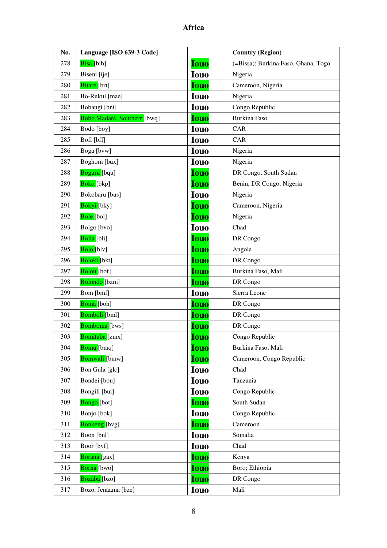| No. | Language [ISO 639-3 Code]   |             | <b>Country (Region)</b>             |
|-----|-----------------------------|-------------|-------------------------------------|
| 278 | Bisa [bib]                  | <b>Iouo</b> | (=Bissa); Burkina Faso, Ghana, Togo |
| 279 | Biseni [ije]                | <b>Iouo</b> | Nigeria                             |
| 280 | Bitare [brt]                | <b>Iouo</b> | Cameroon, Nigeria                   |
| 281 | Bo-Rukul [mae]              | <b>Iouo</b> | Nigeria                             |
| 282 | Bobangi [bni]               | <b>Iouo</b> | Congo Republic                      |
| 283 | Bobo Madaré, Southern [bwq] | <b>Iouo</b> | <b>Burkina Faso</b>                 |
| 284 | Bodo [boy]                  | <b>Iouo</b> | CAR                                 |
| 285 | Bofi [bff]                  | <b>Iouo</b> | <b>CAR</b>                          |
| 286 | Boga [bvw]                  | <b>Iouo</b> | Nigeria                             |
| 287 | Boghom [bux]                | <b>Iouo</b> | Nigeria                             |
| 288 | Boguru [bqu]                | <b>Iouo</b> | DR Congo, South Sudan               |
| 289 | Boko [bkp]                  | <b>Iouo</b> | Benin, DR Congo, Nigeria            |
| 290 | Bokobaru [bus]              | <b>Iouo</b> | Nigeria                             |
| 291 | Bokyi [bky]                 | <b>Iouo</b> | Cameroon, Nigeria                   |
| 292 | Bole [bol]                  | <b>Iouo</b> | Nigeria                             |
| 293 | Bolgo [bvo]                 | <b>Iouo</b> | Chad                                |
| 294 | Bolia [bli]                 | <b>Iouo</b> | DR Congo                            |
| 295 | Bolo [blv]                  | <b>Iouo</b> | Angola                              |
| 296 | Boloki [bkt]                | <b>Iouo</b> | DR Congo                            |
| 297 | Bolon [bof]                 | <b>Iouo</b> | Burkina Faso, Mali                  |
| 298 | Bolondo [bzm]               | <b>Iouo</b> | DR Congo                            |
| 299 | Bom [bmf]                   | <b>Iouo</b> | Sierra Leone                        |
| 300 | Boma [boh]                  | <b>Iouo</b> | DR Congo                            |
| 301 | Bomboli [bml]               | <b>Iouo</b> | DR Congo                            |
| 302 | Bomboma [bws]               | <b>Iouo</b> | DR Congo                            |
| 303 | Bomitaba [zmx]              | <b>Iouo</b> | Congo Republic                      |
| 304 | Bomu [bmq]                  | <b>Iouo</b> | Burkina Faso, Mali                  |
| 305 | Bomwali [bmw]               | <b>Iouo</b> | Cameroon, Congo Republic            |
| 306 | Bon Gula [glc]              | <b>Iouo</b> | Chad                                |
| 307 | Bondei [bou]                | <b>Iouo</b> | Tanzania                            |
| 308 | Bongili [bui]               | <b>Iouo</b> | Congo Republic                      |
| 309 | <b>Bongo</b> [bot]          | <b>Iouo</b> | South Sudan                         |
| 310 | Bonjo [bok]                 | <b>Iouo</b> | Congo Republic                      |
| 311 | Bonkeng [bvg]               | <b>Iouo</b> | Cameroon                            |
| 312 | Boon [bnl]                  | <b>Iouo</b> | Somalia                             |
| 313 | Boor [bvf]                  | <b>Iouo</b> | Chad                                |
| 314 | Borana [gax]                | <b>Iouo</b> | Kenya                               |
| 315 | Borna [bwo]                 | <b>Iouo</b> | Boro; Ethiopia                      |
| 316 | Bozaba <sup>[bzo]</sup>     | <b>Iouo</b> | DR Congo                            |
| 317 | Bozo, Jenaama [bze]         | <b>Iouo</b> | Mali                                |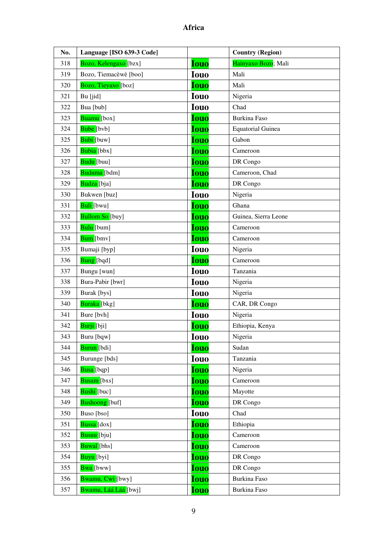| No. | Language [ISO 639-3 Code]          |             | <b>Country (Region)</b>  |
|-----|------------------------------------|-------------|--------------------------|
| 318 | Bozo, Kelengaxo [bzx]              | <b>Iouo</b> | Hainyaxo Bozo; Mali      |
| 319 | Bozo, Tiemacèwè [boo]              | <b>Iouo</b> | Mali                     |
| 320 | Bozo, Tieyaxo [boz]                | <b>Iouo</b> | Mali                     |
| 321 | Bu [jid]                           | <b>Iouo</b> | Nigeria                  |
| 322 | Bua [bub]                          | <b>Iouo</b> | Chad                     |
| 323 | Buamu [box]                        | <b>Iouo</b> | Burkina Faso             |
| 324 | Bube [bvb]                         | <b>Iouo</b> | <b>Equatorial Guinea</b> |
| 325 | Bubi [buw]                         | <b>Iouo</b> | Gabon                    |
| 326 | Bubia [bbx]                        | <b>Iouo</b> | Cameroon                 |
| 327 | Budu [buu]                         | <b>Iouo</b> | DR Congo                 |
| 328 | Buduma [bdm]                       | <b>Iouo</b> | Cameroon, Chad           |
| 329 | Budza [bja]                        | <b>Iouo</b> | DR Congo                 |
| 330 | Bukwen [buz]                       | <b>Iouo</b> | Nigeria                  |
| 331 | Buli [bwu]                         | <b>Iouo</b> | Ghana                    |
| 332 | <b>Bullom So</b> [buy]             | <b>Iouo</b> | Guinea, Sierra Leone     |
| 333 | Bulu [bum]                         | <b>Iouo</b> | Cameroon                 |
| 334 | Bum [bmv]                          | <b>Iouo</b> | Cameroon                 |
| 335 | Bumaji [byp]                       | <b>Iouo</b> | Nigeria                  |
| 336 | Bung [bqd]                         | <b>Iouo</b> | Cameroon                 |
| 337 | Bungu [wun]                        | <b>Iouo</b> | Tanzania                 |
| 338 | Bura-Pabir [bwr]                   | <b>Iouo</b> | Nigeria                  |
| 339 | Burak [bys]                        | <b>Iouo</b> | Nigeria                  |
| 340 | Buraka [bkg]                       | <b>Iouo</b> | CAR, DR Congo            |
| 341 | Bure [bvh]                         | <b>Iouo</b> | Nigeria                  |
| 342 | Burji [bji]                        | <b>Iouo</b> | Ethiopia, Kenya          |
| 343 | Buru [bqw]                         | <b>Iouo</b> | Nigeria                  |
| 344 | Burun [bdi]                        | <b>Iouo</b> | Sudan                    |
| 345 | Burunge [bds]                      | <b>Iouo</b> | Tanzania                 |
| 346 | Busa [bqp]                         | <b>Iouo</b> | Nigeria                  |
| 347 | Busam [bxs]                        | <b>Iouo</b> | Cameroon                 |
| 348 | Bushi [buc]                        | <b>Iouo</b> | Mayotte                  |
| 349 | Bushoong [buf]                     | <b>Iouo</b> | DR Congo                 |
| 350 | Buso [bso]                         | <b>Iouo</b> | Chad                     |
| 351 | Bussa [dox]                        | <b>Iouo</b> | Ethiopia                 |
| 352 | Busuu [bju]                        | <b>Iouo</b> | Cameroon                 |
| 353 | Buwal [bhs]                        | <b>Iouo</b> | Cameroon                 |
| 354 | Buyu [byi]                         | <b>Iouo</b> | DR Congo                 |
| 355 | Bwa [bww]                          | <b>Iouo</b> | DR Congo                 |
| 356 | Bwamu, Cwi [bwy]                   | <b>Iouo</b> | Burkina Faso             |
| 357 | <mark>Bwamu, Láá Láá </mark> [bwj] | <b>Iouo</b> | Burkina Faso             |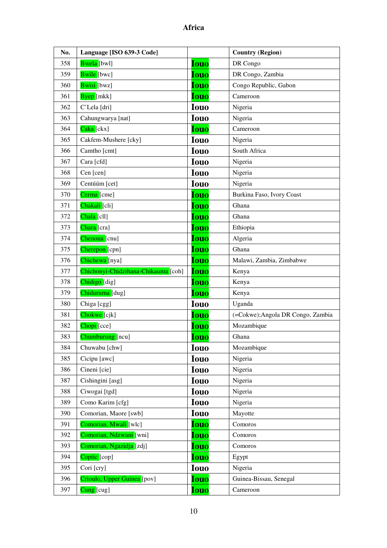| No. | Language [ISO 639-3 Code]           |             | <b>Country (Region)</b>           |
|-----|-------------------------------------|-------------|-----------------------------------|
| 358 | Bwela [bwl]                         | <b>Iouo</b> | DR Congo                          |
| 359 | Bwile [bwc]                         | <b>Iouo</b> | DR Congo, Zambia                  |
| 360 | Bwisi [bwz]                         | <b>Iouo</b> | Congo Republic, Gabon             |
| 361 | Byep [mkk]                          | <b>Iouo</b> | Cameroon                          |
| 362 | C'Lela [dri]                        | <b>Iouo</b> | Nigeria                           |
| 363 | Cahungwarya [nat]                   | <b>Iouo</b> | Nigeria                           |
| 364 | Caka [ckx]                          | <b>Iouo</b> | Cameroon                          |
| 365 | Cakfem-Mushere [cky]                | <b>Iouo</b> | Nigeria                           |
| 366 | Camtho [cmt]                        | <b>Iouo</b> | South Africa                      |
| 367 | Cara [cfd]                          | <b>Iouo</b> | Nigeria                           |
| 368 | Cen [cen]                           | <b>Iouo</b> | Nigeria                           |
| 369 | Centúúm [cet]                       | <b>Iouo</b> | Nigeria                           |
| 370 | Cerma [cme]                         | <b>Iouo</b> | Burkina Faso, Ivory Coast         |
| 371 | Chakali [cli]                       | <b>Iouo</b> | Ghana                             |
| 372 | Chala [cll]                         | <b>Iouo</b> | Ghana                             |
| 373 | Chara [cra]                         | <b>Iouo</b> | Ethiopia                          |
| 374 | Chenoua <sup>[cnu]</sup>            | <b>Iouo</b> | Algeria                           |
| 375 | Cherepon [cpn]                      | Iouo        | Ghana                             |
| 376 | Chichewa [nya]                      | <b>Iouo</b> | Malawi, Zambia, Zimbabwe          |
| 377 | Chichonyi-Chidzihana-Chikauma [coh] | <b>Iouo</b> | Kenya                             |
| 378 | Chidigo [dig]                       | <b>Iouo</b> | Kenya                             |
| 379 | Chiduruma [dug]                     | <b>Iouo</b> | Kenya                             |
| 380 | Chiga [cgg]                         | <b>Iouo</b> | Uganda                            |
| 381 | Chokwe <sup>[cjk]</sup>             | <b>Iouo</b> | (=Cokwe); Angola DR Congo, Zambia |
| 382 | Chopi <sup>[cce]</sup>              | <b>Iouo</b> | Mozambique                        |
| 383 | Chumburung [ncu]                    | <b>Iouo</b> | Ghana                             |
| 384 | Chuwabu [chw]                       | <b>Iouo</b> | Mozambique                        |
| 385 | Cicipu [awc]                        | <b>Iouo</b> | Nigeria                           |
| 386 | Cineni [cie]                        | <b>Iouo</b> | Nigeria                           |
| 387 | Cishingini [asg]                    | <b>Iouo</b> | Nigeria                           |
| 388 | Ciwogai [tgd]                       | <b>Iouo</b> | Nigeria                           |
| 389 | Como Karim [cfg]                    | <b>Iouo</b> | Nigeria                           |
| 390 | Comorian, Maore [swb]               | <b>Iouo</b> | Mayotte                           |
| 391 | Comorian, Mwali [wlc]               | <b>Iouo</b> | Comoros                           |
| 392 | Comorian, Ndzwani [wni]             | <b>Iouo</b> | Comoros                           |
| 393 | Comorian, Ngazidja [zdj]            | <u>Iouo</u> | Comoros                           |
| 394 | Coptic [cop]                        | <b>Iouo</b> | Egypt                             |
| 395 | Cori [cry]                          | <b>Iouo</b> | Nigeria                           |
| 396 | Crioulo, Upper Guinea [pov]         | <b>Iouo</b> | Guinea-Bissau, Senegal            |
| 397 | Cung [cug]                          | <b>Iouo</b> | Cameroon                          |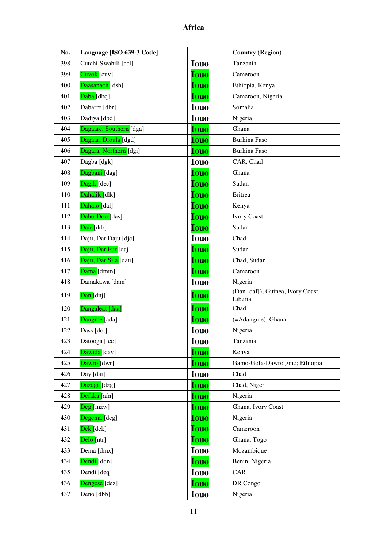| No. | Language [ISO 639-3 Code]     |             | <b>Country (Region)</b>                      |
|-----|-------------------------------|-------------|----------------------------------------------|
| 398 | Cutchi-Swahili [ccl]          | <b>Iouo</b> | Tanzania                                     |
| 399 | $Cuvok$ $[cuv]$               | <b>Iouo</b> | Cameroon                                     |
| 400 | Daasanach [dsh]               | <b>Iouo</b> | Ethiopia, Kenya                              |
| 401 | Daba [dbq]                    | <b>Iouo</b> | Cameroon, Nigeria                            |
| 402 | Dabarre [dbr]                 | <b>Iouo</b> | Somalia                                      |
| 403 | Dadiya [dbd]                  | <b>Iouo</b> | Nigeria                                      |
| 404 | Dagaare, Southern [dga]       | <b>Iouo</b> | Ghana                                        |
| 405 | Dagaari Dioula [dgd]          | <b>Iouo</b> | <b>Burkina Faso</b>                          |
| 406 | Dagara, Northern [dgi]        | <b>Iouo</b> | <b>Burkina Faso</b>                          |
| 407 | Dagba [dgk]                   | <b>Iouo</b> | CAR, Chad                                    |
| 408 | Dagbani [dag]                 | <b>Iouo</b> | Ghana                                        |
| 409 | Dagik [dec]                   | <b>Iouo</b> | Sudan                                        |
| 410 | Dahalik [dlk]                 | <b>Iouo</b> | Eritrea                                      |
| 411 | Dahalo [dal]                  | <b>Iouo</b> | Kenya                                        |
| 412 | Daho-Doo [das]                | <b>Iouo</b> | <b>Ivory Coast</b>                           |
| 413 | Dair [drb]                    | <b>Iouo</b> | Sudan                                        |
| 414 | Daju, Dar Daju [djc]          | <b>Iouo</b> | Chad                                         |
| 415 | Daju, Dar Fur [daj]           | <b>Iouo</b> | Sudan                                        |
| 416 | Daju, Dar Sila [dau]          | <b>Iouo</b> | Chad, Sudan                                  |
| 417 | Dama [dmm]                    | <b>Iouo</b> | Cameroon                                     |
| 418 | Damakawa [dam]                | <b>Iouo</b> | Nigeria                                      |
| 419 | Dan [dnj]                     | <b>Iouo</b> | (Dan [daf]); Guinea, Ivory Coast,<br>Liberia |
| 420 | Dangaléat [daa]               | <b>Iouo</b> | Chad                                         |
| 421 | Dangme [ada]                  | <b>Iouo</b> | (=Adangme); Ghana                            |
| 422 | Dass [dot]                    | <b>Iouo</b> | Nigeria                                      |
| 423 | Datooga [tcc]                 | <b>Iouo</b> | Tanzania                                     |
| 424 | Dawida [dav]                  | <b>Iouo</b> | Kenya                                        |
| 425 | Dawro [dwr]                   | <b>Iouo</b> | Gamo-Gofa-Dawro gmo; Ethiopia                |
| 426 | Day [dai]                     | <b>Iouo</b> | Chad                                         |
| 427 | Dazaga [dzg]                  | Iouo        | Chad, Niger                                  |
| 428 | Defaka [afn]                  | Iouo        | Nigeria                                      |
| 429 | $\overline{\text{Deg}}$ [mzw] | Iouo        | Ghana, Ivory Coast                           |
| 430 | Degema [deg]                  | <b>Iouo</b> | Nigeria                                      |
| 431 | <mark>Dek</mark> [dek]        | <b>Iouo</b> | Cameroon                                     |
| 432 | Delo [ntr]                    | <b>Iouo</b> | Ghana, Togo                                  |
| 433 | Dema [dmx]                    | <b>Iouo</b> | Mozambique                                   |
| 434 | Dendi [ddn]                   | Iouo        | Benin, Nigeria                               |
| 435 | Dendi [deq]                   | <b>Iouo</b> | CAR                                          |
| 436 | Dengese [dez]                 | <b>Iouo</b> | DR Congo                                     |
| 437 | Deno [dbb]                    | <b>Iouo</b> | Nigeria                                      |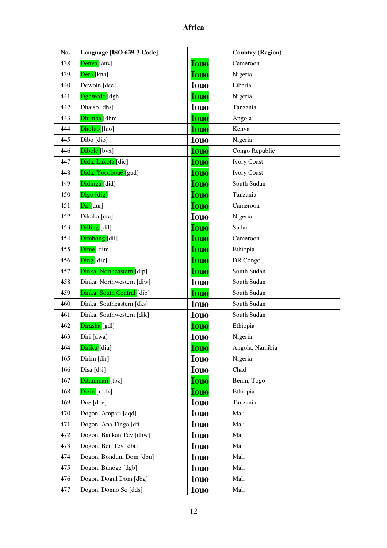| No. | Language [ISO 639-3 Code]  |             | <b>Country (Region)</b> |
|-----|----------------------------|-------------|-------------------------|
| 438 | Denya [anv]                | <b>Iouo</b> | Cameroon                |
| 439 | Dera [kna]                 | <b>Iouo</b> | Nigeria                 |
| 440 | Dewoin [dee]               | <b>Iouo</b> | Liberia                 |
| 441 | Dghwede <sup>[dgh]</sup>   | <b>Iouo</b> | Nigeria                 |
| 442 | Dhaiso [dhs]               | <b>Iouo</b> | Tanzania                |
| 443 | Dhimba [dhm]               | <b>Iouo</b> | Angola                  |
| 444 | Dholuo <sup>[luo]</sup>    | <b>Iouo</b> | Kenya                   |
| 445 | Dibo [dio]                 | <b>Iouo</b> | Nigeria                 |
| 446 | Dibole [bvx]               | <b>Iouo</b> | Congo Republic          |
| 447 | Dida, Lakota [dic]         | <b>Iouo</b> | <b>Ivory Coast</b>      |
| 448 | Dida, Yocoboué [gud]       | <b>Iouo</b> | <b>Ivory Coast</b>      |
| 449 | Didinga [did]              | <b>Iouo</b> | South Sudan             |
| 450 | Digo [dig]                 | <b>Iouo</b> | Tanzania                |
| 451 | Dii [dur]                  | <b>Iouo</b> | Cameroon                |
| 452 | Dikaka [cfa]               | <b>Iouo</b> | Nigeria                 |
| 453 | Dilling [dil]              | <b>Iouo</b> | Sudan                   |
| 454 | Dimbong [dii]              | <b>Iouo</b> | Cameroon                |
| 455 | Dime [dim]                 | Iouo        | Ethiopia                |
| 456 | Ding [diz]                 | <b>Iouo</b> | DR Congo                |
| 457 | Dinka, Northeastern [dip]  | <b>Iouo</b> | South Sudan             |
| 458 | Dinka, Northwestern [diw]  | <b>Iouo</b> | South Sudan             |
| 459 | Dinka, South Central [dib] | <b>Iouo</b> | South Sudan             |
| 460 | Dinka, Southeastern [dks]  | <b>Iouo</b> | South Sudan             |
| 461 | Dinka, Southwestern [dik]  | <b>Iouo</b> | South Sudan             |
| 462 | Dirasha [gdl]              | Iouo        | Ethiopia                |
| 463 | Diri [dwa]                 | <b>Iouo</b> | Nigeria                 |
| 464 | Diriku [diu]               | <b>Iouo</b> | Angola, Namibia         |
| 465 | Dirim [dir]                | <b>Iouo</b> | Nigeria                 |
| 466 | Disa [dsi]                 | <b>Iouo</b> | Chad                    |
| 467 | Ditammari [tbz]            | <b>Iouo</b> | Benin, Togo             |
| 468 | Dizin [mdx]                | <b>Iouo</b> | Ethiopia                |
| 469 | Doe [doe]                  | <b>Iouo</b> | Tanzania                |
| 470 | Dogon, Ampari [aqd]        | <b>Iouo</b> | Mali                    |
| 471 | Dogon, Ana Tinga [dti]     | <b>Iouo</b> | Mali                    |
| 472 | Dogon, Bankan Tey [dbw]    | <b>Iouo</b> | Mali                    |
| 473 | Dogon, Ben Tey [dbt]       | <b>Iouo</b> | Mali                    |
| 474 | Dogon, Bondum Dom [dbu]    | <b>Iouo</b> | Mali                    |
| 475 | Dogon, Bunoge [dgb]        | <b>Iouo</b> | Mali                    |
| 476 | Dogon, Dogul Dom [dbg]     | <b>Iouo</b> | Mali                    |
| 477 | Dogon, Donno So [dds]      | <b>Iouo</b> | Mali                    |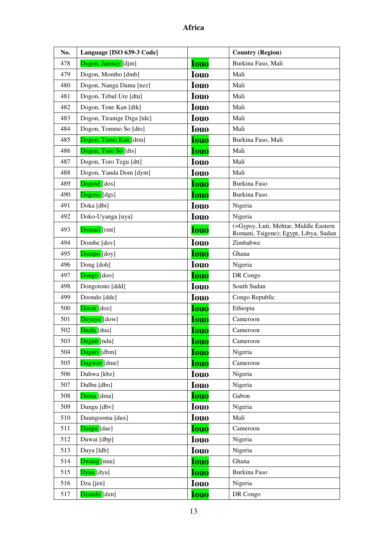| No. | Language [ISO 639-3 Code]  |             | <b>Country (Region)</b>                                                        |
|-----|----------------------------|-------------|--------------------------------------------------------------------------------|
| 478 | Dogon, Jamsay [djm]        | Iouo        | Burkina Faso, Mali                                                             |
| 479 | Dogon, Mombo [dmb]         | <b>Iouo</b> | Mali                                                                           |
| 480 | Dogon, Nanga Dama [nzz]    | <b>Iouo</b> | Mali                                                                           |
| 481 | Dogon, Tebul Ure [dtu]     | <b>Iouo</b> | Mali                                                                           |
| 482 | Dogon, Tene Kan [dtk]      | <b>Iouo</b> | Mali                                                                           |
| 483 | Dogon, Tiranige Diga [tde] | <b>Iouo</b> | Mali                                                                           |
| 484 | Dogon, Tommo So [dto]      | <b>Iouo</b> | Mali                                                                           |
| 485 | Dogon, Tomo Kan [dtm]      | <b>Iouo</b> | Burkina Faso, Mali                                                             |
| 486 | Dogon, Toro So [dts]       | Iouo        | Mali                                                                           |
| 487 | Dogon, Toro Tegu [dtt]     | <b>Iouo</b> | Mali                                                                           |
| 488 | Dogon, Yanda Dom [dym]     | <b>Iouo</b> | Mali                                                                           |
| 489 | Dogosé [dos]               | <b>Iouo</b> | Burkina Faso                                                                   |
| 490 | Dogoso [dgs]               | <b>Iouo</b> | Burkina Faso                                                                   |
| 491 | Doka [dbi]                 | <b>Iouo</b> | Nigeria                                                                        |
| 492 | Doko-Uyanga [uya]          | <b>Iouo</b> | Nigeria                                                                        |
| 493 | Domari [rmt]               | <b>Iouo</b> | (=Gypsy, Luti, Mehtar, Middle Eastern<br>Romani, Tsigene); Egypt, Libya, Sudan |
| 494 | Dombe [dov]                | <b>Iouo</b> | Zimbabwe                                                                       |
| 495 | Dompo <sup>[doy]</sup>     | <b>Iouo</b> | Ghana                                                                          |
| 496 | Dong [doh]                 | <b>Iouo</b> | Nigeria                                                                        |
| 497 | Dongo [doo]                | <b>Iouo</b> | DR Congo                                                                       |
| 498 | Dongotono [ddd]            | <b>Iouo</b> | South Sudan                                                                    |
| 499 | Doondo [dde]               | <b>Iouo</b> | Congo Republic                                                                 |
| 500 | Dorze [doz]                | <b>Iouo</b> | Ethiopia                                                                       |
| 501 | Doyayo <sup>[dow]</sup>    | Iouo        | Cameroon                                                                       |
| 502 | Duala [dua]                | <b>Iouo</b> | Cameroon                                                                       |
| 503 | Dugun [ndu]                | Iouo        | Cameroon                                                                       |
| 504 | Duguri [dbm]               | Iouo        | Nigeria                                                                        |
| 505 | Dugwor [dme]               | <b>Iouo</b> | Cameroon                                                                       |
| 506 | Duhwa [kbz]                | <b>Iouo</b> | Nigeria                                                                        |
| 507 | Dulbu [dbo]                | <b>Iouo</b> | Nigeria                                                                        |
| 508 | Duma [dma]                 | <b>Iouo</b> | Gabon                                                                          |
| 509 | Dungu [dbv]                | <b>Iouo</b> | Nigeria                                                                        |
| 510 | Duungooma [dux]            | <b>Iouo</b> | Mali                                                                           |
| 511 | Duupa [dae]                | <b>Iouo</b> | Cameroon                                                                       |
| 512 | Duwai [dbp]                | <b>Iouo</b> | Nigeria                                                                        |
| 513 | Duya [ldb]                 | <b>Iouo</b> | Nigeria                                                                        |
| 514 | Dwang [nnu]                | Iouo        | Ghana                                                                          |
| 515 | Dyan [dya]                 | <b>Iouo</b> | Burkina Faso                                                                   |
| 516 | Dza [jen]                  | <b>Iouo</b> | Nigeria                                                                        |
| 517 | Dzando <sup>[dzn]</sup>    | <b>Iouo</b> | DR Congo                                                                       |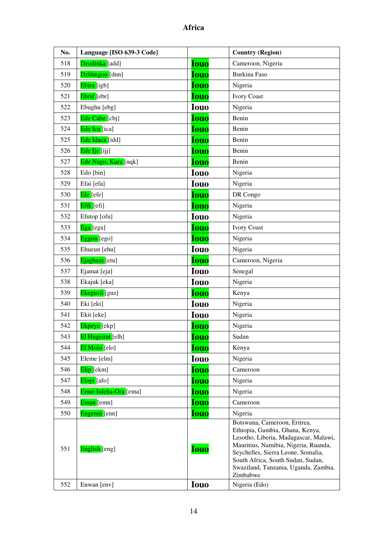| No. | Language [ISO 639-3 Code] |             | <b>Country (Region)</b>                                                                                                                                                                                                                                                         |
|-----|---------------------------|-------------|---------------------------------------------------------------------------------------------------------------------------------------------------------------------------------------------------------------------------------------------------------------------------------|
| 518 | Dzodinka [add]            | <b>Iouo</b> | Cameroon, Nigeria                                                                                                                                                                                                                                                               |
| 519 | Dzùùngoo [dnn]            | <b>Iouo</b> | Burkina Faso                                                                                                                                                                                                                                                                    |
| 520 | Ebira [igb]               | <b>Iouo</b> | Nigeria                                                                                                                                                                                                                                                                         |
| 521 | Ebrié [ebr]               | <b>Iouo</b> | <b>Ivory Coast</b>                                                                                                                                                                                                                                                              |
| 522 | Ebughu [ebg]              | <b>Iouo</b> | Nigeria                                                                                                                                                                                                                                                                         |
| 523 | Ede Cabe <sup>[cbj]</sup> | <b>Iouo</b> | Benin                                                                                                                                                                                                                                                                           |
| 524 | Ede Ica [ica]             | <b>Iouo</b> | Benin                                                                                                                                                                                                                                                                           |
| 525 | Ede Idaca [idd]           | <b>Iouo</b> | Benin                                                                                                                                                                                                                                                                           |
| 526 | Ede Ije [ijj]             | <b>Iouo</b> | Benin                                                                                                                                                                                                                                                                           |
| 527 | Ede Nago, Kura [nqk]      | <b>Iouo</b> | Benin                                                                                                                                                                                                                                                                           |
| 528 | Edo [bin]                 | <b>Iouo</b> | Nigeria                                                                                                                                                                                                                                                                         |
| 529 | Efai [efa]                | <b>Iouo</b> | Nigeria                                                                                                                                                                                                                                                                         |
| 530 | Efe [efe]                 | <b>Iouo</b> | DR Congo                                                                                                                                                                                                                                                                        |
| 531 | Efik [efi]                | <b>Iouo</b> | Nigeria                                                                                                                                                                                                                                                                         |
| 532 | Efutop [ofu]              | <b>Iouo</b> | Nigeria                                                                                                                                                                                                                                                                         |
| 533 | Ega [ega]                 | <b>Iouo</b> | <b>Ivory Coast</b>                                                                                                                                                                                                                                                              |
| 534 | $E$ ggon [ego]            | <b>Iouo</b> | Nigeria                                                                                                                                                                                                                                                                         |
| 535 | Ehueun [ehu]              | <b>Iouo</b> | Nigeria                                                                                                                                                                                                                                                                         |
| 536 | Ejagham [etu]             | <b>Iouo</b> | Cameroon, Nigeria                                                                                                                                                                                                                                                               |
| 537 | Ejamat [eja]              | <b>Iouo</b> | Senegal                                                                                                                                                                                                                                                                         |
| 538 | Ekajuk [eka]              | <b>Iouo</b> | Nigeria                                                                                                                                                                                                                                                                         |
| 539 | Ekegusii [guz]            | <b>Iouo</b> | Kenya                                                                                                                                                                                                                                                                           |
| 540 | Eki [eki]                 | <b>Iouo</b> | Nigeria                                                                                                                                                                                                                                                                         |
| 541 | Ekit [eke]                | <b>Iouo</b> | Nigeria                                                                                                                                                                                                                                                                         |
| 542 | Ekpeye [ekp]              | <b>Iouo</b> | Nigeria                                                                                                                                                                                                                                                                         |
| 543 | El Hugeirat [elh]         | <b>Iouo</b> | Sudan                                                                                                                                                                                                                                                                           |
| 544 | El Molo [elo]             | <b>Iouo</b> | Kenya                                                                                                                                                                                                                                                                           |
| 545 | Eleme [elm]               | <b>Iouo</b> | Nigeria                                                                                                                                                                                                                                                                         |
| 546 | Elip [ekm]                | <b>Iouo</b> | Cameroon                                                                                                                                                                                                                                                                        |
| 547 | Eloyi [afo]               | <b>Iouo</b> | Nigeria                                                                                                                                                                                                                                                                         |
| 548 | Emai-Iuleha-Ora [ema]     | <u>Iouo</u> | Nigeria                                                                                                                                                                                                                                                                         |
| 549 | Eman [emn]                | <b>Iouo</b> | Cameroon                                                                                                                                                                                                                                                                        |
| 550 | Engenni [enn]             | <b>Iouo</b> | Nigeria                                                                                                                                                                                                                                                                         |
| 551 | English [eng]             | <b>Iouo</b> | Botswana, Cameroon, Eritrea,<br>Ethiopia, Gambia, Ghana, Kenya,<br>Lesotho, Liberia, Madagascar, Malawi,<br>Mauritius, Namibia, Nigeria, Ruanda,<br>Seychelles, Sierra Leone, Somalia,<br>South Africa, South Sudan, Sudan,<br>Swaziland, Tanzania, Uganda, Zambia,<br>Zimbabwe |
| 552 | Enwan [env]               | <b>Iouo</b> | Nigeria (Edo)                                                                                                                                                                                                                                                                   |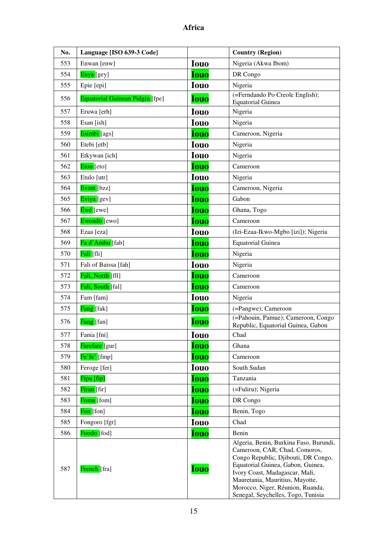| No. | Language [ISO 639-3 Code]       |             | <b>Country (Region)</b>                                                                                                                                                                                                                                                                            |
|-----|---------------------------------|-------------|----------------------------------------------------------------------------------------------------------------------------------------------------------------------------------------------------------------------------------------------------------------------------------------------------|
| 553 | Enwan [enw]                     | <b>Iouo</b> | Nigeria (Akwa Ibom)                                                                                                                                                                                                                                                                                |
| 554 | Enya [gey]                      | <b>Iouo</b> | DR Congo                                                                                                                                                                                                                                                                                           |
| 555 | Epie [epi]                      | <b>Iouo</b> | Nigeria                                                                                                                                                                                                                                                                                            |
| 556 | Equatorial Guinean Pidgin [fpe] | <b>Iouo</b> | (=Ferndando Po Creole English);<br><b>Equatorial Guinea</b>                                                                                                                                                                                                                                        |
| 557 | Eruwa [erh]                     | <b>Iouo</b> | Nigeria                                                                                                                                                                                                                                                                                            |
| 558 | Esan [ish]                      | <b>Iouo</b> | Nigeria                                                                                                                                                                                                                                                                                            |
| 559 | Esimbi [ags]                    | <b>Iouo</b> | Cameroon, Nigeria                                                                                                                                                                                                                                                                                  |
| 560 | Etebi [etb]                     | <b>Iouo</b> | Nigeria                                                                                                                                                                                                                                                                                            |
| 561 | Etkywan [ich]                   | <b>Iouo</b> | Nigeria                                                                                                                                                                                                                                                                                            |
| 562 | Eton [eto]                      | <b>Iouo</b> | Cameroon                                                                                                                                                                                                                                                                                           |
| 563 | Etulo [utr]                     | <b>Iouo</b> | Nigeria                                                                                                                                                                                                                                                                                            |
| 564 | Evant [bzz]                     | <b>Iouo</b> | Cameroon, Nigeria                                                                                                                                                                                                                                                                                  |
| 565 | Eviya [gev]                     | <b>Iouo</b> | Gabon                                                                                                                                                                                                                                                                                              |
| 566 | Éwé [ewe]                       | <b>Iouo</b> | Ghana, Togo                                                                                                                                                                                                                                                                                        |
| 567 | Ewondo [ewo]                    | <b>Iouo</b> | Cameroon                                                                                                                                                                                                                                                                                           |
| 568 | Ezaa [eza]                      | <b>Iouo</b> | (Izi-Ezaa-Ikwo-Mgbo [izi]); Nigeria                                                                                                                                                                                                                                                                |
| 569 | Fa d'Ambu [fab]                 | <b>Iouo</b> | <b>Equatorial Guinea</b>                                                                                                                                                                                                                                                                           |
| 570 | Fali [fli]                      | <b>Iouo</b> | Nigeria                                                                                                                                                                                                                                                                                            |
| 571 | Fali of Baissa [fah]            | <b>Iouo</b> | Nigeria                                                                                                                                                                                                                                                                                            |
| 572 | Fali, North [fll]               | <b>Iouo</b> | Cameroon                                                                                                                                                                                                                                                                                           |
| 573 | Fali, South [fal]               | <b>Iouo</b> | Cameroon                                                                                                                                                                                                                                                                                           |
| 574 | Fam [fam]                       | <b>Iouo</b> | Nigeria                                                                                                                                                                                                                                                                                            |
| 575 | Fang [fak]                      | <b>Iouo</b> | (=Pangwe); Cameroon                                                                                                                                                                                                                                                                                |
| 576 | Fang [fan]                      | <b>Iouo</b> | (=Pahouin, Pamue); Cameroon, Congo<br>Republic, Equatorial Guinea, Gabon                                                                                                                                                                                                                           |
| 577 | Fania [fni]                     | <b>Iouo</b> | Chad                                                                                                                                                                                                                                                                                               |
| 578 | Farefare [gur]                  | <b>Iouo</b> | Ghana                                                                                                                                                                                                                                                                                              |
| 579 | $Fe'fe'$ [fmp]                  | <b>Iouo</b> | Cameroon                                                                                                                                                                                                                                                                                           |
| 580 | Feroge [fer]                    | <b>Iouo</b> | South Sudan                                                                                                                                                                                                                                                                                        |
| 581 | Fipa [fip]                      | <b>Iouo</b> | Tanzania                                                                                                                                                                                                                                                                                           |
| 582 | Firan [fir]                     | <b>Iouo</b> | (=Fuliru); Nigeria                                                                                                                                                                                                                                                                                 |
| 583 | Foma [fom]                      | <b>Iouo</b> | DR Congo                                                                                                                                                                                                                                                                                           |
| 584 | Fon [fon]                       | <b>Iouo</b> | Benin, Togo                                                                                                                                                                                                                                                                                        |
| 585 | Fongoro [fgr]                   | <b>Iouo</b> | Chad                                                                                                                                                                                                                                                                                               |
| 586 | Foodo [fod]                     | <b>Iouo</b> | Benin                                                                                                                                                                                                                                                                                              |
| 587 | French [fra]                    | <b>Iouo</b> | Algeria, Benin, Burkina Faso, Burundi,<br>Cameroon, CAR, Chad, Comoros,<br>Congo Republic, Djibouti, DR Congo,<br>Equatorial Guinea, Gabon, Guinea,<br>Ivory Coast, Madagascar, Mali,<br>Mauretania, Mauritius, Mayotte,<br>Morocco, Niger, Réunion, Ruanda,<br>Senegal, Seychelles, Togo, Tunisia |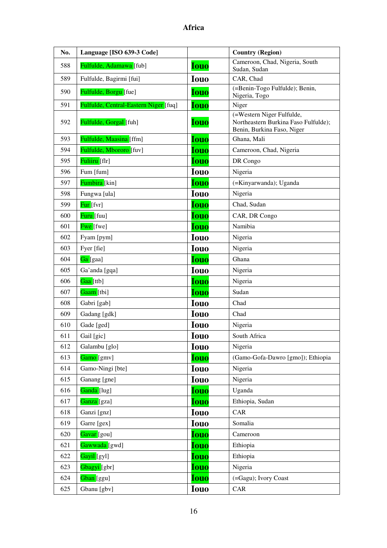| No. | Language [ISO 639-3 Code]             |             | <b>Country (Region)</b>                                                                         |
|-----|---------------------------------------|-------------|-------------------------------------------------------------------------------------------------|
| 588 | Fulfulde, Adamawa [fub]               | <b>Iouo</b> | Cameroon, Chad, Nigeria, South<br>Sudan, Sudan                                                  |
| 589 | Fulfulde, Bagirmi [fui]               | <b>Iouo</b> | CAR, Chad                                                                                       |
| 590 | Fulfulde, Borgu [fue]                 | <b>Iouo</b> | (=Benin-Togo Fulfulde); Benin,<br>Nigeria, Togo                                                 |
| 591 | Fulfulde, Central-Eastern Niger [fuq] | <b>Iouo</b> | Niger                                                                                           |
| 592 | Fulfulde, Gorgal [fuh]                | <b>Iouo</b> | (=Western Niger Fulfulde,<br>Northeastern Burkina Faso Fulfulde);<br>Benin, Burkina Faso, Niger |
| 593 | Fulfulde, Maasina [ffm]               | <b>Iouo</b> | Ghana, Mali                                                                                     |
| 594 | Fulfulde, Mbororo [fuv]               | <b>Iouo</b> | Cameroon, Chad, Nigeria                                                                         |
| 595 | Fuliiru [flr]                         | <b>Iouo</b> | DR Congo                                                                                        |
| 596 | Fum [fum]                             | <b>Iouo</b> | Nigeria                                                                                         |
| 597 | <b>Fumbira</b> [kin]                  | <b>Iouo</b> | (=Kinyarwanda); Uganda                                                                          |
| 598 | Fungwa [ula]                          | <b>Iouo</b> | Nigeria                                                                                         |
| 599 | <b>Fur</b> [fvr]                      | <b>Iouo</b> | Chad, Sudan                                                                                     |
| 600 | <mark>Furu [</mark> fuu]              | <b>Iouo</b> | CAR, DR Congo                                                                                   |
| 601 | <b>Fwe</b> [fwe]                      | <b>Iouo</b> | Namibia                                                                                         |
| 602 | Fyam [pym]                            | <b>Iouo</b> | Nigeria                                                                                         |
| 603 | Fyer [fie]                            | <b>Iouo</b> | Nigeria                                                                                         |
| 604 | Ga [gaa]                              | <b>Iouo</b> | Ghana                                                                                           |
| 605 | Ga'anda [gqa]                         | <b>Iouo</b> | Nigeria                                                                                         |
| 606 | Gaa [ttb]                             | <b>Iouo</b> | Nigeria                                                                                         |
| 607 | Gaam [tbi]                            | <b>Iouo</b> | Sudan                                                                                           |
| 608 | Gabri [gab]                           | <b>Iouo</b> | Chad                                                                                            |
| 609 | Gadang [gdk]                          | <b>Iouo</b> | Chad                                                                                            |
| 610 | Gade [ged]                            | <b>Iouo</b> | Nigeria                                                                                         |
| 611 | Gail [gic]                            | <b>Iouo</b> | South Africa                                                                                    |
| 612 | Galambu [glo]                         | <b>Iouo</b> | Nigeria                                                                                         |
| 613 | Gamo [gmv]                            | <b>Iouo</b> | (Gamo-Gofa-Dawro [gmo]); Ethiopia                                                               |
| 614 | Gamo-Ningi [bte]                      | <b>Iouo</b> | Nigeria                                                                                         |
| 615 | Ganang [gne]                          | <b>Iouo</b> | Nigeria                                                                                         |
| 616 | Ganda [lug]                           | <b>Iouo</b> | Uganda                                                                                          |
| 617 | Ganza [gza]                           | <b>Iouo</b> | Ethiopia, Sudan                                                                                 |
| 618 | Ganzi [gnz]                           | <b>Iouo</b> | CAR                                                                                             |
| 619 | Garre [gex]                           | <b>Iouo</b> | Somalia                                                                                         |
| 620 | Gavar [gou]                           | <b>Iouo</b> | Cameroon                                                                                        |
| 621 | Gawwada [gwd]                         | <b>Iouo</b> | Ethiopia                                                                                        |
| 622 | Gayil [gyl]                           | Iouo        | Ethiopia                                                                                        |
| 623 | Gbagyi [gbr]                          | <b>Iouo</b> | Nigeria                                                                                         |
| 624 | Gban [ggu]                            | <b>Iouo</b> | (=Gagu); Ivory Coast                                                                            |
| 625 | Gbanu [gbv]                           | <b>Iouo</b> | CAR                                                                                             |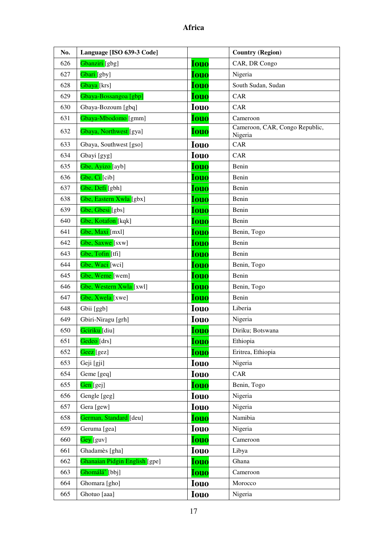| No. | Language [ISO 639-3 Code]         |             | <b>Country (Region)</b>                   |
|-----|-----------------------------------|-------------|-------------------------------------------|
| 626 | Gbanziri [gbg]                    | <b>Iouo</b> | CAR, DR Congo                             |
| 627 | Gbari [gby]                       | <b>Iouo</b> | Nigeria                                   |
| 628 | Gbaya <sup>[krs]</sup>            | <b>Iouo</b> | South Sudan, Sudan                        |
| 629 | Gbaya-Bossangoa [gbp]             | <b>Iouo</b> | CAR                                       |
| 630 | Gbaya-Bozoum [gbq]                | <b>Iouo</b> | CAR                                       |
| 631 | Gbaya-Mbodomo [gmm]               | <b>Iouo</b> | Cameroon                                  |
| 632 | Gbaya, Northwest <sup>[gya]</sup> | <b>Iouo</b> | Cameroon, CAR, Congo Republic,<br>Nigeria |
| 633 | Gbaya, Southwest [gso]            | <b>Iouo</b> | CAR                                       |
| 634 | Gbayi [gyg]                       | <b>Iouo</b> | CAR                                       |
| 635 | Gbe, Ayizo [ayb]                  | <b>Iouo</b> | Benin                                     |
| 636 | Gbe, Ci <sup>[cib]</sup>          | <b>Iouo</b> | Benin                                     |
| 637 | Gbe, Defi [gbh]                   | <b>Iouo</b> | Benin                                     |
| 638 | Gbe, Eastern Xwla [gbx]           | <b>Iouo</b> | Benin                                     |
| 639 | Gbe, Gbesi [gbs]                  | <b>Iouo</b> | Benin                                     |
| 640 | Gbe, Kotafon [kqk]                | <b>Iouo</b> | Benin                                     |
| 641 | Gbe, Maxi [mxl]                   | <b>Iouo</b> | Benin, Togo                               |
| 642 | Gbe, Saxwe [sxw]                  | <b>Iouo</b> | Benin                                     |
| 643 | Gbe, Tofin [tfi]                  | <b>Iouo</b> | Benin                                     |
| 644 | Gbe, Waci [wci]                   | <b>Iouo</b> | Benin, Togo                               |
| 645 | Gbe, Weme [wem]                   | <b>Iouo</b> | Benin                                     |
| 646 | Gbe, Western Xwla [xwl]           | <b>Iouo</b> | Benin, Togo                               |
| 647 | Gbe, Xwela [xwe]                  | <b>Iouo</b> | Benin                                     |
| 648 | Gbii [ggb]                        | <b>Iouo</b> | Liberia                                   |
| 649 | Gbiri-Niragu [grh]                | <b>Iouo</b> | Nigeria                                   |
| 650 | Gciriku <sup>[diu]</sup>          | <b>Iouo</b> | Diriku; Botswana                          |
| 651 | Gedeo [drs]                       | <b>Iouo</b> | Ethiopia                                  |
| 652 | Geez [gez]                        | <b>Iouo</b> | Eritrea, Ethiopia                         |
| 653 | Geji [gji]                        | <b>Iouo</b> | Nigeria                                   |
| 654 | Geme [geq]                        | <b>Iouo</b> | CAR                                       |
| 655 | Gen [gej]                         | <b>Iouo</b> | Benin, Togo                               |
| 656 | Gengle [geg]                      | <b>Iouo</b> | Nigeria                                   |
| 657 | Gera [gew]                        | <b>Iouo</b> | Nigeria                                   |
| 658 | German, Standard [deu]            | <b>Iouo</b> | Namibia                                   |
| 659 | Geruma [gea]                      | <b>Iouo</b> | Nigeria                                   |
| 660 | Gey [guv]                         | <b>Iouo</b> | Cameroon                                  |
| 661 | Ghadamès [gha]                    | <b>Iouo</b> | Libya                                     |
| 662 | Ghanaian Pidgin English [gpe]     | <b>Iouo</b> | Ghana                                     |
| 663 | Ghomálá' [bbj]                    | <b>Iouo</b> | Cameroon                                  |
| 664 | Ghomara [gho]                     | <b>Iouo</b> | Morocco                                   |
| 665 | Ghotuo [aaa]                      | <b>Iouo</b> | Nigeria                                   |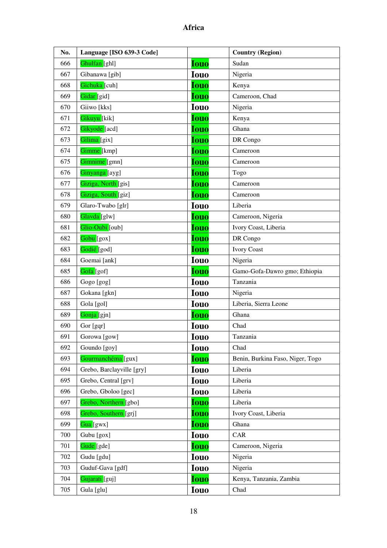| No. | Language [ISO 639-3 Code]   |             | <b>Country (Region)</b>          |
|-----|-----------------------------|-------------|----------------------------------|
| 666 | Ghulfan [ghl]               | <b>Iouo</b> | Sudan                            |
| 667 | Gibanawa [gib]              | <b>Iouo</b> | Nigeria                          |
| 668 | Gichuka [cuh]               | <b>Iouo</b> | Kenya                            |
| 669 | Gidar [gid]                 | <b>Iouo</b> | Cameroon, Chad                   |
| 670 | Giiwo [kks]                 | <b>Iouo</b> | Nigeria                          |
| 671 | Gikuyu [kik]                | <b>Iouo</b> | Kenya                            |
| 672 | Gikyode [acd]               | <b>Iouo</b> | Ghana                            |
| 673 | Gilima [gix]                | <b>Iouo</b> | DR Congo                         |
| 674 | Gimme [kmp]                 | <b>Iouo</b> | Cameroon                         |
| 675 | Gimnime [gmn]               | <b>Iouo</b> | Cameroon                         |
| 676 | Ginyanga [ayg]              | <b>Iouo</b> | Togo                             |
| 677 | Giziga, North [gis]         | <b>Iouo</b> | Cameroon                         |
| 678 | Giziga, South [giz]         | <b>Iouo</b> | Cameroon                         |
| 679 | Glaro-Twabo [glr]           | <b>Iouo</b> | Liberia                          |
| 680 | Glavda [glw]                | <b>Iouo</b> | Cameroon, Nigeria                |
| 681 | Glio-Oubi <sup>[[oub]</sup> | <b>Iouo</b> | Ivory Coast, Liberia             |
| 682 | Gobu [gox]                  | <b>Iouo</b> | DR Congo                         |
| 683 | Godié [god]                 | <b>Iouo</b> | <b>Ivory Coast</b>               |
| 684 | Goemai [ank]                | <b>Iouo</b> | Nigeria                          |
| 685 | Gofa [gof]                  | <b>Iouo</b> | Gamo-Gofa-Dawro gmo; Ethiopia    |
| 686 | Gogo [gog]                  | <b>Iouo</b> | Tanzania                         |
| 687 | Gokana [gkn]                | <b>Iouo</b> | Nigeria                          |
| 688 | Gola [gol]                  | <b>Iouo</b> | Liberia, Sierra Leone            |
| 689 | Gonja [gjn]                 | <b>Iouo</b> | Ghana                            |
| 690 | Gor [gqr]                   | <b>Iouo</b> | Chad                             |
| 691 | Gorowa [gow]                | <b>Iouo</b> | Tanzania                         |
| 692 | Goundo [goy]                | <b>Iouo</b> | Chad                             |
| 693 | Gourmanchéma [gux]          | <b>Iouo</b> | Benin, Burkina Faso, Niger, Togo |
| 694 | Grebo, Barclayville [gry]   | <b>Iouo</b> | Liberia                          |
| 695 | Grebo, Central [grv]        | <b>Iouo</b> | Liberia                          |
| 696 | Grebo, Gboloo [gec]         | <b>Iouo</b> | Liberia                          |
| 697 | Grebo, Northern [gbo]       | <b>Iouo</b> | Liberia                          |
| 698 | Grebo, Southern [grj]       | <b>Iouo</b> | Ivory Coast, Liberia             |
| 699 | Gua [gwx]                   | <b>Iouo</b> | Ghana                            |
| 700 | Gubu [gox]                  | <b>Iouo</b> | CAR                              |
| 701 | Gude [gde]                  | <b>Iouo</b> | Cameroon, Nigeria                |
| 702 | Gudu [gdu]                  | <b>Iouo</b> | Nigeria                          |
| 703 | Guduf-Gava [gdf]            | <b>Iouo</b> | Nigeria                          |
| 704 | Gujarati [guj]              | <b>Iouo</b> | Kenya, Tanzania, Zambia          |
| 705 | Gula [glu]                  | <b>Iouo</b> | Chad                             |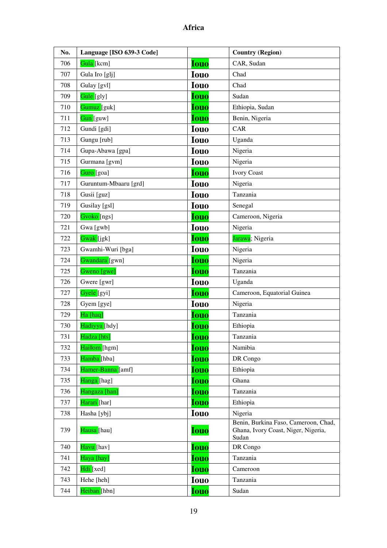| No. | Language [ISO 639-3 Code] |             | <b>Country (Region)</b>                                                              |
|-----|---------------------------|-------------|--------------------------------------------------------------------------------------|
| 706 | Gula [kcm]                | <b>Iouo</b> | CAR, Sudan                                                                           |
| 707 | Gula Iro [glj]            | <b>Iouo</b> | Chad                                                                                 |
| 708 | Gulay [gvl]               | <b>Iouo</b> | Chad                                                                                 |
| 709 | Gule [gly]                | <b>Iouo</b> | Sudan                                                                                |
| 710 | Gumuz [guk]               | <b>Iouo</b> | Ethiopia, Sudan                                                                      |
| 711 | Gun [guw]                 | <b>Iouo</b> | Benin, Nigeria                                                                       |
| 712 | Gundi [gdi]               | <b>Iouo</b> | CAR                                                                                  |
| 713 | Gungu [rub]               | <b>Iouo</b> | Uganda                                                                               |
| 714 | Gupa-Abawa [gpa]          | <b>Iouo</b> | Nigeria                                                                              |
| 715 | Gurmana [gvm]             | <b>Iouo</b> | Nigeria                                                                              |
| 716 | Guro [goa]                | <b>Iouo</b> | <b>Ivory Coast</b>                                                                   |
| 717 | Guruntum-Mbaaru [grd]     | <b>Iouo</b> | Nigeria                                                                              |
| 718 | Gusii [guz]               | <b>Iouo</b> | Tanzania                                                                             |
| 719 | Gusilay [gsl]             | <b>Iouo</b> | Senegal                                                                              |
| 720 | Gvoko [ngs]               | <b>Iouo</b> | Cameroon, Nigeria                                                                    |
| 721 | Gwa [gwb]                 | <b>Iouo</b> | Nigeria                                                                              |
| 722 | Gwak [jgk]                | <b>Iouo</b> | Jarawa; Nigeria                                                                      |
| 723 | Gwamhi-Wuri [bga]         | <b>Iouo</b> | Nigeria                                                                              |
| 724 | Gwandara [gwn]            | <b>Iouo</b> | Nigeria                                                                              |
| 725 | Gweno [gwe]               | <b>Iouo</b> | Tanzania                                                                             |
| 726 | Gwere [gwr]               | <b>Iouo</b> | Uganda                                                                               |
| 727 | Gyele [gyi]               | <b>Iouo</b> | Cameroon, Equatorial Guinea                                                          |
| 728 | Gyem [gye]                | <b>Iouo</b> | Nigeria                                                                              |
| 729 | Ha [haq]                  | <b>Iouo</b> | Tanzania                                                                             |
| 730 | Hadiyya [hdy]             | Iouo        | Ethiopia                                                                             |
| 731 | Hadza [hts]               | <b>Iouo</b> | Tanzania                                                                             |
| 732 | Haillom [hgm]             | <b>Iouo</b> | Namibia                                                                              |
| 733 | Hamba [hba]               | <b>Iouo</b> | DR Congo                                                                             |
| 734 | Hamer-Banna [amf]         | <b>Iouo</b> | Ethiopia                                                                             |
| 735 | Hanga [hag]               | Iouo        | Ghana                                                                                |
| 736 | Hangaza [han]             | Iouo        | Tanzania                                                                             |
| 737 | Harari [har]              | <b>Iouo</b> | Ethiopia                                                                             |
| 738 | Hasha [ybj]               | <b>Iouo</b> | Nigeria                                                                              |
| 739 | Hausa [hau]               | <b>Iouo</b> | Benin, Burkina Faso, Cameroon, Chad,<br>Ghana, Ivory Coast, Niger, Nigeria,<br>Sudan |
| 740 | Havu [hav]                | <b>Iouo</b> | DR Congo                                                                             |
| 741 | Haya [hay]                | <b>Iouo</b> | Tanzania                                                                             |
| 742 | Hdi [xed]                 | <b>Iouo</b> | Cameroon                                                                             |
| 743 | Hehe [heh]                | <b>Iouo</b> | Tanzania                                                                             |
| 744 | Heiban [hbn]              | <b>Iouo</b> | Sudan                                                                                |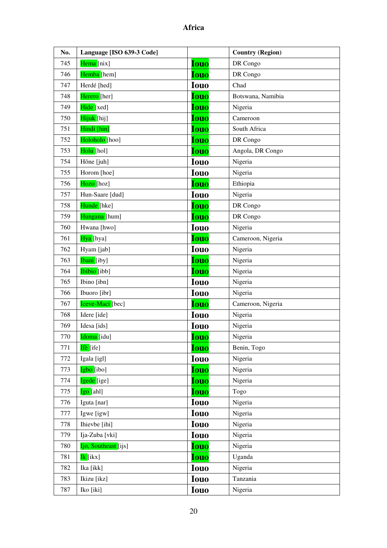| No. | Language [ISO 639-3 Code] |             | <b>Country (Region)</b> |
|-----|---------------------------|-------------|-------------------------|
| 745 | Hema [nix]                | <b>Iouo</b> | DR Congo                |
| 746 | Hemba [hem]               | <b>Iouo</b> | DR Congo                |
| 747 | Herdé [hed]               | <b>Iouo</b> | Chad                    |
| 748 | Herero [her]              | <b>Iouo</b> | Botswana, Namibia       |
| 749 | Hide [xed]                | <b>Iouo</b> | Nigeria                 |
| 750 | Hijuk [hij]               | <b>Iouo</b> | Cameroon                |
| 751 | Hindi [hin]               | <b>Iouo</b> | South Africa            |
| 752 | Holoholo [hoo]            | <b>Iouo</b> | DR Congo                |
| 753 | Holu [hol]                | <b>Iouo</b> | Angola, DR Congo        |
| 754 | Hõne [juh]                | <b>Iouo</b> | Nigeria                 |
| 755 | Horom [hoe]               | <b>Iouo</b> | Nigeria                 |
| 756 | Hozo [hoz]                | <b>Iouo</b> | Ethiopia                |
| 757 | Hun-Saare [dud]           | <b>Iouo</b> | Nigeria                 |
| 758 | Hunde [hke]               | <b>Iouo</b> | DR Congo                |
| 759 | Hungana [hum]             | <b>Iouo</b> | DR Congo                |
| 760 | Hwana [hwo]               | <b>Iouo</b> | Nigeria                 |
| 761 | Hya [hya]                 | Iouo        | Cameroon, Nigeria       |
| 762 | Hyam [jab]                | <b>Iouo</b> | Nigeria                 |
| 763 | Ibani [iby]               | <b>Iouo</b> | Nigeria                 |
| 764 | Ibibio [ibb]              | <b>Iouo</b> | Nigeria                 |
| 765 | Ibino [ibn]               | <b>Iouo</b> | Nigeria                 |
| 766 | Ibuoro [ibr]              | <b>Iouo</b> | Nigeria                 |
| 767 | Iceve-Maci [bec]          | <b>Iouo</b> | Cameroon, Nigeria       |
| 768 | Idere [ide]               | <b>Iouo</b> | Nigeria                 |
| 769 | Idesa [ids]               | <b>Iouo</b> | Nigeria                 |
| 770 | Idoma [idu]               | <u>Iouo</u> | Nigeria                 |
| 771 | Ifè [ife]                 | <b>Iouo</b> | Benin, Togo             |
| 772 | Igala [igl]               | <b>Iouo</b> | Nigeria                 |
| 773 | Igbo [ibo]                | <b>Iouo</b> | Nigeria                 |
| 774 | Igede [ige]               | Iouo        | Nigeria                 |
| 775 | <mark>Igo [</mark> ahl]   | Iouo        | Togo                    |
| 776 | Iguta [nar]               | <b>Iouo</b> | Nigeria                 |
| 777 | Igwe [igw]                | <b>Iouo</b> | Nigeria                 |
| 778 | Ihievbe [ihi]             | <b>Iouo</b> | Nigeria                 |
| 779 | Ija-Zuba [vki]            | <b>Iouo</b> | Nigeria                 |
| 780 | Ijo, Southeast [ijs]      | <b>Iouo</b> | Nigeria                 |
| 781 | Ik [ikx]                  | <b>Iouo</b> | Uganda                  |
| 782 | Ika [ikk]                 | <b>Iouo</b> | Nigeria                 |
| 783 | Ikizu [ikz]               | <b>Iouo</b> | Tanzania                |
| 787 | Iko [iki]                 | <b>Iouo</b> | Nigeria                 |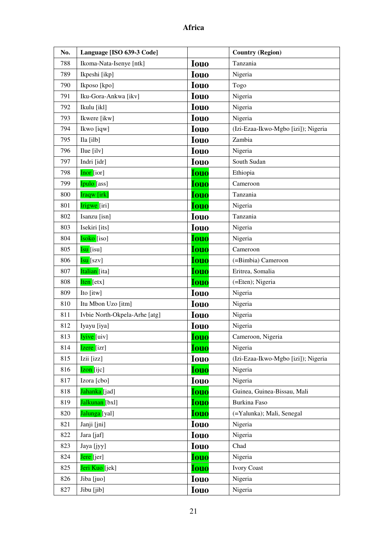| No. | Language [ISO 639-3 Code]     |             | <b>Country (Region)</b>             |
|-----|-------------------------------|-------------|-------------------------------------|
| 788 | Ikoma-Nata-Isenye [ntk]       | <b>Iouo</b> | Tanzania                            |
| 789 | Ikpeshi [ikp]                 | <b>Iouo</b> | Nigeria                             |
| 790 | Ikposo [kpo]                  | <b>Iouo</b> | Togo                                |
| 791 | Iku-Gora-Ankwa [ikv]          | <b>Iouo</b> | Nigeria                             |
| 792 | Ikulu [ikl]                   | <b>Iouo</b> | Nigeria                             |
| 793 | Ikwere [ikw]                  | <b>Iouo</b> | Nigeria                             |
| 794 | Ikwo [iqw]                    | <b>Iouo</b> | (Izi-Ezaa-Ikwo-Mgbo [izi]); Nigeria |
| 795 | Ila [ilb]                     | <b>Iouo</b> | Zambia                              |
| 796 | Ilue [ilv]                    | <b>Iouo</b> | Nigeria                             |
| 797 | Indri [idr]                   | <b>Iouo</b> | South Sudan                         |
| 798 | Inor [ior]                    | <b>Iouo</b> | Ethiopia                            |
| 799 | Ipulo [ass]                   | <b>Iouo</b> | Cameroon                            |
| 800 | Iraqw [irk]                   | <b>Iouo</b> | Tanzania                            |
| 801 | Irigwe [iri]                  | <b>Iouo</b> | Nigeria                             |
| 802 | Isanzu [isn]                  | <b>Iouo</b> | Tanzania                            |
| 803 | Isekiri [its]                 | <b>Iouo</b> | Nigeria                             |
| 804 | Isoko [iso]                   | <b>Iouo</b> | Nigeria                             |
| 805 | Isu [isu]                     | <b>Iouo</b> | Cameroon                            |
| 806 | <mark>Isu [</mark> szv]       | <b>Iouo</b> | (=Bimbia) Cameroon                  |
| 807 | Italian [ita]                 | <b>Iouo</b> | Eritrea, Somalia                    |
| 808 | Iten [etx]                    | <b>Iouo</b> | (=Eten); Nigeria                    |
| 809 | Ito [itw]                     | <b>Iouo</b> | Nigeria                             |
| 810 | Itu Mbon Uzo [itm]            | <b>Iouo</b> | Nigeria                             |
| 811 | Ivbie North-Okpela-Arhe [atg] | <b>Iouo</b> | Nigeria                             |
| 812 | Iyayu [iya]                   | <b>Iouo</b> | Nigeria                             |
| 813 | <b>Iyive</b> [uiv]            | <b>Iouo</b> | Cameroon, Nigeria                   |
| 814 | Izere [izr]                   | <b>Iouo</b> | Nigeria                             |
| 815 | Izii [izz]                    | <b>Iouo</b> | (Izi-Ezaa-Ikwo-Mgbo [izi]); Nigeria |
| 816 | <mark>Izon</mark> [ijc]       | <b>Iouo</b> | Nigeria                             |
| 817 | Izora [cbo]                   | <b>Iouo</b> | Nigeria                             |
| 818 | Jahanka [jad]                 | <b>Iouo</b> | Guinea, Guinea-Bissau, Mali         |
| 819 | Jalkunan [bxl]                | <b>Iouo</b> | <b>Burkina Faso</b>                 |
| 820 | Jalunga [yal]                 | <b>Iouo</b> | (=Yalunka); Mali, Senegal           |
| 821 | Janji [jni]                   | <b>Iouo</b> | Nigeria                             |
| 822 | Jara [jaf]                    | <b>Iouo</b> | Nigeria                             |
| 823 | Jaya [jyy]                    | <b>Iouo</b> | Chad                                |
| 824 | Jere [jer]                    | <b>Iouo</b> | Nigeria                             |
| 825 | Jeri Kuo [jek]                | <b>Iouo</b> | <b>Ivory Coast</b>                  |
| 826 | Jiba [juo]                    | <b>Iouo</b> | Nigeria                             |
| 827 | Jibu [jib]                    | <b>Iouo</b> | Nigeria                             |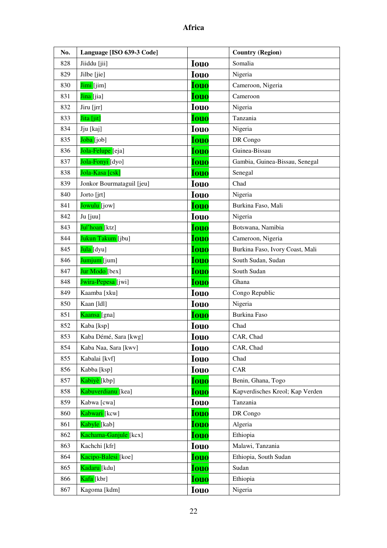| No. | Language [ISO 639-3 Code] |             | <b>Country (Region)</b>         |
|-----|---------------------------|-------------|---------------------------------|
| 828 | Jiiddu [jii]              | <b>Iouo</b> | Somalia                         |
| 829 | Jilbe [jie]               | <b>Iouo</b> | Nigeria                         |
| 830 | Jimi [jim]                | <b>Iouo</b> | Cameroon, Nigeria               |
| 831 | Jina [jia]                | <b>Iouo</b> | Cameroon                        |
| 832 | Jiru [jrr]                | <b>Iouo</b> | Nigeria                         |
| 833 | Jita [jit]                | <b>Iouo</b> | Tanzania                        |
| 834 | Jju [kaj]                 | <b>Iouo</b> | Nigeria                         |
| 835 | Joba [job]                | <b>Iouo</b> | DR Congo                        |
| 836 | Jola-Felupe [eja]         | <b>Iouo</b> | Guinea-Bissau                   |
| 837 | Jola-Fonyi [dyo]          | <b>Iouo</b> | Gambia, Guinea-Bissau, Senegal  |
| 838 | Jola-Kasa [csk]           | Iouo        | Senegal                         |
| 839 | Jonkor Bourmataguil [jeu] | <b>Iouo</b> | Chad                            |
| 840 | Jorto [jrt]               | <b>Iouo</b> | Nigeria                         |
| 841 | Jowulu [jow]              | <b>Iouo</b> | Burkina Faso, Mali              |
| 842 | Ju [juu]                  | <b>Iouo</b> | Nigeria                         |
| 843 | Jul'hoan [ktz]            | <b>Iouo</b> | Botswana, Namibia               |
| 844 | Jukun Takum [jbu]         | <b>Iouo</b> | Cameroon, Nigeria               |
| 845 | <mark>Jula [</mark> dyu]  | <b>Iouo</b> | Burkina Faso, Ivory Coast, Mali |
| 846 | Jumjum [jum]              | <b>Iouo</b> | South Sudan, Sudan              |
| 847 | Jur Modo [bex]            | <b>Iouo</b> | South Sudan                     |
| 848 | Jwira-Pepesa [jwi]        | <b>Iouo</b> | Ghana                           |
| 849 | Kaamba [xku]              | <b>Iouo</b> | Congo Republic                  |
| 850 | Kaan [ldl]                | <b>Iouo</b> | Nigeria                         |
| 851 | Kaansa [gna]              | <b>Iouo</b> | <b>Burkina Faso</b>             |
| 852 | Kaba [ksp]                | <b>Iouo</b> | Chad                            |
| 853 | Kaba Démé, Sara [kwg]     | <b>Iouo</b> | CAR, Chad                       |
| 854 | Kaba Naa, Sara [kwv]      | <b>Iouo</b> | CAR, Chad                       |
| 855 | Kabalai [kvf]             | <b>Iouo</b> | Chad                            |
| 856 | Kabba [ksp]               | <b>Iouo</b> | CAR                             |
| 857 | Kabiyè [kbp]              | <b>Iouo</b> | Benin, Ghana, Togo              |
| 858 | Kabuverdianu [kea]        | <b>Iouo</b> | Kapverdisches Kreol; Kap Verden |
| 859 | Kabwa [cwa]               | <b>Iouo</b> | Tanzania                        |
| 860 | Kabwari [kcw]             | <b>Iouo</b> | DR Congo                        |
| 861 | Kabyle [kab]              | <b>Iouo</b> | Algeria                         |
| 862 | Kachama-Ganjule [kcx]     | <b>Iouo</b> | Ethiopia                        |
| 863 | Kachchi [kfr]             | <b>Iouo</b> | Malawi, Tanzania                |
| 864 | Kacipo-Balesi [koe]       | <b>Iouo</b> | Ethiopia, South Sudan           |
| 865 | Kadaru [kdu]              | <b>Iouo</b> | Sudan                           |
| 866 | Kafa [kbr]                | <b>Iouo</b> | Ethiopia                        |
| 867 | Kagoma [kdm]              | <b>Iouo</b> | Nigeria                         |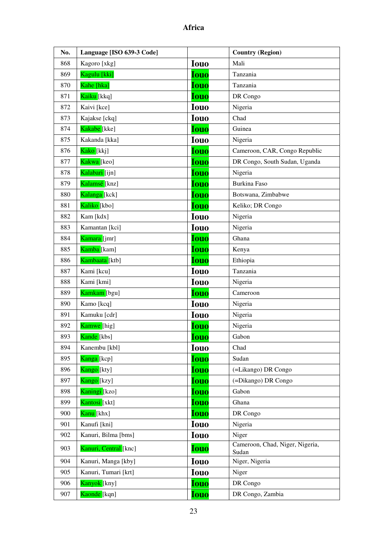| No. | Language [ISO 639-3 Code] |             | <b>Country (Region)</b>                  |
|-----|---------------------------|-------------|------------------------------------------|
| 868 | Kagoro [xkg]              | <b>Iouo</b> | Mali                                     |
| 869 | Kagulu [kki]              | <b>Iouo</b> | Tanzania                                 |
| 870 | Kahe [hka]                | <b>Iouo</b> | Tanzania                                 |
| 871 | Kaiku [kkq]               | <b>Iouo</b> | DR Congo                                 |
| 872 | Kaivi [kce]               | <b>Iouo</b> | Nigeria                                  |
| 873 | Kajakse [ckq]             | <b>Iouo</b> | Chad                                     |
| 874 | Kakabe [kke]              | <b>Iouo</b> | Guinea                                   |
| 875 | Kakanda [kka]             | <b>Iouo</b> | Nigeria                                  |
| 876 | Kako [kkj]                | <b>Iouo</b> | Cameroon, CAR, Congo Republic            |
| 877 | Kakwa [keo]               | <b>Iouo</b> | DR Congo, South Sudan, Uganda            |
| 878 | Kalabari [ijn]            | <b>Iouo</b> | Nigeria                                  |
| 879 | Kalamsé [knz]             | <b>Iouo</b> | Burkina Faso                             |
| 880 | Kalanga [kck]             | <b>Iouo</b> | Botswana, Zimbabwe                       |
| 881 | Kaliko [kbo]              | <b>Iouo</b> | Keliko; DR Congo                         |
| 882 | Kam [kdx]                 | <b>Iouo</b> | Nigeria                                  |
| 883 | Kamantan [kci]            | <b>Iouo</b> | Nigeria                                  |
| 884 | Kamara [jmr]              | <b>Iouo</b> | Ghana                                    |
| 885 | Kamba [kam]               | <b>Iouo</b> | Kenya                                    |
| 886 | Kambaata [ktb]            | <b>Iouo</b> | Ethiopia                                 |
| 887 | Kami [kcu]                | <b>Iouo</b> | Tanzania                                 |
| 888 | Kami [kmi]                | <b>Iouo</b> | Nigeria                                  |
| 889 | Kamkam [bgu]              | <b>Iouo</b> | Cameroon                                 |
| 890 | Kamo [kcq]                | <b>Iouo</b> | Nigeria                                  |
| 891 | Kamuku [cdr]              | <b>Iouo</b> | Nigeria                                  |
| 892 | Kamwe [hig]               | Iouo        | Nigeria                                  |
| 893 | Kande [kbs]               | <u>Iouo</u> | Gabon                                    |
| 894 | Kanembu [kbl]             | <b>Iouo</b> | Chad                                     |
| 895 | Kanga [kcp]               | <b>Iouo</b> | Sudan                                    |
| 896 | Kango [kty]               | <b>Iouo</b> | (=Likango) DR Congo                      |
| 897 | Kango [kzy]               | Iouo        | (=Dikango) DR Congo                      |
| 898 | Kaningi [kzo]             | <b>Iouo</b> | Gabon                                    |
| 899 | Kantosi [xkt]             | <b>Iouo</b> | Ghana                                    |
| 900 | Kanu [khx]                | <b>Iouo</b> | DR Congo                                 |
| 901 | Kanufi [kni]              | <b>Iouo</b> | Nigeria                                  |
| 902 | Kanuri, Bilma [bms]       | <b>Iouo</b> | Niger                                    |
| 903 | Kanuri, Central [knc]     | <b>Iouo</b> | Cameroon, Chad, Niger, Nigeria,<br>Sudan |
| 904 | Kanuri, Manga [kby]       | <b>Iouo</b> | Niger, Nigeria                           |
| 905 | Kanuri, Tumari [krt]      | <b>Iouo</b> | Niger                                    |
| 906 | Kanyok [kny]              | <b>Iouo</b> | DR Congo                                 |
| 907 | Kaonde <sup>[kqn]</sup>   | <b>Iouo</b> | DR Congo, Zambia                         |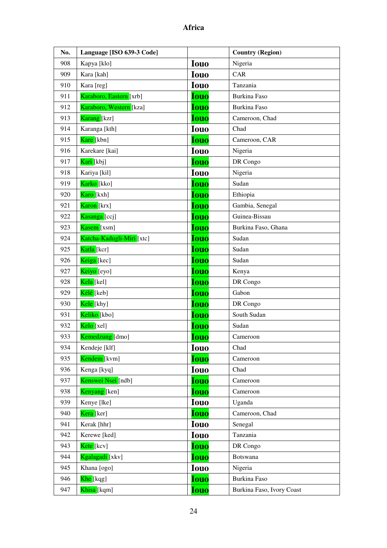| No. | Language [ISO 639-3 Code] |             | <b>Country (Region)</b>   |
|-----|---------------------------|-------------|---------------------------|
| 908 | Kapya [klo]               | <b>Iouo</b> | Nigeria                   |
| 909 | Kara [kah]                | <b>Iouo</b> | CAR                       |
| 910 | Kara [reg]                | <b>Iouo</b> | Tanzania                  |
| 911 | Karaboro, Eastern [xrb]   | <b>Iouo</b> | <b>Burkina Faso</b>       |
| 912 | Karaboro, Western [kza]   | <b>Iouo</b> | Burkina Faso              |
| 913 | Karang [kzr]              | <b>Iouo</b> | Cameroon, Chad            |
| 914 | Karanga [kth]             | <b>Iouo</b> | Chad                      |
| 915 | Kare [kbn]                | <b>Iouo</b> | Cameroon, CAR             |
| 916 | Karekare [kai]            | <b>Iouo</b> | Nigeria                   |
| 917 | <mark>Kari [</mark> kbj]  | <b>Iouo</b> | DR Congo                  |
| 918 | Kariya [kil]              | <b>Iouo</b> | Nigeria                   |
| 919 | Karko [kko]               | <b>Iouo</b> | Sudan                     |
| 920 | Karo [kxh]                | <b>Iouo</b> | Ethiopia                  |
| 921 | Karon [krx]               | <b>Iouo</b> | Gambia, Senegal           |
| 922 | Kasanga [ccj]             | <b>Iouo</b> | Guinea-Bissau             |
| 923 | Kasem [xsm]               | <b>Iouo</b> | Burkina Faso, Ghana       |
| 924 | Katcha-Kadugli-Miri [xtc] | <b>Iouo</b> | Sudan                     |
| 925 | Katla [kcr]               | <b>Iouo</b> | Sudan                     |
| 926 | Keiga [kec]               | <b>Iouo</b> | Sudan                     |
| 927 | Keiyo [eyo]               | <b>Iouo</b> | Kenya                     |
| 928 | Kela [kel]                | <b>Iouo</b> | DR Congo                  |
| 929 | Kélé [keb]                | <b>Iouo</b> | Gabon                     |
| 930 | Kele [khy]                | <b>Iouo</b> | DR Congo                  |
| 931 | Keliko [kbo]              | <b>Iouo</b> | South Sudan               |
| 932 | Kelo [xel]                | <b>Iouo</b> | Sudan                     |
| 933 | Kemedzung [dmo]           | <b>Iouo</b> | Cameroon                  |
| 934 | Kendeje [klf]             | <b>Iouo</b> | Chad                      |
| 935 | Kendem <sup>[kvm]</sup>   | <b>Iouo</b> | Cameroon                  |
| 936 | Kenga [kyq]               | <b>Iouo</b> | Chad                      |
| 937 | Kenswei Nsei [ndb]        | <b>Iouo</b> | Cameroon                  |
| 938 | Kenyang [ken]             | <b>Iouo</b> | Cameroon                  |
| 939 | Kenye [lke]               | <b>Iouo</b> | Uganda                    |
| 940 | Kera [ker]                | <b>Iouo</b> | Cameroon, Chad            |
| 941 | Kerak [hhr]               | <b>Iouo</b> | Senegal                   |
| 942 | Kerewe [ked]              | <b>Iouo</b> | Tanzania                  |
| 943 | Kete [kcv]                | <b>Iouo</b> | DR Congo                  |
| 944 | Kgalagadi [xkv]           | <b>Iouo</b> | Botswana                  |
| 945 | Khana [ogo]               | <b>Iouo</b> | Nigeria                   |
| 946 | <mark>Khe [</mark> kqg]   | <b>Iouo</b> | Burkina Faso              |
| 947 | Khisa [kqm]               | <b>Iouo</b> | Burkina Faso, Ivory Coast |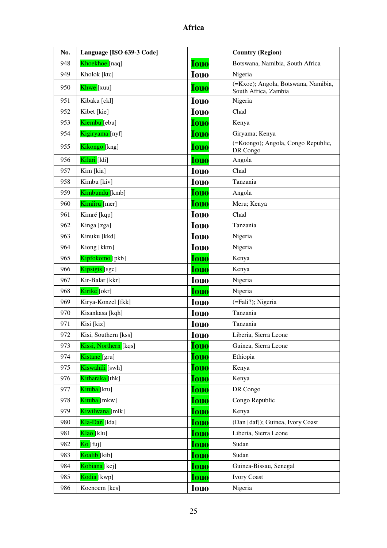| No. | Language [ISO 639-3 Code] |             | <b>Country (Region)</b>                                     |
|-----|---------------------------|-------------|-------------------------------------------------------------|
| 948 | Khoekhoe [naq]            | <b>Iouo</b> | Botswana, Namibia, South Africa                             |
| 949 | Kholok [ktc]              | <b>Iouo</b> | Nigeria                                                     |
| 950 | Khwe [xuu]                | <b>Iouo</b> | (=Kxoe); Angola, Botswana, Namibia,<br>South Africa, Zambia |
| 951 | Kibaku [ckl]              | <b>Iouo</b> | Nigeria                                                     |
| 952 | Kibet [kie]               | <b>Iouo</b> | Chad                                                        |
| 953 | Kiembu [ebu]              | <b>Iouo</b> | Kenya                                                       |
| 954 | Kigiryama [nyf]           | <b>Iouo</b> | Giryama; Kenya                                              |
| 955 | Kikongo [kng]             | <b>Iouo</b> | (=Koongo); Angola, Congo Republic,<br>DR Congo              |
| 956 | Kilari [ldi]              | <b>Iouo</b> | Angola                                                      |
| 957 | Kim [kia]                 | <b>Iouo</b> | Chad                                                        |
| 958 | Kimbu [kiv]               | <b>Iouo</b> | Tanzania                                                    |
| 959 | Kimbundu [kmb]            | <b>Iouo</b> | Angola                                                      |
| 960 | Kimîîru [mer]             | <b>Iouo</b> | Meru; Kenya                                                 |
| 961 | Kimré [kqp]               | <b>Iouo</b> | Chad                                                        |
| 962 | Kinga [zga]               | <b>Iouo</b> | Tanzania                                                    |
| 963 | Kinuku [kkd]              | <b>Iouo</b> | Nigeria                                                     |
| 964 | Kiong [kkm]               | <b>Iouo</b> | Nigeria                                                     |
| 965 | Kipfokomo [pkb]           | Iouo        | Kenya                                                       |
| 966 | Kipsigis [sgc]            | <b>Iouo</b> | Kenya                                                       |
| 967 | Kir-Balar [kkr]           | <b>Iouo</b> | Nigeria                                                     |
| 968 | Kirike [okr]              | <b>Iouo</b> | Nigeria                                                     |
| 969 | Kirya-Konzel [fkk]        | <b>Iouo</b> | (=Fali?); Nigeria                                           |
| 970 | Kisankasa [kqh]           | <b>Iouo</b> | Tanzania                                                    |
| 971 | Kisi [kiz]                | <b>Iouo</b> | Tanzania                                                    |
| 972 | Kisi, Southern [kss]      | <b>Iouo</b> | Liberia, Sierra Leone                                       |
| 973 | Kissi, Northern [kqs]     | <b>Iouo</b> | Guinea, Sierra Leone                                        |
| 974 | Kistane [gru]             | <b>Iouo</b> | Ethiopia                                                    |
| 975 | Kiswahili [swh]           | <b>Iouo</b> | Kenya                                                       |
| 976 | Kitharaka [thk]           | <b>Iouo</b> | Kenya                                                       |
| 977 | Kituba [ktu]              | <b>Iouo</b> | DR Congo                                                    |
| 978 | Kituba [mkw]              | <b>Iouo</b> | Congo Republic                                              |
| 979 | Kiwilwana [mlk]           | Iouo        | Kenya                                                       |
| 980 | Kla-Dan [lda]             | <b>Iouo</b> | (Dan [daf]); Guinea, Ivory Coast                            |
| 981 | Klao [klu]                | <b>Iouo</b> | Liberia, Sierra Leone                                       |
| 982 | Ko [fuj]                  | <b>Iouo</b> | Sudan                                                       |
| 983 | Koalib [kib]              | <b>Iouo</b> | Sudan                                                       |
| 984 | Kobiana [kcj]             | <b>Iouo</b> | Guinea-Bissau, Senegal                                      |
| 985 | Kodia [kwp]               | <b>Iouo</b> | <b>Ivory Coast</b>                                          |
| 986 | Koenoem [kcs]             | <b>Iouo</b> | Nigeria                                                     |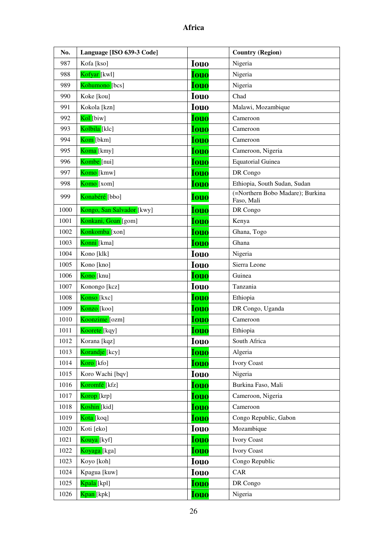| No.  | Language [ISO 639-3 Code] |             | <b>Country (Region)</b>                        |
|------|---------------------------|-------------|------------------------------------------------|
| 987  | Kofa [kso]                | <b>Iouo</b> | Nigeria                                        |
| 988  | Kofyar [kwl]              | <b>Iouo</b> | Nigeria                                        |
| 989  | Kohumono [bcs]            | <b>Iouo</b> | Nigeria                                        |
| 990  | Koke [kou]                | <b>Iouo</b> | Chad                                           |
| 991  | Kokola [kzn]              | <b>Iouo</b> | Malawi, Mozambique                             |
| 992  | Kol [biw]                 | <b>Iouo</b> | Cameroon                                       |
| 993  | Kolbila [klc]             | <b>Iouo</b> | Cameroon                                       |
| 994  | Kom [bkm]                 | <b>Iouo</b> | Cameroon                                       |
| 995  | Koma [kmy]                | <b>Iouo</b> | Cameroon, Nigeria                              |
| 996  | Kombe [nui]               | <b>Iouo</b> | <b>Equatorial Guinea</b>                       |
| 997  | Komo [kmw]                | <b>Iouo</b> | DR Congo                                       |
| 998  | Komo [xom]                | <b>Iouo</b> | Ethiopia, South Sudan, Sudan                   |
| 999  | Konabéré [bbo]            | <b>Iouo</b> | (=Northern Bobo Madare); Burkina<br>Faso, Mali |
| 1000 | Kongo, San Salvador [kwy] | <b>Iouo</b> | DR Congo                                       |
| 1001 | Konkani, Goan [gom]       | <b>Iouo</b> | Kenya                                          |
| 1002 | Konkomba [xon]            | <b>Iouo</b> | Ghana, Togo                                    |
| 1003 | Konni [kma]               | <b>Iouo</b> | Ghana                                          |
| 1004 | Kono [klk]                | <b>Iouo</b> | Nigeria                                        |
| 1005 | Kono [kno]                | <b>Iouo</b> | Sierra Leone                                   |
| 1006 | Kono [knu]                | <b>Iouo</b> | Guinea                                         |
| 1007 | Konongo [kcz]             | <b>Iouo</b> | Tanzania                                       |
| 1008 | Konso [kxc]               | <b>Iouo</b> | Ethiopia                                       |
| 1009 | Konzo [koo]               | <b>Iouo</b> | DR Congo, Uganda                               |
| 1010 | Koonzime [ozm]            | <b>Iouo</b> | Cameroon                                       |
| 1011 | Koorete <sup>[kqy]</sup>  | <b>Iouo</b> | Ethiopia                                       |
| 1012 | Korana [kqz]              | <b>Iouo</b> | South Africa                                   |
| 1013 | Korandje [kcy]            | <b>Iouo</b> | Algeria                                        |
| 1014 | Koro [kfo]                | <b>Iouo</b> | <b>Ivory Coast</b>                             |
| 1015 | Koro Wachi [bqv]          | <b>Iouo</b> | Nigeria                                        |
| 1016 | Koromfé [kfz]             | <b>Iouo</b> | Burkina Faso, Mali                             |
| 1017 | Korop <sup>[krp]</sup>    | <b>Iouo</b> | Cameroon, Nigeria                              |
| 1018 | Koshin [kid]              | <b>Iouo</b> | Cameroon                                       |
| 1019 | Kota [koq]                | <b>Iouo</b> | Congo Republic, Gabon                          |
| 1020 | Koti [eko]                | <b>Iouo</b> | Mozambique                                     |
| 1021 | Kouya [kyf]               | <b>Iouo</b> | <b>Ivory Coast</b>                             |
| 1022 | Koyaga <sup>[kga]</sup>   | <b>Iouo</b> | <b>Ivory Coast</b>                             |
| 1023 | Koyo [koh]                | <b>Iouo</b> | Congo Republic                                 |
| 1024 | Kpagua [kuw]              | <b>Iouo</b> | CAR                                            |
| 1025 | Kpala [kpl]               | <b>Iouo</b> | DR Congo                                       |
| 1026 | Kpan [kpk]                | <b>Iouo</b> | Nigeria                                        |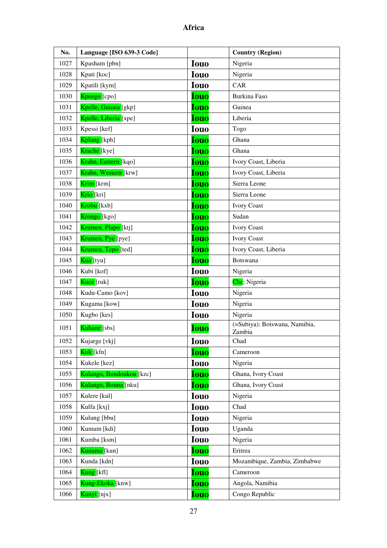| No.  | Language [ISO 639-3 Code] |             | <b>Country (Region)</b>                 |
|------|---------------------------|-------------|-----------------------------------------|
| 1027 | Kpasham [pbn]             | <b>Iouo</b> | Nigeria                                 |
| 1028 | Kpati [koc]               | <b>Iouo</b> | Nigeria                                 |
| 1029 | Kpatili [kym]             | <b>Iouo</b> | CAR                                     |
| 1030 | Kpeego [cpo]              | <b>Iouo</b> | <b>Burkina Faso</b>                     |
| 1031 | Kpelle, Guinea [gkp]      | <b>Iouo</b> | Guinea                                  |
| 1032 | Kpelle, Liberia [xpe]     | <b>Iouo</b> | Liberia                                 |
| 1033 | Kpessi [kef]              | <b>Iouo</b> | Togo                                    |
| 1034 | Kplang [kph]              | <b>Iouo</b> | Ghana                                   |
| 1035 | Krache [kye]              | <b>Iouo</b> | Ghana                                   |
| 1036 | Krahn, Eastern [kqo]      | <b>Iouo</b> | Ivory Coast, Liberia                    |
| 1037 | Krahn, Western [krw]      | <b>Iouo</b> | Ivory Coast, Liberia                    |
| 1038 | Krim [krm]                | <b>Iouo</b> | Sierra Leone                            |
| 1039 | Krio [kri]                | <b>Iouo</b> | Sierra Leone                            |
| 1040 | Krobu [kxb]               | <b>Iouo</b> | <b>Ivory Coast</b>                      |
| 1041 | Krongo <sup>[kgo]</sup>   | <b>Iouo</b> | Sudan                                   |
| 1042 | Krumen, Plapo [ktj]       | <b>Iouo</b> | <b>Ivory Coast</b>                      |
| 1043 | Krumen, Pye [pye]         | <b>Iouo</b> | <b>Ivory Coast</b>                      |
| 1044 | Krumen, Tepo [ted]        | <b>Iouo</b> | Ivory Coast, Liberia                    |
| 1045 | <mark>Kua [</mark> tyu]   | <b>Iouo</b> | Botswana                                |
| 1046 | Kubi [kof]                | <b>Iouo</b> | Nigeria                                 |
| 1047 | Kuce [ruk]                | <b>Iouo</b> | Che; Nigeria                            |
| 1048 | Kudu-Camo [kov]           | <b>Iouo</b> | Nigeria                                 |
| 1049 | Kugama [kow]              | <b>Iouo</b> | Nigeria                                 |
| 1050 | Kugbo [kes]               | <b>Iouo</b> | Nigeria                                 |
| 1051 | Kuhane <sup>[sbs]</sup>   | <b>Iouo</b> | (=Subiya); Botswana, Namibia,<br>Zambia |
| 1052 | Kujarge [vkj]             | <b>Iouo</b> | Chad                                    |
| 1053 | Kuk [kfn]                 | <b>Iouo</b> | Cameroon                                |
| 1054 | Kukele [kez]              | <b>Iouo</b> | Nigeria                                 |
| 1055 | Kulango, Bondoukou [kzc]  | Iouo        | Ghana, Ivory Coast                      |
| 1056 | Kulango, Bouna [nku]      | <b>Iouo</b> | Ghana, Ivory Coast                      |
| 1057 | Kulere [kul]              | <b>Iouo</b> | Nigeria                                 |
| 1058 | Kulfa [kxj]               | <b>Iouo</b> | Chad                                    |
| 1059 | Kulung [bbu]              | <b>Iouo</b> | Nigeria                                 |
| 1060 | Kumam [kdi]               | <b>Iouo</b> | Uganda                                  |
| 1061 | Kumba [ksm]               | <b>Iouo</b> | Nigeria                                 |
| 1062 | Kunama [kun]              | <b>Iouo</b> | Eritrea                                 |
| 1063 | Kunda [kdn]               | <b>Iouo</b> | Mozambique, Zambia, Zimbabwe            |
| 1064 | Kung [kfl]                | <b>Iouo</b> | Cameroon                                |
| 1065 | Kung-Ekoka [knw]          | <b>Iouo</b> | Angola, Namibia                         |
| 1066 | Kunyi [njx]               | <b>Iouo</b> | Congo Republic                          |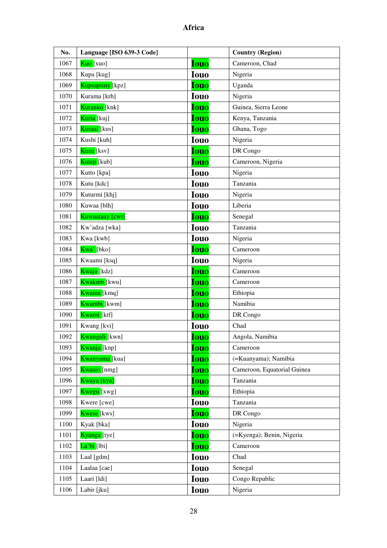| No.  | Language [ISO 639-3 Code]   |             | <b>Country (Region)</b>     |
|------|-----------------------------|-------------|-----------------------------|
| 1067 | Kuo [xuo]                   | <b>Iouo</b> | Cameroon, Chad              |
| 1068 | Kupa [kug]                  | <b>Iouo</b> | Nigeria                     |
| 1069 | Kupsapiiny [kpz]            | <b>Iouo</b> | Uganda                      |
| 1070 | Kurama [krh]                | <b>Iouo</b> | Nigeria                     |
| 1071 | Kuranko [knk]               | <b>Iouo</b> | Guinea, Sierra Leone        |
| 1072 | Kuria [kuj]                 | <b>Iouo</b> | Kenya, Tanzania             |
| 1073 | Kusaal [kus]                | <b>Iouo</b> | Ghana, Togo                 |
| 1074 | Kushi [kuh]                 | <b>Iouo</b> | Nigeria                     |
| 1075 | Kusu [ksv]                  | <b>Iouo</b> | DR Congo                    |
| 1076 | Kutep [kub]                 | <b>Iouo</b> | Cameroon, Nigeria           |
| 1077 | Kutto [kpa]                 | <b>Iouo</b> | Nigeria                     |
| 1078 | Kutu [kdc]                  | <b>Iouo</b> | Tanzania                    |
| 1079 | Kuturmi [khj]               | <b>Iouo</b> | Nigeria                     |
| 1080 | Kuwaa [blh]                 | <b>Iouo</b> | Liberia                     |
| 1081 | Kuwaataay [cwt]             | <b>Iouo</b> | Senegal                     |
| 1082 | Kw'adza [wka]               | <b>Iouo</b> | Tanzania                    |
| 1083 | Kwa [kwb]                   | <b>Iouo</b> | Nigeria                     |
| 1084 | Kwa'[bko]                   | <b>Iouo</b> | Cameroon                    |
| 1085 | Kwaami [ksq]                | <b>Iouo</b> | Nigeria                     |
| 1086 | Kwaja [kdz]                 | <b>Iouo</b> | Cameroon                    |
| 1087 | Kwakum [kwu]                | <b>Iouo</b> | Cameroon                    |
| 1088 | Kwama [kmq]                 | <b>Iouo</b> | Ethiopia                    |
| 1089 | Kwambi [kwm]                | <b>Iouo</b> | Namibia                     |
| 1090 | Kwami [ktf]                 | <b>Iouo</b> | DR Congo                    |
| 1091 | Kwang [kvi]                 | <b>Iouo</b> | Chad                        |
| 1092 | <mark>Kwangali</mark> [kwn] | <b>Iouo</b> | Angola, Namibia             |
| 1093 | Kwanja [knp]                | Iouo        | Cameroon                    |
| 1094 | Kwanyama [kua]              | <b>Iouo</b> | (=Kuanyama); Namibia        |
| 1095 | Kwasio [nmg]                | <u>Iouo</u> | Cameroon, Equatorial Guinea |
| 1096 | Kwaya [kya]                 | <b>Iouo</b> | Tanzania                    |
| 1097 | Kwegu [xwg]                 | <b>Iouo</b> | Ethiopia                    |
| 1098 | Kwere [cwe]                 | <b>Iouo</b> | Tanzania                    |
| 1099 | Kwese [kws]                 | <b>Iouo</b> | DR Congo                    |
| 1100 | Kyak [bka]                  | <b>Iouo</b> | Nigeria                     |
| 1101 | Kyanga [tye]                | <b>Iouo</b> | (=Kyenga); Benin, Nigeria   |
| 1102 | <mark>La'bi</mark> [lbi]    | <b>Iouo</b> | Cameroon                    |
| 1103 | Laal [gdm]                  | <b>Iouo</b> | Chad                        |
| 1104 | Laalaa [cae]                | <b>Iouo</b> | Senegal                     |
| 1105 | Laari [ldi]                 | <b>Iouo</b> | Congo Republic              |
| 1106 | Labir [jku]                 | <b>Iouo</b> | Nigeria                     |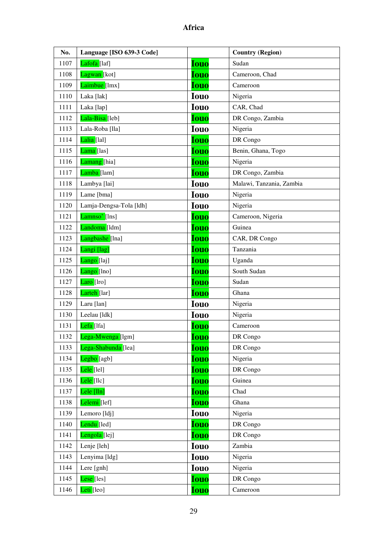| No.  | Language [ISO 639-3 Code] |             | <b>Country (Region)</b>  |
|------|---------------------------|-------------|--------------------------|
| 1107 | Lafofa <sup>[1af]</sup>   | <b>Iouo</b> | Sudan                    |
| 1108 | Lagwan [kot]              | <b>Iouo</b> | Cameroon, Chad           |
| 1109 | Laimbue [lmx]             | <b>Iouo</b> | Cameroon                 |
| 1110 | Laka [lak]                | <b>Iouo</b> | Nigeria                  |
| 1111 | Laka [lap]                | <b>Iouo</b> | CAR, Chad                |
| 1112 | Lala-Bisa [leb]           | <b>Iouo</b> | DR Congo, Zambia         |
| 1113 | Lala-Roba [lla]           | <b>Iouo</b> | Nigeria                  |
| 1114 | Lalia [lal]               | <b>Iouo</b> | DR Congo                 |
| 1115 | Lama [las]                | <b>Iouo</b> | Benin, Ghana, Togo       |
| 1116 | Lamang [hia]              | <b>Iouo</b> | Nigeria                  |
| 1117 | Lamba [lam]               | <b>Iouo</b> | DR Congo, Zambia         |
| 1118 | Lambya [lai]              | <b>Iouo</b> | Malawi, Tanzania, Zambia |
| 1119 | Lame [bma]                | <b>Iouo</b> | Nigeria                  |
| 1120 | Lamja-Dengsa-Tola [ldh]   | <b>Iouo</b> | Nigeria                  |
| 1121 | Lamnso' [lns]             | <b>Iouo</b> | Cameroon, Nigeria        |
| 1122 | Landoma <sup>[1dm]</sup>  | <b>Iouo</b> | Guinea                   |
| 1123 | Langbashe [lna]           | <b>Iouo</b> | CAR, DR Congo            |
| 1124 | Langi [lag]               | <b>Iouo</b> | Tanzania                 |
| 1125 | Lango [laj]               | <b>Iouo</b> | Uganda                   |
| 1126 | Lango [lno]               | <b>Iouo</b> | South Sudan              |
| 1127 | Laro [lro]                | <b>Iouo</b> | Sudan                    |
| 1128 | Larteh [lar]              | <b>Iouo</b> | Ghana                    |
| 1129 | Laru [lan]                | <b>Iouo</b> | Nigeria                  |
| 1130 | Leelau [ldk]              | <b>Iouo</b> | Nigeria                  |
| 1131 | Lefa [lfa]                | <b>Iouo</b> | Cameroon                 |
| 1132 | Lega-Mwenga [lgm]         | <b>Iouo</b> | DR Congo                 |
| 1133 | Lega-Shabunda [lea]       | <b>Iouo</b> | DR Congo                 |
| 1134 | Legbo [agb]               | <b>Iouo</b> | Nigeria                  |
| 1135 | Lele [lel]                | <b>Iouo</b> | DR Congo                 |
| 1136 | Lele [llc]                | <b>Iouo</b> | Guinea                   |
| 1137 | Lele [lln]                | <b>Iouo</b> | Chad                     |
| 1138 | Lelemi <sup>[lef]</sup>   | <b>Iouo</b> | Ghana                    |
| 1139 | Lemoro [ldj]              | <b>Iouo</b> | Nigeria                  |
| 1140 | Lendu <sup>[led]</sup>    | <b>Iouo</b> | DR Congo                 |
| 1141 | Lengola <sup>[lej]</sup>  | <b>Iouo</b> | DR Congo                 |
| 1142 | Lenje [leh]               | <b>Iouo</b> | Zambia                   |
| 1143 | Lenyima [ldg]             | <b>Iouo</b> | Nigeria                  |
| 1144 | Lere [gnh]                | <b>Iouo</b> | Nigeria                  |
| 1145 | Lese [les]                | <b>Iouo</b> | DR Congo                 |
| 1146 | Leti [leo]                | Iouo        | Cameroon                 |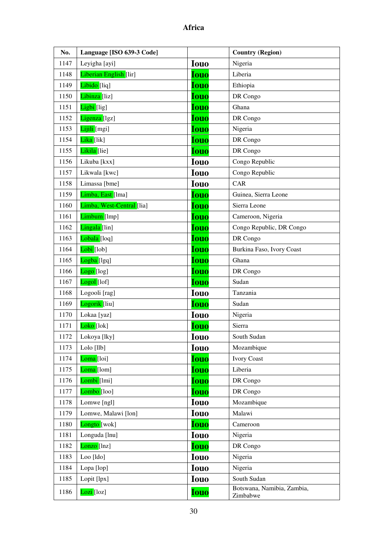| No.  | Language [ISO 639-3 Code] |             | <b>Country (Region)</b>                |
|------|---------------------------|-------------|----------------------------------------|
| 1147 | Leyigha [ayi]             | <b>Iouo</b> | Nigeria                                |
| 1148 | Liberian English [lir]    | <b>Iouo</b> | Liberia                                |
| 1149 | Libido [liq]              | <b>Iouo</b> | Ethiopia                               |
| 1150 | Libinza [liz]             | <b>Iouo</b> | DR Congo                               |
| 1151 | Ligbi [lig]               | <b>Iouo</b> | Ghana                                  |
| 1152 | Ligenza [lgz]             | <b>Iouo</b> | DR Congo                               |
| 1153 | Lijili [mgi]              | <b>Iouo</b> | Nigeria                                |
| 1154 | <mark>Lika [</mark> lik]  | <b>Iouo</b> | DR Congo                               |
| 1155 | Likila [lie]              | <b>Iouo</b> | DR Congo                               |
| 1156 | Likuba [kxx]              | <b>Iouo</b> | Congo Republic                         |
| 1157 | Likwala [kwc]             | <b>Iouo</b> | Congo Republic                         |
| 1158 | Limassa [bme]             | <b>Iouo</b> | CAR                                    |
| 1159 | Limba, East [lma]         | <b>Iouo</b> | Guinea, Sierra Leone                   |
| 1160 | Limba, West-Central [lia] | <b>Iouo</b> | Sierra Leone                           |
| 1161 | Limbum [lmp]              | <b>Iouo</b> | Cameroon, Nigeria                      |
| 1162 | Lingala <sup>[lin]</sup>  | <b>Iouo</b> | Congo Republic, DR Congo               |
| 1163 | Lobala [loq]              | <b>Iouo</b> | DR Congo                               |
| 1164 | <mark>Lobi</mark> [lob]   | <b>Iouo</b> | Burkina Faso, Ivory Coast              |
| 1165 | Logba <sup>[1gq]</sup>    | <b>Iouo</b> | Ghana                                  |
| 1166 | Logo <sup>[log]</sup>     | <b>Iouo</b> | DR Congo                               |
| 1167 | Logol [lof]               | <b>Iouo</b> | Sudan                                  |
| 1168 | Logooli [rag]             | <b>Iouo</b> | Tanzania                               |
| 1169 | Logorik [liu]             | <b>Iouo</b> | Sudan                                  |
| 1170 | Lokaa [yaz]               | <b>Iouo</b> | Nigeria                                |
| 1171 | Loko [lok]                | <b>Iouo</b> | Sierra                                 |
| 1172 | Lokoya [lky]              | <b>Iouo</b> | South Sudan                            |
| 1173 | Lolo [llb]                | <b>Iouo</b> | Mozambique                             |
| 1174 | Loma <sup>[loi]</sup>     | <b>Iouo</b> | <b>Ivory Coast</b>                     |
| 1175 | Loma <sup>[lom]</sup>     | <b>Iouo</b> | Liberia                                |
| 1176 | Lombi [lmi]               | <b>Iouo</b> | DR Congo                               |
| 1177 | Lombo <sup>[loo]</sup>    | <b>Iouo</b> | DR Congo                               |
| 1178 | Lomwe [ngl]               | <b>Iouo</b> | Mozambique                             |
| 1179 | Lomwe, Malawi [lon]       | <b>Iouo</b> | Malawi                                 |
| 1180 | Longto [wok]              | <b>Iouo</b> | Cameroon                               |
| 1181 | Longuda [lnu]             | <b>Iouo</b> | Nigeria                                |
| 1182 | Lonzo [lnz]               | <b>Iouo</b> | DR Congo                               |
| 1183 | Loo [ldo]                 | <b>Iouo</b> | Nigeria                                |
| 1184 | Lopa [lop]                | <b>Iouo</b> | Nigeria                                |
| 1185 | Lopit [lpx]               | <b>Iouo</b> | South Sudan                            |
| 1186 | Lozi [loz]                | <b>Iouo</b> | Botswana, Namibia, Zambia,<br>Zimbabwe |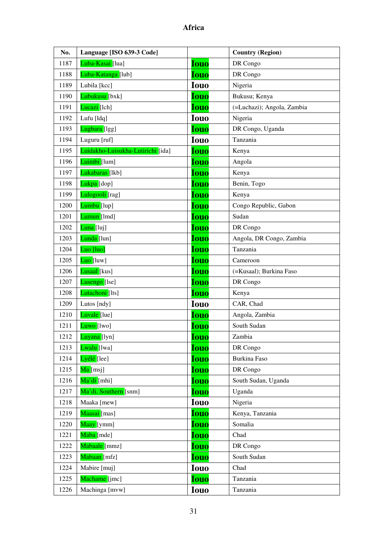| No.  | Language [ISO 639-3 Code]         |             | <b>Country (Region)</b>    |
|------|-----------------------------------|-------------|----------------------------|
| 1187 | Luba-Kasai [lua]                  | <b>Iouo</b> | DR Congo                   |
| 1188 | Luba-Katanga [lub]                | <b>Iouo</b> | DR Congo                   |
| 1189 | Lubila [kcc]                      | <b>Iouo</b> | Nigeria                    |
| 1190 | Lubukusu [bxk]                    | <b>Iouo</b> | Bukusu; Kenya              |
| 1191 | Lucazi [lch]                      | <b>Iouo</b> | (=Luchazi); Angola, Zambia |
| 1192 | Lufu [ldq]                        | <b>Iouo</b> | Nigeria                    |
| 1193 | Lugbara [lgg]                     | <b>Iouo</b> | DR Congo, Uganda           |
| 1194 | Luguru [ruf]                      | <b>Iouo</b> | Tanzania                   |
| 1195 | Luidakho-Luisukha-Lutirichi [ida] | <b>Iouo</b> | Kenya                      |
| 1196 | Luimbi [lum]                      | <b>Iouo</b> | Angola                     |
| 1197 | Lukabaras [lkb]                   | <b>Iouo</b> | Kenya                      |
| 1198 | Lukpa [dop]                       | <b>Iouo</b> | Benin, Togo                |
| 1199 | Lulogooli [rag]                   | <b>Iouo</b> | Kenya                      |
| 1200 | Lumbu [lup]                       | <b>Iouo</b> | Congo Republic, Gabon      |
| 1201 | Lumun [1md]                       | <b>Iouo</b> | Sudan                      |
| 1202 | Luna [luj]                        | <b>Iouo</b> | DR Congo                   |
| 1203 | Lunda [lun]                       | <b>Iouo</b> | Angola, DR Congo, Zambia   |
| 1204 | Luo [luo]                         | <b>Iouo</b> | Tanzania                   |
| 1205 | $Luo$ [luw]                       | <b>Iouo</b> | Cameroon                   |
| 1206 | Lusaal [kus]                      | <b>Iouo</b> | (=Kusaal); Burkina Faso    |
| 1207 | Lusengo [lse]                     | <b>Iouo</b> | DR Congo                   |
| 1208 | Lutachoni [lts]                   | <b>Iouo</b> | Kenya                      |
| 1209 | Lutos [ndy]                       | <b>Iouo</b> | CAR, Chad                  |
| 1210 | Luvale [lue]                      | <b>Iouo</b> | Angola, Zambia             |
| 1211 | $L$ uwo [lwo]                     | <b>Iouo</b> | South Sudan                |
| 1212 | <mark>Luyana [</mark> lyn]        | <b>Iouo</b> | Zambia                     |
| 1213 | Lwalu [lwa]                       | <b>Iouo</b> | DR Congo                   |
| 1214 | Lyélé [lee]                       | <b>Iouo</b> | Burkina Faso               |
| 1215 | Ma [msj]                          | <b>Iouo</b> | DR Congo                   |
| 1216 | Ma'di [mhi]                       | <b>Iouo</b> | South Sudan, Uganda        |
| 1217 | Ma'di, Southern [snm]             | <u>Iouo</u> | Uganda                     |
| 1218 | Maaka [mew]                       | <b>Iouo</b> | Nigeria                    |
| 1219 | Maasai [mas]                      | <b>Iouo</b> | Kenya, Tanzania            |
| 1220 | Maay [ymm]                        | <b>Iouo</b> | Somalia                    |
| 1221 | Maba [mde]                        | Iouo        | Chad                       |
| 1222 | Mabaale [mmz]                     | <u>Iouo</u> | DR Congo                   |
| 1223 | Mabaan [mfz]                      | <b>Iouo</b> | South Sudan                |
| 1224 | Mabire [muj]                      | <b>Iouo</b> | Chad                       |
| 1225 | Machame [jmc]                     | <b>Iouo</b> | Tanzania                   |
| 1226 | Machinga [mvw]                    | Iouo        | Tanzania                   |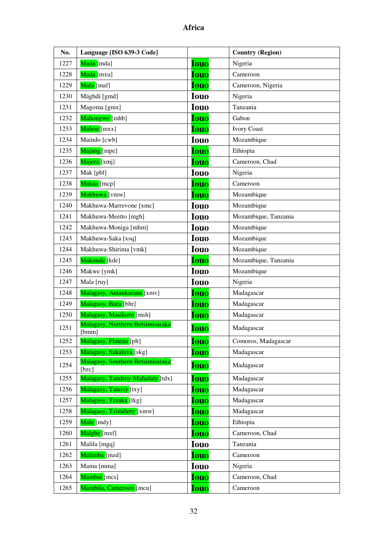| No.  | Language [ISO 639-3 Code]                 |             | <b>Country (Region)</b> |
|------|-------------------------------------------|-------------|-------------------------|
| 1227 | Mada [mda]                                | <b>Iouo</b> | Nigeria                 |
| 1228 | Mada [mxu]                                | <b>Iouo</b> | Cameroon                |
| 1229 | Mafa [maf]                                | <b>Iouo</b> | Cameroon, Nigeria       |
| 1230 | Mághdì [gmd]                              | <b>Iouo</b> | Nigeria                 |
| 1231 | Magoma [gmx]                              | <b>Iouo</b> | Tanzania                |
| 1232 | Mahongwe [mhb]                            | <b>Iouo</b> | Gabon                   |
| 1233 | Mahou [mxx]                               | <b>Iouo</b> | <b>Ivory Coast</b>      |
| 1234 | Maindo [cwb]                              | <b>Iouo</b> | Mozambique              |
| 1235 | Majang [mpe]                              | <b>Iouo</b> | Ethiopia                |
| 1236 | Majera [xmj]                              | <b>Iouo</b> | Cameroon, Chad          |
| 1237 | Mak [pbl]                                 | <b>Iouo</b> | Nigeria                 |
| 1238 | Makaa [mcp]                               | <b>Iouo</b> | Cameroon                |
| 1239 | Makhuwa [vmw]                             | <b>Iouo</b> | Mozambique              |
| 1240 | Makhuwa-Marrevone [xmc]                   | <b>Iouo</b> | Mozambique              |
| 1241 | Makhuwa-Meetto [mgh]                      | <b>Iouo</b> | Mozambique, Tanzania    |
| 1242 | Makhuwa-Moniga [mhm]                      | <b>Iouo</b> | Mozambique              |
| 1243 | Makhuwa-Saka [xsq]                        | <b>Iouo</b> | Mozambique              |
| 1244 | Makhuwa-Shirima [vmk]                     | <b>Iouo</b> | Mozambique              |
| 1245 | Makonde [kde]                             | <b>Iouo</b> | Mozambique, Tanzania    |
| 1246 | Makwe [ymk]                               | <b>Iouo</b> | Mozambique              |
| 1247 | Mala [ruy]                                | <b>Iouo</b> | Nigeria                 |
| 1248 | Malagasy, Antankarana [xmv]               | <b>Iouo</b> | Madagascar              |
| 1249 | Malagasy, Bara [bhr]                      | <b>Iouo</b> | Madagascar              |
| 1250 | Malagasy, Masikoro [msh]                  | Iouo        | Madagascar              |
| 1251 | Malagasy, Northern Betsimisaraka<br>[bmm] | <b>Iouo</b> | Madagascar              |
| 1252 | Malagasy, Plateau [plt]                   | <b>Iouo</b> | Comoros, Madagascar     |
| 1253 | Malagasy, Sakalava [skg]                  | <b>Iouo</b> | Madagascar              |
| 1254 | Malagasy, Southern Betsimisaraka<br>[bzc] | <b>Iouo</b> | Madagascar              |
| 1255 | Malagasy, Tandroy-Mahafaly [tdx]          | <b>Iouo</b> | Madagascar              |
| 1256 | Malagasy, Tanosy [txy]                    | <b>Iouo</b> | Madagascar              |
| 1257 | Malagasy, Tesaka [tkg]                    | <b>Iouo</b> | Madagascar              |
| 1258 | Malagasy, Tsimihety [xmw]                 | Iouo        | Madagascar              |
| 1259 | Male [mdy]                                | <b>Iouo</b> | Ethiopia                |
| 1260 | Malgbe [mxf]                              | <b>Iouo</b> | Cameroon, Chad          |
| 1261 | Malila [mgq]                              | <b>Iouo</b> | Tanzania                |
| 1262 | Malimba [mzd]                             | <b>Iouo</b> | Cameroon                |
| 1263 | Mama [mma]                                | <b>Iouo</b> | Nigeria                 |
| 1264 | Mambai [mcs]                              | <b>Iouo</b> | Cameroon, Chad          |
| 1265 | Mambila, Cameroon [mcu]                   | <b>Iouo</b> | Cameroon                |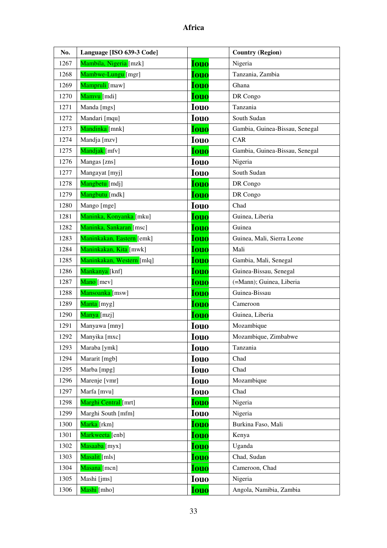| No.  | Language [ISO 639-3 Code] |             | <b>Country (Region)</b>        |
|------|---------------------------|-------------|--------------------------------|
| 1267 | Mambila, Nigeria [mzk]    | Iouo        | Nigeria                        |
| 1268 | Mambwe-Lungu [mgr]        | <b>Iouo</b> | Tanzania, Zambia               |
| 1269 | Mampruli [maw]            | <b>Iouo</b> | Ghana                          |
| 1270 | Mamvu [mdi]               | <b>Iouo</b> | DR Congo                       |
| 1271 | Manda [mgs]               | <b>Iouo</b> | Tanzania                       |
| 1272 | Mandari [mqu]             | <b>Iouo</b> | South Sudan                    |
| 1273 | Mandinka [mnk]            | <b>Iouo</b> | Gambia, Guinea-Bissau, Senegal |
| 1274 | Mandja [mzv]              | <b>Iouo</b> | CAR                            |
| 1275 | Mandjak [mfv]             | <b>Iouo</b> | Gambia, Guinea-Bissau, Senegal |
| 1276 | Mangas [zns]              | <b>Iouo</b> | Nigeria                        |
| 1277 | Mangayat [myj]            | <b>Iouo</b> | South Sudan                    |
| 1278 | Mangbetu [mdj]            | <b>Iouo</b> | DR Congo                       |
| 1279 | Mangbutu [mdk]            | <b>Iouo</b> | DR Congo                       |
| 1280 | Mango [mge]               | <b>Iouo</b> | Chad                           |
| 1281 | Maninka, Konyanka [mku]   | <b>Iouo</b> | Guinea, Liberia                |
| 1282 | Maninka, Sankaran [msc]   | <b>Iouo</b> | Guinea                         |
| 1283 | Maninkakan, Eastern [emk] | <b>Iouo</b> | Guinea, Mali, Sierra Leone     |
| 1284 | Maninkakan, Kita [mwk]    | <b>Iouo</b> | Mali                           |
| 1285 | Maninkakan, Western [mlq] | <b>Iouo</b> | Gambia, Mali, Senegal          |
| 1286 | Mankanya [knf]            | <b>Iouo</b> | Guinea-Bissau, Senegal         |
| 1287 | Mano [mev]                | <b>Iouo</b> | (=Mann); Guinea, Liberia       |
| 1288 | Mansoanka [msw]           | <b>Iouo</b> | Guinea-Bissau                  |
| 1289 | Manta [myg]               | <b>Iouo</b> | Cameroon                       |
| 1290 | Manya [mzj]               | <b>Iouo</b> | Guinea, Liberia                |
| 1291 | Manyawa [mny]             | <b>Iouo</b> | Mozambique                     |
| 1292 | Manyika [mxc]             | <b>Iouo</b> | Mozambique, Zimbabwe           |
| 1293 | Maraba [ymk]              | <b>Iouo</b> | Tanzania                       |
| 1294 | Mararit [mgb]             | <b>Iouo</b> | Chad                           |
| 1295 | Marba [mpg]               | <b>Iouo</b> | Chad                           |
| 1296 | Marenje [vmr]             | <b>Iouo</b> | Mozambique                     |
| 1297 | Marfa [mvu]               | <b>Iouo</b> | Chad                           |
| 1298 | Marghi Central [mrt]      | <b>Iouo</b> | Nigeria                        |
| 1299 | Marghi South [mfm]        | <b>Iouo</b> | Nigeria                        |
| 1300 | Marka [rkm]               | <b>Iouo</b> | Burkina Faso, Mali             |
| 1301 | Markweeta [enb]           | <b>Iouo</b> | Kenya                          |
| 1302 | Masaaba [myx]             | <b>Iouo</b> | Uganda                         |
| 1303 | Masalit [mls]             | <b>Iouo</b> | Chad, Sudan                    |
| 1304 | Masana [mcn]              | <b>Iouo</b> | Cameroon, Chad                 |
| 1305 | Mashi [jms]               | <b>Iouo</b> | Nigeria                        |
| 1306 | Mashi [mho]               | <b>Iouo</b> | Angola, Namibia, Zambia        |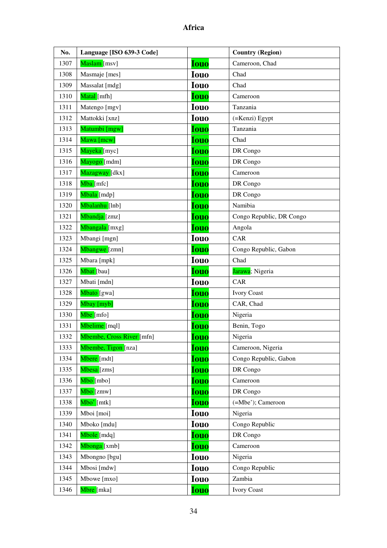| No.  | Language [ISO 639-3 Code] |             | <b>Country (Region)</b>  |
|------|---------------------------|-------------|--------------------------|
| 1307 | Maslam [msv]              | <b>Iouo</b> | Cameroon, Chad           |
| 1308 | Masmaje [mes]             | <b>Iouo</b> | Chad                     |
| 1309 | Massalat [mdg]            | <b>Iouo</b> | Chad                     |
| 1310 | Matal [mfh]               | <b>Iouo</b> | Cameroon                 |
| 1311 | Matengo [mgv]             | <b>Iouo</b> | Tanzania                 |
| 1312 | Mattokki [xnz]            | <b>Iouo</b> | (=Kenzi) Egypt           |
| 1313 | Matumbi [mgw]             | <b>Iouo</b> | Tanzania                 |
| 1314 | Mawa [mcw]                | <b>Iouo</b> | Chad                     |
| 1315 | Mayeka [myc]              | <b>Iouo</b> | DR Congo                 |
| 1316 | Mayogo [mdm]              | <b>Iouo</b> | DR Congo                 |
| 1317 | Mazagway [dkx]            | <b>Iouo</b> | Cameroon                 |
| 1318 | Mba [mfc]                 | <b>Iouo</b> | DR Congo                 |
| 1319 | Mbala [mdp]               | <b>Iouo</b> | DR Congo                 |
| 1320 | Mbalanhu [lnb]            | <b>Iouo</b> | Namibia                  |
| 1321 | Mbandja [zmz]             | <b>Iouo</b> | Congo Republic, DR Congo |
| 1322 | Mbangala [mxg]            | <b>Iouo</b> | Angola                   |
| 1323 | Mbangi [mgn]              | <b>Iouo</b> | CAR                      |
| 1324 | Mbangwe [zmn]             | <b>Iouo</b> | Congo Republic, Gabon    |
| 1325 | Mbara [mpk]               | <b>Iouo</b> | Chad                     |
| 1326 | Mbat [bau]                | <b>Iouo</b> | Jarawa; Nigeria          |
| 1327 | Mbati [mdn]               | <b>Iouo</b> | CAR                      |
| 1328 | Mbato [gwa]               | <b>Iouo</b> | <b>Ivory Coast</b>       |
| 1329 | Mbay [myb]                | <b>Iouo</b> | CAR, Chad                |
| 1330 | Mbe [mfo]                 | <b>Iouo</b> | Nigeria                  |
| 1331 | Mbelime [mql]             | <b>Iouo</b> | Benin, Togo              |
| 1332 | Mbembe, Cross River [mfn] | <b>Iouo</b> | Nigeria                  |
| 1333 | Mbembe, Tigon [nza]       | <b>Iouo</b> | Cameroon, Nigeria        |
| 1334 | Mbere [mdt]               | <b>Iouo</b> | Congo Republic, Gabon    |
| 1335 | Mbesa [zms]               | <b>Iouo</b> | DR Congo                 |
| 1336 | Mbo [mbo]                 | <b>Iouo</b> | Cameroon                 |
| 1337 | Mbo [zmw]                 | <u>Iouo</u> | DR Congo                 |
| 1338 | Mbo' [mtk]                | <b>Iouo</b> | (=Mbe'); Cameroon        |
| 1339 | Mboi [moi]                | <b>Iouo</b> | Nigeria                  |
| 1340 | Mboko [mdu]               | <b>Iouo</b> | Congo Republic           |
| 1341 | Mbole [mdq]               | <b>Iouo</b> | DR Congo                 |
| 1342 | Mbonga [xmb]              | <b>Iouo</b> | Cameroon                 |
| 1343 | Mbongno [bgu]             | <b>Iouo</b> | Nigeria                  |
| 1344 | Mbosi [mdw]               | <b>Iouo</b> | Congo Republic           |
| 1345 | Mbowe [mxo]               | <b>Iouo</b> | Zambia                   |
| 1346 | Mbre [mka]                | <b>Iouo</b> | <b>Ivory Coast</b>       |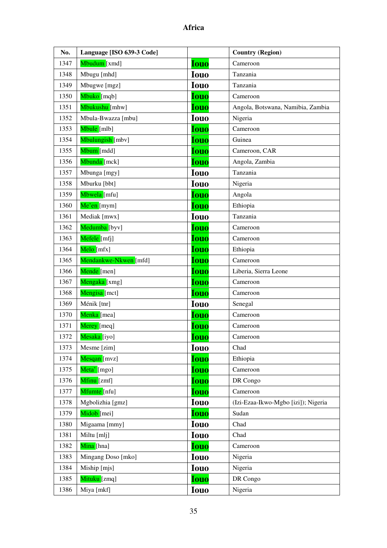| No.  | Language [ISO 639-3 Code]  |             | <b>Country (Region)</b>             |
|------|----------------------------|-------------|-------------------------------------|
| 1347 | Mbudum [xmd]               | <b>Iouo</b> | Cameroon                            |
| 1348 | Mbugu [mhd]                | <b>Iouo</b> | Tanzania                            |
| 1349 | Mbugwe [mgz]               | <b>Iouo</b> | Tanzania                            |
| 1350 | Mbuko [mqb]                | <b>Iouo</b> | Cameroon                            |
| 1351 | Mbukushu [mhw]             | <b>Iouo</b> | Angola, Botswana, Namibia, Zambia   |
| 1352 | Mbula-Bwazza [mbu]         | <b>Iouo</b> | Nigeria                             |
| 1353 | Mbule [mlb]                | <b>Iouo</b> | Cameroon                            |
| 1354 | Mbulungish [mbv]           | <b>Iouo</b> | Guinea                              |
| 1355 | Mbum [mdd]                 | <b>Iouo</b> | Cameroon, CAR                       |
| 1356 | Mbunda [mck]               | <b>Iouo</b> | Angola, Zambia                      |
| 1357 | Mbunga [mgy]               | <b>Iouo</b> | Tanzania                            |
| 1358 | Mburku [bbt]               | <b>Iouo</b> | Nigeria                             |
| 1359 | Mbwela [mfu]               | <b>Iouo</b> | Angola                              |
| 1360 | Me'en [mym]                | <b>Iouo</b> | Ethiopia                            |
| 1361 | Mediak [mwx]               | <b>Iouo</b> | Tanzania                            |
| 1362 | Medumba [byv]              | <b>Iouo</b> | Cameroon                            |
| 1363 | Mefele [mfj]               | <b>Iouo</b> | Cameroon                            |
| 1364 | Melo [mfx]                 | <b>Iouo</b> | Ethiopia                            |
| 1365 | Mendankwe-Nkwen [mfd]      | <b>Iouo</b> | Cameroon                            |
| 1366 | Mende [men]                | <b>Iouo</b> | Liberia, Sierra Leone               |
| 1367 | Mengaka [xmg]              | <b>Iouo</b> | Cameroon                            |
| 1368 | Mengisa [mct]              | <b>Iouo</b> | Cameroon                            |
| 1369 | Ménik [tnr]                | <b>Iouo</b> | Senegal                             |
| 1370 | Menka [mea]                | <b>Iouo</b> | Cameroon                            |
| 1371 | Merey [meq]                | <b>Iouo</b> | Cameroon                            |
| 1372 | <mark>Mesaka [</mark> iyo] | <b>Iouo</b> | Cameroon                            |
| 1373 | Mesme [zim]                | <b>Iouo</b> | Chad                                |
| 1374 | Mesqan [mvz]               | <b>Iouo</b> | Ethiopia                            |
| 1375 | Meta' [mgo]                | <b>Iouo</b> | Cameroon                            |
| 1376 | Mfinu [zmf]                | <b>Iouo</b> | DR Congo                            |
| 1377 | Mfumte [nfu]               | <b>Iouo</b> | Cameroon                            |
| 1378 | Mgbolizhia [gmz]           | <b>Iouo</b> | (Izi-Ezaa-Ikwo-Mgbo [izi]); Nigeria |
| 1379 | Midob [mei]                | <b>Iouo</b> | Sudan                               |
| 1380 | Migaama [mmy]              | <b>Iouo</b> | Chad                                |
| 1381 | Miltu [mlj]                | <b>Iouo</b> | Chad                                |
| 1382 | Mina [hna]                 | <b>Iouo</b> | Cameroon                            |
| 1383 | Mingang Doso [mko]         | <b>Iouo</b> | Nigeria                             |
| 1384 | Miship [mjs]               | <b>Iouo</b> | Nigeria                             |
| 1385 | Mituku [zmq]               | <b>Iouo</b> | DR Congo                            |
| 1386 | Miya [mkf]                 | <b>Iouo</b> | Nigeria                             |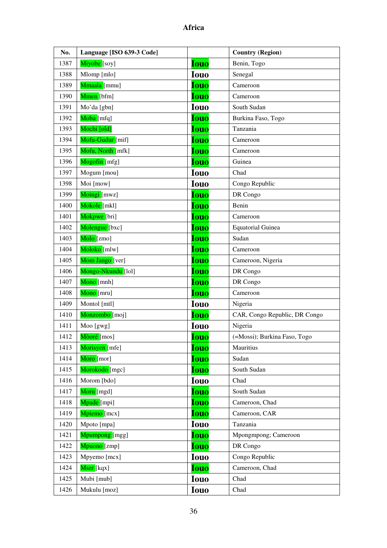| No.  | Language [ISO 639-3 Code] |             | <b>Country (Region)</b>       |
|------|---------------------------|-------------|-------------------------------|
| 1387 | Miyobe [soy]              | <b>Iouo</b> | Benin, Togo                   |
| 1388 | Mlomp [mlo]               | <b>Iouo</b> | Senegal                       |
| 1389 | Mmaala [mmu]              | <b>Iouo</b> | Cameroon                      |
| 1390 | Mmen [bfm]                | <b>Iouo</b> | Cameroon                      |
| 1391 | Mo'da [gbn]               | <b>Iouo</b> | South Sudan                   |
| 1392 | Moba [mfq]                | <b>Iouo</b> | Burkina Faso, Togo            |
| 1393 | Mochi [old]               | <b>Iouo</b> | Tanzania                      |
| 1394 | Mofu-Gudur [mif]          | <b>Iouo</b> | Cameroon                      |
| 1395 | Mofu, North [mfk]         | <b>Iouo</b> | Cameroon                      |
| 1396 | Mogofin [mfg]             | <b>Iouo</b> | Guinea                        |
| 1397 | Mogum [mou]               | <b>Iouo</b> | Chad                          |
| 1398 | Moi [mow]                 | <b>Iouo</b> | Congo Republic                |
| 1399 | Moingi [mwz]              | <b>Iouo</b> | DR Congo                      |
| 1400 | Mokole [mkl]              | <b>Iouo</b> | Benin                         |
| 1401 | Mokpwe [bri]              | <b>Iouo</b> | Cameroon                      |
| 1402 | Molengue [bxc]            | <b>Iouo</b> | <b>Equatorial Guinea</b>      |
| 1403 | Molo [zmo]                | <b>Iouo</b> | Sudan                         |
| 1404 | Moloko [mlw]              | Iouo        | Cameroon                      |
| 1405 | Mom Jango [ver]           | <b>Iouo</b> | Cameroon, Nigeria             |
| 1406 | Mongo-Nkundu [lol]        | <b>Iouo</b> | DR Congo                      |
| 1407 | Mono [mnh]                | <b>Iouo</b> | DR Congo                      |
| 1408 | Mono [mru]                | <b>Iouo</b> | Cameroon                      |
| 1409 | Montol [mtl]              | <b>Iouo</b> | Nigeria                       |
| 1410 | Monzombo [moj]            | <b>Iouo</b> | CAR, Congo Republic, DR Congo |
| 1411 | Moo [gwg]                 | <b>Iouo</b> | Nigeria                       |
| 1412 | Mòoré [mos]               | <b>Iouo</b> | (=Mossi); Burkina Faso, Togo  |
| 1413 | Morisyen [mfe]            | <b>Iouo</b> | Mauritius                     |
| 1414 | Moro [mor]                | <b>Iouo</b> | Sudan                         |
| 1415 | Morokodo [mgc]            | <b>Iouo</b> | South Sudan                   |
| 1416 | Morom [bdo]               | <b>Iouo</b> | Chad                          |
| 1417 | Moru [mgd]                | <b>Iouo</b> | South Sudan                   |
| 1418 | Mpade [mpi]               | <b>Iouo</b> | Cameroon, Chad                |
| 1419 | Mpiemo [mcx]              | <b>Iouo</b> | Cameroon, CAR                 |
| 1420 | Mpoto [mpa]               | <b>Iouo</b> | Tanzania                      |
| 1421 | Mpumpong [mgg]            | <b>Iouo</b> | Mpongmpong; Cameroon          |
| 1422 | Mpuono [zmp]              | <b>Iouo</b> | DR Congo                      |
| 1423 | Mpyemo [mcx]              | <b>Iouo</b> | Congo Republic                |
| 1424 | Mser [kqx]                | <b>Iouo</b> | Cameroon, Chad                |
| 1425 | Mubi [mub]                | <b>Iouo</b> | Chad                          |
| 1426 | Mukulu [moz]              | <b>Iouo</b> | Chad                          |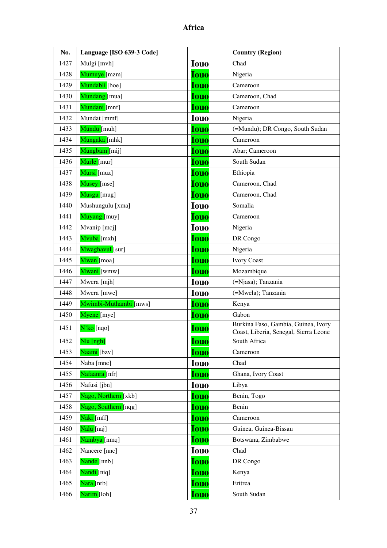| No.  | Language [ISO 639-3 Code]   |             | <b>Country (Region)</b>                                                      |
|------|-----------------------------|-------------|------------------------------------------------------------------------------|
| 1427 | Mulgi [mvh]                 | <b>Iouo</b> | Chad                                                                         |
| 1428 | Mumuye [mzm]                | <b>Iouo</b> | Nigeria                                                                      |
| 1429 | Mundabli [boe]              | <b>Iouo</b> | Cameroon                                                                     |
| 1430 | Mundang [mua]               | <b>Iouo</b> | Cameroon, Chad                                                               |
| 1431 | Mundani [mnf]               | <b>Iouo</b> | Cameroon                                                                     |
| 1432 | Mundat [mmf]                | <b>Iouo</b> | Nigeria                                                                      |
| 1433 | Mündü [muh]                 | <b>Iouo</b> | (=Mundu); DR Congo, South Sudan                                              |
| 1434 | Mungaka [mhk]               | <b>Iouo</b> | Cameroon                                                                     |
| 1435 | Mungbam [mij]               | <b>Iouo</b> | Abar; Cameroon                                                               |
| 1436 | Murle [mur]                 | <b>Iouo</b> | South Sudan                                                                  |
| 1437 | Mursi [muz]                 | <b>Iouo</b> | Ethiopia                                                                     |
| 1438 | Musey [mse]                 | <b>Iouo</b> | Cameroon, Chad                                                               |
| 1439 | Musgu [mug]                 | <b>Iouo</b> | Cameroon, Chad                                                               |
| 1440 | Mushungulu [xma]            | <b>Iouo</b> | Somalia                                                                      |
| 1441 | Muyang [muy]                | <b>Iouo</b> | Cameroon                                                                     |
| 1442 | Mvanip [mcj]                | <b>Iouo</b> | Nigeria                                                                      |
| 1443 | Mvuba [mxh]                 | <b>Iouo</b> | DR Congo                                                                     |
| 1444 | Mwaghavul [sur]             | <b>Iouo</b> | Nigeria                                                                      |
| 1445 | Mwan [moa]                  | <b>Iouo</b> | <b>Ivory Coast</b>                                                           |
| 1446 | Mwani [wmw]                 | <b>Iouo</b> | Mozambique                                                                   |
| 1447 | Mwera [mjh]                 | <b>Iouo</b> | (=Njasa); Tanzania                                                           |
| 1448 | Mwera [mwe]                 | <b>Iouo</b> | (=Mwela); Tanzania                                                           |
| 1449 | Mwimbi-Muthambi [mws]       | <b>Iouo</b> | Kenya                                                                        |
| 1450 | Myene [mye]                 | <b>Iouo</b> | Gabon                                                                        |
| 1451 | $N'$ ko $[nqo]$             | <b>Iouo</b> | Burkina Faso, Gambia, Guinea, Ivory<br>Coast, Liberia, Senegal, Sierra Leone |
| 1452 | Nlu [ngh]                   | <b>Iouo</b> | South Africa                                                                 |
| 1453 | Naami [bzv]                 | <b>Iouo</b> | Cameroon                                                                     |
| 1454 | Naba [mne]                  | <b>Iouo</b> | Chad                                                                         |
| 1455 | <mark>Nafaanra</mark> [nfr] | <b>Iouo</b> | Ghana, Ivory Coast                                                           |
| 1456 | Nafusi [jbn]                | <b>Iouo</b> | Libya                                                                        |
| 1457 | Nago, Northern [xkb]        | <b>Iouo</b> | Benin, Togo                                                                  |
| 1458 | Nago, Southern [nqg]        | <b>Iouo</b> | Benin                                                                        |
| 1459 | Naki [mff]                  | <b>Iouo</b> | Cameroon                                                                     |
| 1460 | Nalu [naj]                  | Iouo        | Guinea, Guinea-Bissau                                                        |
| 1461 | Nambya [nmq]                | <b>Iouo</b> | Botswana, Zimbabwe                                                           |
| 1462 | Nancere [nnc]               | <b>Iouo</b> | Chad                                                                         |
| 1463 | Nande [nnb]                 | <b>Iouo</b> | DR Congo                                                                     |
| 1464 | Nandi [niq]                 | <b>Iouo</b> | Kenya                                                                        |
| 1465 | Nara [nrb]                  | Iouo        | Eritrea                                                                      |
| 1466 | Narim [loh]                 | <b>Iouo</b> | South Sudan                                                                  |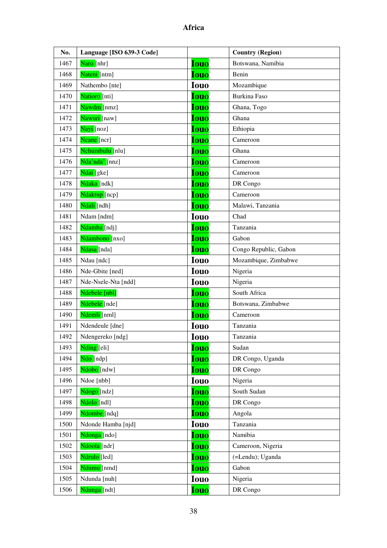| No.  | Language [ISO 639-3 Code] |             | <b>Country (Region)</b> |
|------|---------------------------|-------------|-------------------------|
| 1467 | Naro [nhr]                | <b>Iouo</b> | Botswana, Namibia       |
| 1468 | Nateni [ntm]              | <b>Iouo</b> | Benin                   |
| 1469 | Nathembo [nte]            | <b>Iouo</b> | Mozambique              |
| 1470 | Natioro [nti]             | <b>Iouo</b> | Burkina Faso            |
| 1471 | Nawdm [nmz]               | <b>Iouo</b> | Ghana, Togo             |
| 1472 | Nawuri [naw]              | <b>Iouo</b> | Ghana                   |
| 1473 | Nayi [noz]                | <b>Iouo</b> | Ethiopia                |
| 1474 | Neane [ner]               | <b>Iouo</b> | Cameroon                |
| 1475 | Nchumbulu [nlu]           | <b>Iouo</b> | Ghana                   |
| 1476 | Nda'nda' [nnz]            | <b>Iouo</b> | Cameroon                |
| 1477 | Ndai [gke]                | <b>Iouo</b> | Cameroon                |
| 1478 | Ndaka [ndk]               | <b>Iouo</b> | DR Congo                |
| 1479 | Ndaktup [ncp]             | <b>Iouo</b> | Cameroon                |
| 1480 | Ndali [ndh]               | <b>Iouo</b> | Malawi, Tanzania        |
| 1481 | Ndam [ndm]                | <b>Iouo</b> | Chad                    |
| 1482 | Ndamba [ndj]              | <b>Iouo</b> | Tanzania                |
| 1483 | Ndambono [nxo]            | <b>Iouo</b> | Gabon                   |
| 1484 | Ndasa [nda]               | <b>Iouo</b> | Congo Republic, Gabon   |
| 1485 | Ndau [ndc]                | <b>Iouo</b> | Mozambique, Zimbabwe    |
| 1486 | Nde-Gbite [ned]           | <b>Iouo</b> | Nigeria                 |
| 1487 | Nde-Nsele-Nta [ndd]       | <b>Iouo</b> | Nigeria                 |
| 1488 | Ndebele [nbl]             | <b>Iouo</b> | South Africa            |
| 1489 | Ndebele [nde]             | <b>Iouo</b> | Botswana, Zimbabwe      |
| 1490 | Ndemli [nml]              | <b>Iouo</b> | Cameroon                |
| 1491 | Ndendeule [dne]           | <b>Iouo</b> | Tanzania                |
| 1492 | Ndengereko [ndg]          | <b>Iouo</b> | Tanzania                |
| 1493 | Nding [eli]               | <b>Iouo</b> | Sudan                   |
| 1494 | Ndo [ndp]                 | <b>Iouo</b> | DR Congo, Uganda        |
| 1495 | Ndobo [ndw]               | <b>Iouo</b> | DR Congo                |
| 1496 | Ndoe [nbb]                | <b>Iouo</b> | Nigeria                 |
| 1497 | Ndogo [ndz]               | <b>Iouo</b> | South Sudan             |
| 1498 | Ndolo [ndl]               | <b>Iouo</b> | DR Congo                |
| 1499 | Ndombe [ndq]              | <b>Iouo</b> | Angola                  |
| 1500 | Ndonde Hamba [njd]        | <b>Iouo</b> | Tanzania                |
| 1501 | Ndonga [ndo]              | <b>Iouo</b> | Namibia                 |
| 1502 | Ndoola [ndr]              | <b>Iouo</b> | Cameroon, Nigeria       |
| 1503 | Ndrulo [led]              | <b>Iouo</b> | (=Lendu); Uganda        |
| 1504 | Ndumu [nmd]               | <b>Iouo</b> | Gabon                   |
| 1505 | Ndunda [nuh]              | <b>Iouo</b> | Nigeria                 |
| 1506 | Ndunga [ndt]              | <b>Iouo</b> | DR Congo                |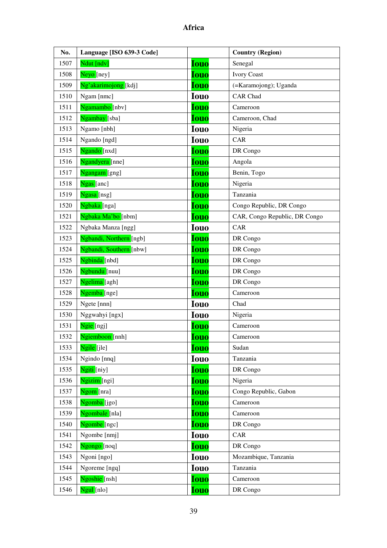| No.  | Language [ISO 639-3 Code] |             | <b>Country (Region)</b>       |
|------|---------------------------|-------------|-------------------------------|
| 1507 | Ndut [ndv]                | <b>Iouo</b> | Senegal                       |
| 1508 | Neyo [ney]                | <b>Iouo</b> | <b>Ivory Coast</b>            |
| 1509 | Ng'akarimojong [kdj]      | <b>Iouo</b> | (=Karamojong); Uganda         |
| 1510 | Ngam [nmc]                | <b>Iouo</b> | <b>CAR</b> Chad               |
| 1511 | Ngamambo [nbv]            | <b>Iouo</b> | Cameroon                      |
| 1512 | Ngambay [sba]             | <b>Iouo</b> | Cameroon, Chad                |
| 1513 | Ngamo [nbh]               | <b>Iouo</b> | Nigeria                       |
| 1514 | Ngando [ngd]              | <b>Iouo</b> | CAR                           |
| 1515 | Ngando [nxd]              | <b>Iouo</b> | DR Congo                      |
| 1516 | Ngandyera [nne]           | <b>Iouo</b> | Angola                        |
| 1517 | Ngangam [gng]             | <b>Iouo</b> | Benin, Togo                   |
| 1518 | Ngas [anc]                | <b>Iouo</b> | Nigeria                       |
| 1519 | Ngasa [nsg]               | <b>Iouo</b> | Tanzania                      |
| 1520 | Ngbaka [nga]              | <b>Iouo</b> | Congo Republic, DR Congo      |
| 1521 | Ngbaka Ma'bo [nbm]        | <b>Iouo</b> | CAR, Congo Republic, DR Congo |
| 1522 | Ngbaka Manza [ngg]        | <b>Iouo</b> | CAR                           |
| 1523 | Ngbandi, Northern [ngb]   | <b>Iouo</b> | DR Congo                      |
| 1524 | Ngbandi, Southern [nbw]   | Iouo        | DR Congo                      |
| 1525 | Ngbinda [nbd]             | <b>Iouo</b> | DR Congo                      |
| 1526 | Ngbundu [nuu]             | <b>Iouo</b> | DR Congo                      |
| 1527 | Ngelima [agh]             | <b>Iouo</b> | DR Congo                      |
| 1528 | Ngemba [nge]              | <b>Iouo</b> | Cameroon                      |
| 1529 | Ngete [nnn]               | <b>Iouo</b> | Chad                          |
| 1530 | Nggwahyi [ngx]            | <b>Iouo</b> | Nigeria                       |
| 1531 | Ngie [ngj]                | <b>Iouo</b> | Cameroon                      |
| 1532 | Ngiemboon [nnh]           | <b>Iouo</b> | Cameroon                      |
| 1533 | Ngile [jle]               | <b>Iouo</b> | Sudan                         |
| 1534 | Ngindo [nnq]              | <b>Iouo</b> | Tanzania                      |
| 1535 | Ngiti [niy]               | <b>Iouo</b> | DR Congo                      |
| 1536 | Ngizim [ngi]              | Iouo        | Nigeria                       |
| 1537 | Ngom [nra]                | <b>Iouo</b> | Congo Republic, Gabon         |
| 1538 | Ngomba [jgo]              | <b>Iouo</b> | Cameroon                      |
| 1539 | Ngombale [nla]            | <b>Iouo</b> | Cameroon                      |
| 1540 | Ngombe [ngc]              | <b>Iouo</b> | DR Congo                      |
| 1541 | Ngombe [nmj]              | <b>Iouo</b> | CAR                           |
| 1542 | Ngongo [noq]              | <b>Iouo</b> | DR Congo                      |
| 1543 | Ngoni [ngo]               | <b>Iouo</b> | Mozambique, Tanzania          |
| 1544 | Ngoreme [ngq]             | <b>Iouo</b> | Tanzania                      |
| 1545 | Ngoshie [nsh]             | Iouo        | Cameroon                      |
| 1546 | Ngul [nlo]                | Iouo        | DR Congo                      |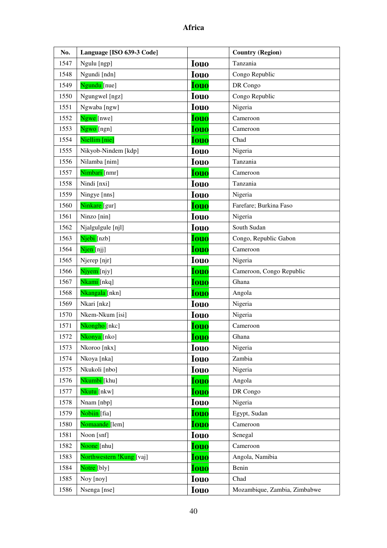| No.  | Language [ISO 639-3 Code] |             | <b>Country (Region)</b>      |
|------|---------------------------|-------------|------------------------------|
| 1547 | Ngulu [ngp]               | <b>Iouo</b> | Tanzania                     |
| 1548 | Ngundi [ndn]              | <b>Iouo</b> | Congo Republic               |
| 1549 | Ngundu [nue]              | <b>Iouo</b> | DR Congo                     |
| 1550 | Ngungwel [ngz]            | <b>Iouo</b> | Congo Republic               |
| 1551 | Ngwaba [ngw]              | <b>Iouo</b> | Nigeria                      |
| 1552 | Ngwe [nwe]                | <b>Iouo</b> | Cameroon                     |
| 1553 | Ngwo [ngn]                | <b>Iouo</b> | Cameroon                     |
| 1554 | Niellim [nie]             | <b>Iouo</b> | Chad                         |
| 1555 | Nikyob-Nindem [kdp]       | <b>Iouo</b> | Nigeria                      |
| 1556 | Nilamba [nim]             | <b>Iouo</b> | Tanzania                     |
| 1557 | Nimbari [nmr]             | <b>Iouo</b> | Cameroon                     |
| 1558 | Nindi [nxi]               | <b>Iouo</b> | Tanzania                     |
| 1559 | Ningye [nns]              | <b>Iouo</b> | Nigeria                      |
| 1560 | Ninkare [gur]             | <b>Iouo</b> | Farefare; Burkina Faso       |
| 1561 | Ninzo [nin]               | <b>Iouo</b> | Nigeria                      |
| 1562 | Njalgulgule [njl]         | <b>Iouo</b> | South Sudan                  |
| 1563 | Njebi [nzb]               | <b>Iouo</b> | Congo, Republic Gabon        |
| 1564 | Njen [njj]                | <b>Iouo</b> | Cameroon                     |
| 1565 | Njerep [njr]              | <b>Iouo</b> | Nigeria                      |
| 1566 | Njyem [njy]               | <b>Iouo</b> | Cameroon, Congo Republic     |
| 1567 | Nkami [nkq]               | <b>Iouo</b> | Ghana                        |
| 1568 | Nkangala [nkn]            | <b>Iouo</b> | Angola                       |
| 1569 | Nkari [nkz]               | <b>Iouo</b> | Nigeria                      |
| 1570 | Nkem-Nkum [isi]           | <b>Iouo</b> | Nigeria                      |
| 1571 | Nkongho [nkc]             | <b>Iouo</b> | Cameroon                     |
| 1572 | <mark>Nkonya</mark> [nko] | <b>Iouo</b> | Ghana                        |
| 1573 | Nkoroo [nkx]              | <b>Iouo</b> | Nigeria                      |
| 1574 | Nkoya [nka]               | <b>Iouo</b> | Zambia                       |
| 1575 | Nkukoli [nbo]             | <b>Iouo</b> | Nigeria                      |
| 1576 | Nkumbi [khu]              | <b>Iouo</b> | Angola                       |
| 1577 | Nkutu [nkw]               | <b>Iouo</b> | DR Congo                     |
| 1578 | Nnam [nbp]                | <b>Iouo</b> | Nigeria                      |
| 1579 | Nobiin [fia]              | <b>Iouo</b> | Egypt, Sudan                 |
| 1580 | Nomaande [lem]            | <b>Iouo</b> | Cameroon                     |
| 1581 | Noon [snf]                | <b>Iouo</b> | Senegal                      |
| 1582 | Noone [nhu]               | <b>Iouo</b> | Cameroon                     |
| 1583 | Northwestern !Kung [vaj]  | <b>Iouo</b> | Angola, Namibia              |
| 1584 | Notre [bly]               | <b>Iouo</b> | Benin                        |
| 1585 | Noy [noy]                 | <b>Iouo</b> | Chad                         |
| 1586 | Nsenga [nse]              | <b>Iouo</b> | Mozambique, Zambia, Zimbabwe |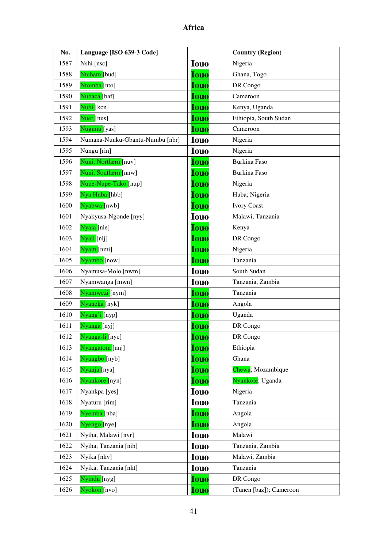| No.  | Language [ISO 639-3 Code]       |             | <b>Country (Region)</b> |
|------|---------------------------------|-------------|-------------------------|
| 1587 | Nshi [nsc]                      | <b>Iouo</b> | Nigeria                 |
| 1588 | Ntcham [bud]                    | <b>Iouo</b> | Ghana, Togo             |
| 1589 | Ntomba [nto]                    | <b>Iouo</b> | DR Congo                |
| 1590 | Nubaca <sup>[baf]</sup>         | <b>Iouo</b> | Cameroon                |
| 1591 | Nubi [kcn]                      | <b>Iouo</b> | Kenya, Uganda           |
| 1592 | Nuer [nus]                      | <b>Iouo</b> | Ethiopia, South Sudan   |
| 1593 | Nugunu [yas]                    | <b>Iouo</b> | Cameroon                |
| 1594 | Numana-Nunku-Gbantu-Numbu [nbr] | <b>Iouo</b> | Nigeria                 |
| 1595 | Nungu [rin]                     | <b>Iouo</b> | Nigeria                 |
| 1596 | Nuni, Northern [nuv]            | <b>Iouo</b> | <b>Burkina Faso</b>     |
| 1597 | Nuni, Southern [nnw]            | <b>Iouo</b> | Burkina Faso            |
| 1598 | Nupe-Nupe-Tako [nup]            | <b>Iouo</b> | Nigeria                 |
| 1599 | Nya Huba [hbb]                  | <b>Iouo</b> | Huba; Nigeria           |
| 1600 | Nyabwa [nwb]                    | <b>Iouo</b> | <b>Ivory Coast</b>      |
| 1601 | Nyakyusa-Ngonde [nyy]           | <b>Iouo</b> | Malawi, Tanzania        |
| 1602 | Nyala [nle]                     | <b>Iouo</b> | Kenya                   |
| 1603 | Nyali [nlj]                     | <b>Iouo</b> | DR Congo                |
| 1604 | Nyam [nmi]                      | <b>Iouo</b> | Nigeria                 |
| 1605 | Nyambo [now]                    | <b>Iouo</b> | Tanzania                |
| 1606 | Nyamusa-Molo [nwm]              | <b>Iouo</b> | South Sudan             |
| 1607 | Nyamwanga [mwn]                 | <b>Iouo</b> | Tanzania, Zambia        |
| 1608 | Nyamwezi [nym]                  | <b>Iouo</b> | Tanzania                |
| 1609 | Nyaneka [nyk]                   | <b>Iouo</b> | Angola                  |
| 1610 | Nyang'i [nyp]                   | <b>Iouo</b> | Uganda                  |
| 1611 | Nyanga [nyj]                    | <b>Iouo</b> | DR Congo                |
| 1612 | <mark>Nyanga-li</mark> [nyc]    | <u>Iouo</u> | DR Congo                |
| 1613 | Nyangatom [nnj]                 | <b>Iouo</b> | Ethiopia                |
| 1614 | Nyangbo [nyb]                   | <b>Iouo</b> | Ghana                   |
| 1615 | Nyanja [nya]                    | <u>Iouo</u> | Chewa; Mozambique       |
| 1616 | Nyankore [nyn]                  | <b>Iouo</b> | Nyankole; Uganda        |
| 1617 | Nyankpa [yes]                   | <b>Iouo</b> | Nigeria                 |
| 1618 | Nyaturu [rim]                   | <b>Iouo</b> | Tanzania                |
| 1619 | Nyemba [nba]                    | <b>Iouo</b> | Angola                  |
| 1620 | Nyengo [nye]                    | <b>Iouo</b> | Angola                  |
| 1621 | Nyiha, Malawi [nyr]             | <b>Iouo</b> | Malawi                  |
| 1622 | Nyiha, Tanzania [nih]           | <b>Iouo</b> | Tanzania, Zambia        |
| 1623 | Nyika [nkv]                     | <b>Iouo</b> | Malawi, Zambia          |
| 1624 | Nyika, Tanzania [nkt]           | <b>Iouo</b> | Tanzania                |
| 1625 | Nyindu [nyg]                    | <b>Iouo</b> | DR Congo                |
| 1626 | Nyokon [nvo]                    | Iouo        | (Tunen [baz]); Cameroon |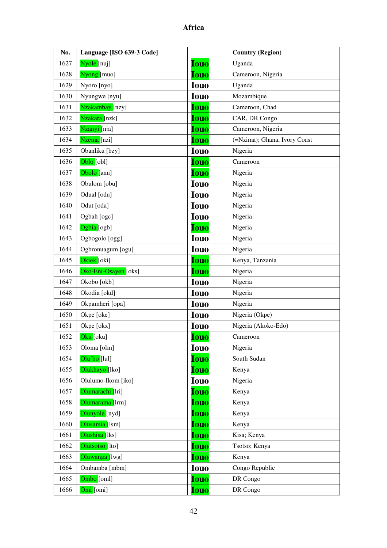| No.  | Language [ISO 639-3 Code]  |             | <b>Country (Region)</b>      |
|------|----------------------------|-------------|------------------------------|
| 1627 | Nyole [nuj]                | <b>Iouo</b> | Uganda                       |
| 1628 | Nyong [muo]                | <b>Iouo</b> | Cameroon, Nigeria            |
| 1629 | Nyoro [nyo]                | <b>Iouo</b> | Uganda                       |
| 1630 | Nyungwe [nyu]              | <b>Iouo</b> | Mozambique                   |
| 1631 | Nzakambay [nzy]            | <b>Iouo</b> | Cameroon, Chad               |
| 1632 | <mark>Nzakara</mark> [nzk] | <b>Iouo</b> | CAR, DR Congo                |
| 1633 | Nzanyi [nja]               | <b>Iouo</b> | Cameroon, Nigeria            |
| 1634 | Nzema [nzi]                | <b>Iouo</b> | (=Nzima); Ghana, Ivory Coast |
| 1635 | Obanliku [bzy]             | <b>Iouo</b> | Nigeria                      |
| 1636 | Oblo [obl]                 | <b>Iouo</b> | Cameroon                     |
| 1637 | Obolo [ann]                | <b>Iouo</b> | Nigeria                      |
| 1638 | Obulom [obu]               | <b>Iouo</b> | Nigeria                      |
| 1639 | Odual [odu]                | <b>Iouo</b> | Nigeria                      |
| 1640 | Odut [oda]                 | <b>Iouo</b> | Nigeria                      |
| 1641 | Ogbah [ogc]                | <b>Iouo</b> | Nigeria                      |
| 1642 | Ogbia [ogb]                | <b>Iouo</b> | Nigeria                      |
| 1643 | Ogbogolo [ogg]             | <b>Iouo</b> | Nigeria                      |
| 1644 | Ogbronuagum [ogu]          | <b>Iouo</b> | Nigeria                      |
| 1645 | Okiek [oki]                | <b>Iouo</b> | Kenya, Tanzania              |
| 1646 | Oko-Eni-Osayen [oks]       | <b>Iouo</b> | Nigeria                      |
| 1647 | Okobo [okb]                | <b>Iouo</b> | Nigeria                      |
| 1648 | Okodia [okd]               | <b>Iouo</b> | Nigeria                      |
| 1649 | Okpamheri [opa]            | <b>Iouo</b> | Nigeria                      |
| 1650 | Okpe [oke]                 | <b>Iouo</b> | Nigeria (Okpe)               |
| 1651 | Okpe [okx]                 | <b>Iouo</b> | Nigeria (Akoko-Edo)          |
| 1652 | <mark>Oku [</mark> oku]    | <u>Iouo</u> | Cameroon                     |
| 1653 | Oloma [olm]                | <b>Iouo</b> | Nigeria                      |
| 1654 | Olu'bo [lul]               | <b>Iouo</b> | South Sudan                  |
| 1655 | Olukhayo [lko]             | <u>Iouo</u> | Kenya                        |
| 1656 | Olulumo-Ikom [iko]         | <b>Iouo</b> | Nigeria                      |
| 1657 | Olumarachi [lri]           | <b>Iouo</b> | Kenya                        |
| 1658 | Olumarama [lrm]            | <b>Iouo</b> | Kenya                        |
| 1659 | Olunyole [nyd]             | <b>Iouo</b> | Kenya                        |
| 1660 | Olusamia [lsm]             | <b>Iouo</b> | Kenya                        |
| 1661 | Olushisa [lks]             | <b>Iouo</b> | Kisa; Kenya                  |
| 1662 | Olutsotso [lto]            | <u>Iouo</u> | Tsotso; Kenya                |
| 1663 | Oluwanga [lwg]             | Iouo        | Kenya                        |
| 1664 | Ombamba [mbm]              | <b>Iouo</b> | Congo Republic               |
| 1665 | Ombo [oml]                 | <b>Iouo</b> | DR Congo                     |
| 1666 | Omi [omi]                  | <u>Iouo</u> | DR Congo                     |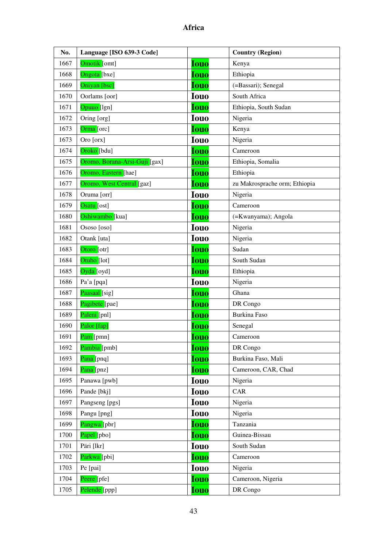| No.  | Language [ISO 639-3 Code]     |             | <b>Country (Region)</b>       |
|------|-------------------------------|-------------|-------------------------------|
| 1667 | Omotik [omt]                  | <b>Iouo</b> | Kenya                         |
| 1668 | Ongota [bxe]                  | <b>Iouo</b> | Ethiopia                      |
| 1669 | Oniyan [bsc]                  | <b>Iouo</b> | (=Bassari); Senegal           |
| 1670 | Oorlams [oor]                 | <b>Iouo</b> | South Africa                  |
| 1671 | Opuuo [lgn]                   | <b>Iouo</b> | Ethiopia, South Sudan         |
| 1672 | Oring [org]                   | <b>Iouo</b> | Nigeria                       |
| 1673 | Orma [orc]                    | <b>Iouo</b> | Kenya                         |
| 1673 | Oro [orx]                     | <b>Iouo</b> | Nigeria                       |
| 1674 | Oroko [bdu]                   | <b>Iouo</b> | Cameroon                      |
| 1675 | Oromo, Borana-Arsi-Guji [gax] | Iouo        | Ethiopia, Somalia             |
| 1676 | Oromo, Eastern [hae]          | <b>Iouo</b> | Ethiopia                      |
| 1677 | Oromo, West Central [gaz]     | <b>Iouo</b> | zu Makrosprache orm; Ethiopia |
| 1678 | Oruma [orr]                   | <b>Iouo</b> | Nigeria                       |
| 1679 | Osatu [ost]                   | <b>Iouo</b> | Cameroon                      |
| 1680 | Oshiwambo [kua]               | <b>Iouo</b> | (=Kwanyama); Angola           |
| 1681 | Ososo [oso]                   | <b>Iouo</b> | Nigeria                       |
| 1682 | Otank [uta]                   | <b>Iouo</b> | Nigeria                       |
| 1683 | Otoro [otr]                   | <b>Iouo</b> | Sudan                         |
| 1684 | Otuho [lot]                   | <b>Iouo</b> | South Sudan                   |
| 1685 | Oyda [oyd]                    | <b>Iouo</b> | Ethiopia                      |
| 1686 | Pa'a [pqa]                    | <b>Iouo</b> | Nigeria                       |
| 1687 | Paasaal [sig]                 | <b>Iouo</b> | Ghana                         |
| 1688 | Pagibete [pae]                | <b>Iouo</b> | DR Congo                      |
| 1689 | Paleni [pnl]                  | <b>Iouo</b> | <b>Burkina Faso</b>           |
| 1690 | Palor [fap]                   | Iouo        | Senegal                       |
| 1691 | Pam [pmn]                     | <b>Iouo</b> | Cameroon                      |
| 1692 | Pambia [pmb]                  | <b>Iouo</b> | DR Congo                      |
| 1693 | Pana [pnq]                    | <b>Iouo</b> | Burkina Faso, Mali            |
| 1694 | Pana [pnz]                    | <b>Iouo</b> | Cameroon, CAR, Chad           |
| 1695 | Panawa [pwb]                  | <b>Iouo</b> | Nigeria                       |
| 1696 | Pande [bkj]                   | <b>Iouo</b> | CAR                           |
| 1697 | Pangseng [pgs]                | <b>Iouo</b> | Nigeria                       |
| 1698 | Pangu [png]                   | <b>Iouo</b> | Nigeria                       |
| 1699 | Pangwa [pbr]                  | <b>Iouo</b> | Tanzania                      |
| 1700 | Papel [pbo]                   | Iouo        | Guinea-Bissau                 |
| 1701 | Päri [lkr]                    | <b>Iouo</b> | South Sudan                   |
| 1702 | Parkwa [pbi]                  | <b>Iouo</b> | Cameroon                      |
| 1703 | Pe [pai]                      | <b>Iouo</b> | Nigeria                       |
| 1704 | Peere [pfe]                   | <b>Iouo</b> | Cameroon, Nigeria             |
| 1705 | Pelende [ppp]                 | <b>Iouo</b> | DR Congo                      |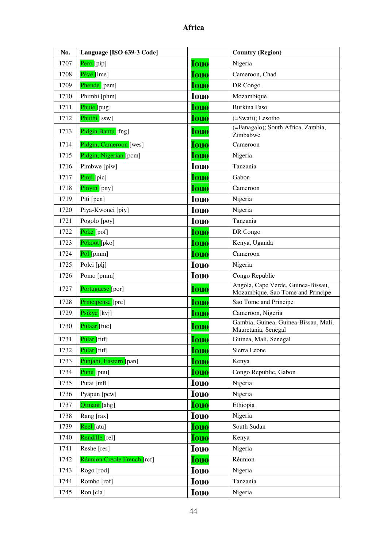| No.  | Language [ISO 639-3 Code]   |             | <b>Country (Region)</b>                                                 |
|------|-----------------------------|-------------|-------------------------------------------------------------------------|
| 1707 | Pero [pip]                  | <b>Iouo</b> | Nigeria                                                                 |
| 1708 | Pévé [1me]                  | <b>Iouo</b> | Cameroon, Chad                                                          |
| 1709 | Phende [pem]                | <b>Iouo</b> | DR Congo                                                                |
| 1710 | Phimbi [phm]                | <b>Iouo</b> | Mozambique                                                              |
| 1711 | Phuie [pug]                 | <b>Iouo</b> | <b>Burkina Faso</b>                                                     |
| 1712 | Phuthi [ssw]                | <b>Iouo</b> | (=Swati); Lesotho                                                       |
| 1713 | Pidgin Bantu [fng]          | <b>Iouo</b> | (=Fanagalo); South Africa, Zambia,<br>Zimbabwe                          |
| 1714 | Pidgin, Cameroon [wes]      | <b>Iouo</b> | Cameroon                                                                |
| 1715 | Pidgin, Nigerian [pcm]      | <b>Iouo</b> | Nigeria                                                                 |
| 1716 | Pimbwe [piw]                | <b>Iouo</b> | Tanzania                                                                |
| 1717 | Pinji [pic]                 | <b>Iouo</b> | Gabon                                                                   |
| 1718 | Pinyin [pny]                | Iouo        | Cameroon                                                                |
| 1719 | Piti [pcn]                  | <b>Iouo</b> | Nigeria                                                                 |
| 1720 | Piya-Kwonci [piy]           | <b>Iouo</b> | Nigeria                                                                 |
| 1721 | Pogolo [poy]                | <b>Iouo</b> | Tanzania                                                                |
| 1722 | Poke [pof]                  | <b>Iouo</b> | DR Congo                                                                |
| 1723 | Pökoot [pko]                | <b>Iouo</b> | Kenya, Uganda                                                           |
| 1724 | Pol [pmm]                   | <b>Iouo</b> | Cameroon                                                                |
| 1725 | Polci [plj]                 | <b>Iouo</b> | Nigeria                                                                 |
| 1726 | Pomo [pmm]                  | <b>Iouo</b> | Congo Republic                                                          |
| 1727 | Portuguese [por]            | <b>Iouo</b> | Angola, Cape Verde, Guinea-Bissau,<br>Mozambique, Sao Tome and Principe |
| 1728 | Principense [pre]           | <b>Iouo</b> | Sao Tome and Principe                                                   |
| 1729 | Psikye [kvj]                | <b>Iouo</b> | Cameroon, Nigeria                                                       |
| 1730 | Pulaar [fuc]                | <b>Iouo</b> | Gambia, Guinea, Guinea-Bissau, Mali,<br>Mauretania, Senegal             |
| 1731 | <mark>Pular</mark> [fuf]    | <b>Iouo</b> | Guinea, Mali, Senegal                                                   |
| 1732 | Pular [fuf]                 | <b>Iouo</b> | Sierra Leone                                                            |
| 1733 | Punjabi, Eastern [pan]      | <b>Iouo</b> | Kenya                                                                   |
| 1734 | Punu [puu]                  | <b>Iouo</b> | Congo Republic, Gabon                                                   |
| 1735 | Putai [mfl]                 | <b>Iouo</b> | Nigeria                                                                 |
| 1736 | Pyapun [pcw]                | <b>Iouo</b> | Nigeria                                                                 |
| 1737 | Qimant [ahg]                | <b>Iouo</b> | Ethiopia                                                                |
| 1738 | Rang [rax]                  | <b>Iouo</b> | Nigeria                                                                 |
| 1739 | Reel [atu]                  | <b>Iouo</b> | South Sudan                                                             |
| 1740 | Rendille [rel]              | <b>Iouo</b> | Kenya                                                                   |
| 1741 | Reshe [res]                 | <b>Iouo</b> | Nigeria                                                                 |
| 1742 | Réunion Creole French [rcf] | <b>Iouo</b> | Réunion                                                                 |
| 1743 | Rogo [rod]                  | <b>Iouo</b> | Nigeria                                                                 |
| 1744 | Rombo [rof]                 | <b>Iouo</b> | Tanzania                                                                |
| 1745 | Ron [cla]                   | <b>Iouo</b> | Nigeria                                                                 |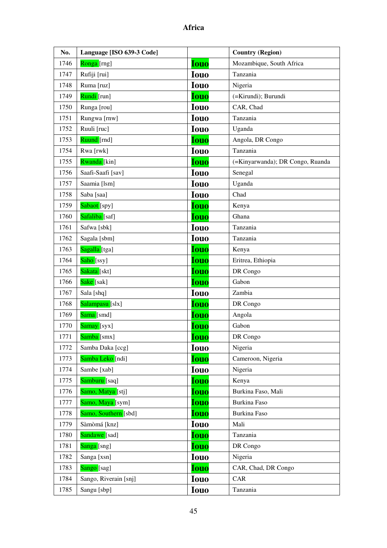| No.  | Language [ISO 639-3 Code] |             | <b>Country (Region)</b>          |
|------|---------------------------|-------------|----------------------------------|
| 1746 | Ronga [rng]               | <b>Iouo</b> | Mozambique, South Africa         |
| 1747 | Rufiji [rui]              | <b>Iouo</b> | Tanzania                         |
| 1748 | Ruma [ruz]                | <b>Iouo</b> | Nigeria                          |
| 1749 | Rundi [run]               | <b>Iouo</b> | (=Kirundi); Burundi              |
| 1750 | Runga [rou]               | <b>Iouo</b> | CAR, Chad                        |
| 1751 | Rungwa [rnw]              | <b>Iouo</b> | Tanzania                         |
| 1752 | Ruuli [ruc]               | <b>Iouo</b> | Uganda                           |
| 1753 | Ruund [rnd]               | <b>Iouo</b> | Angola, DR Congo                 |
| 1754 | Rwa [rwk]                 | <b>Iouo</b> | Tanzania                         |
| 1755 | <b>Rwanda</b> [kin]       | <b>Iouo</b> | (=Kinyarwanda); DR Congo, Ruanda |
| 1756 | Saafi-Saafi [sav]         | <b>Iouo</b> | Senegal                          |
| 1757 | Saamia [lsm]              | <b>Iouo</b> | Uganda                           |
| 1758 | Saba [saa]                | <b>Iouo</b> | Chad                             |
| 1759 | Sabaot [spy]              | <b>Iouo</b> | Kenya                            |
| 1760 | Safaliba [saf]            | <b>Iouo</b> | Ghana                            |
| 1761 | Safwa [sbk]               | <b>Iouo</b> | Tanzania                         |
| 1762 | Sagala [sbm]              | <b>Iouo</b> | Tanzania                         |
| 1763 | Sagalla [tga]             | <b>Iouo</b> | Kenya                            |
| 1764 | Saho [ssy]                | <b>Iouo</b> | Eritrea, Ethiopia                |
| 1765 | Sakata [skt]              | <b>Iouo</b> | DR Congo                         |
| 1766 | Sake [sak]                | <b>Iouo</b> | Gabon                            |
| 1767 | Sala [shq]                | <b>Iouo</b> | Zambia                           |
| 1768 | Salampasu [slx]           | <b>Iouo</b> | DR Congo                         |
| 1769 | Sama [smd]                | <b>Iouo</b> | Angola                           |
| 1770 | Samay [syx]               | <b>Iouo</b> | Gabon                            |
| 1771 | Samba [smx]               | <b>Iouo</b> | DR Congo                         |
| 1772 | Samba Daka [ccg]          | <b>Iouo</b> | Nigeria                          |
| 1773 | Samba Leko [ndi]          | <b>Iouo</b> | Cameroon, Nigeria                |
| 1774 | Sambe [xab]               | <b>Iouo</b> | Nigeria                          |
| 1775 | Samburu [saq]             | <b>Iouo</b> | Kenya                            |
| 1776 | Samo, Matya [stj]         | <b>Iouo</b> | Burkina Faso, Mali               |
| 1777 | Samo, Maya [sym]          | Iouo        | Burkina Faso                     |
| 1778 | Samo, Southern [sbd]      | <b>Iouo</b> | Burkina Faso                     |
| 1779 | Sàmòmá [knz]              | <b>Iouo</b> | Mali                             |
| 1780 | Sandawe [sad]             | <b>Iouo</b> | Tanzania                         |
| 1781 | Sanga [sng]               | <b>Iouo</b> | DR Congo                         |
| 1782 | Sanga [xsn]               | <b>Iouo</b> | Nigeria                          |
| 1783 | Sango [sag]               | <b>Iouo</b> | CAR, Chad, DR Congo              |
| 1784 | Sango, Riverain [snj]     | <b>Iouo</b> | CAR                              |
| 1785 | Sangu [sbp]               | <b>Iouo</b> | Tanzania                         |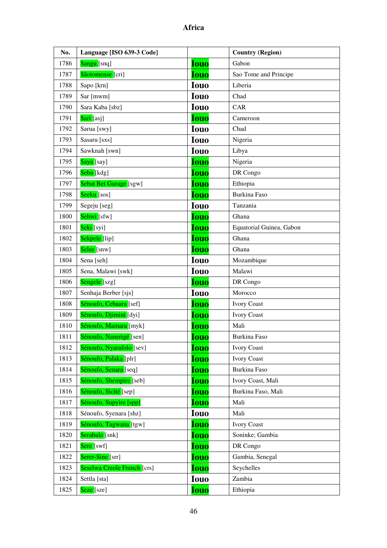| No.  | Language [ISO 639-3 Code]   |             | <b>Country (Region)</b>  |
|------|-----------------------------|-------------|--------------------------|
| 1786 | Sangu [snq]                 | <b>Iouo</b> | Gabon                    |
| 1787 | Sãotomense [cri]            | <b>Iouo</b> | Sao Tome and Principe    |
| 1788 | Sapo [krn]                  | <b>Iouo</b> | Liberia                  |
| 1789 | Sar [mwm]                   | <b>Iouo</b> | Chad                     |
| 1790 | Sara Kaba [sbz]             | <b>Iouo</b> | CAR                      |
| 1791 | Sari [asj]                  | <b>Iouo</b> | Cameroon                 |
| 1792 | Sarua [swy]                 | <b>Iouo</b> | Chad                     |
| 1793 | Sasaru [sxs]                | <b>Iouo</b> | Nigeria                  |
| 1794 | Sawknah [swn]               | <b>Iouo</b> | Libya                    |
| 1795 | Saya [say]                  | <b>Iouo</b> | Nigeria                  |
| 1796 | Seba [kdg]                  | <b>Iouo</b> | DR Congo                 |
| 1797 | Sebat Bet Gurage [sgw]      | <b>Iouo</b> | Ethiopia                 |
| 1798 | Seeku [sos]                 | <b>Iouo</b> | <b>Burkina Faso</b>      |
| 1799 | Segeju [seg]                | <b>Iouo</b> | Tanzania                 |
| 1800 | Sehwi [sfw]                 | <b>Iouo</b> | Ghana                    |
| 1801 | Seki [syi]                  | <b>Iouo</b> | Equatorial Guinea, Gabon |
| 1802 | Sekpele [lip]               | <b>Iouo</b> | Ghana                    |
| 1803 | Selee [snw]                 | <b>Iouo</b> | Ghana                    |
| 1804 | Sena [seh]                  | <b>Iouo</b> | Mozambique               |
| 1805 | Sena, Malawi [swk]          | <b>Iouo</b> | Malawi                   |
| 1806 | Sengele <sup>[szg]</sup>    | <b>Iouo</b> | DR Congo                 |
| 1807 | Senhaja Berber [sjs]        | <b>Iouo</b> | Morocco                  |
| 1808 | Sénoufo, Cebaara [sef]      | <b>Iouo</b> | <b>Ivory Coast</b>       |
| 1809 | Sénoufo, Djimini [dyi]      | <b>Iouo</b> | <b>Ivory Coast</b>       |
| 1810 | Sénoufo, Mamara [myk]       | <b>Iouo</b> | Mali                     |
| 1811 | Sénoufo, Nanerigé [sen]     | <b>Iouo</b> | Burkina Faso             |
| 1812 | Sénoufo, Nyarafolo [sev]    | Iouo        | <b>Ivory Coast</b>       |
| 1813 | Sénoufo, Palaka [plr]       | Iouo        | <b>Ivory Coast</b>       |
| 1814 | Sénoufo, Senara [seq]       | <u>Iouo</u> | Burkina Faso             |
| 1815 | Sénoufo, Shempire [seb]     | Iouo        | Ivory Coast, Mali        |
| 1816 | Sénoufo, Sicité [sep]       | Iouo        | Burkina Faso, Mali       |
| 1817 | Sénoufo, Supyire [spp]      | <b>Iouo</b> | Mali                     |
| 1818 | Sénoufo, Syenara [shz]      | <b>Iouo</b> | Mali                     |
| 1819 | Sénoufo, Tagwana [tgw]      | <b>Iouo</b> | <b>Ivory Coast</b>       |
| 1820 | Serahule [snk]              | Iouo        | Soninke; Gambia          |
| 1821 | Sere [swf]                  | Iouo        | DR Congo                 |
| 1822 | Serer-Sine [srr]            | <b>Iouo</b> | Gambia, Senegal          |
| 1823 | Seselwa Creole French [crs] | Iouo        | Seychelles               |
| 1824 | Settla [sta]                | <b>Iouo</b> | Zambia                   |
| 1825 | Seze [sze]                  | <b>Iouo</b> | Ethiopia                 |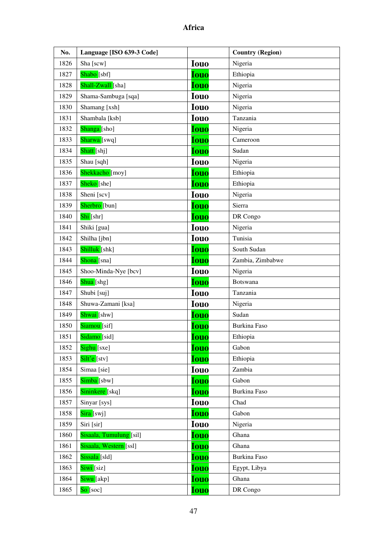| No.  | Language [ISO 639-3 Code] |             | <b>Country (Region)</b> |
|------|---------------------------|-------------|-------------------------|
| 1826 | Sha [scw]                 | <b>Iouo</b> | Nigeria                 |
| 1827 | Shabo <sup>[sbf]</sup>    | <b>Iouo</b> | Ethiopia                |
| 1828 | Shall-Zwall [sha]         | <b>Iouo</b> | Nigeria                 |
| 1829 | Shama-Sambuga [sqa]       | <b>Iouo</b> | Nigeria                 |
| 1830 | Shamang [xsh]             | <b>Iouo</b> | Nigeria                 |
| 1831 | Shambala [ksb]            | <b>Iouo</b> | Tanzania                |
| 1832 | Shanga [sho]              | <b>Iouo</b> | Nigeria                 |
| 1833 | Sharwa [swq]              | <b>Iouo</b> | Cameroon                |
| 1834 | Shatt [shj]               | <b>Iouo</b> | Sudan                   |
| 1835 | Shau [sqh]                | <b>Iouo</b> | Nigeria                 |
| 1836 | Shekkacho [moy]           | <b>Iouo</b> | Ethiopia                |
| 1837 | Sheko [she]               | <b>Iouo</b> | Ethiopia                |
| 1838 | Sheni [scv]               | <b>Iouo</b> | Nigeria                 |
| 1839 | Sherbro [bun]             | <b>Iouo</b> | Sierra                  |
| 1840 | Shi [shr]                 | <b>Iouo</b> | DR Congo                |
| 1841 | Shiki [gua]               | <b>Iouo</b> | Nigeria                 |
| 1842 | Shilha [jbn]              | <b>Iouo</b> | Tunisia                 |
| 1843 | Shilluk [shk]             | <b>Iouo</b> | South Sudan             |
| 1844 | Shona [sna]               | <b>Iouo</b> | Zambia, Zimbabwe        |
| 1845 | Shoo-Minda-Nye [bcv]      | <b>Iouo</b> | Nigeria                 |
| 1846 | Shua <sup>[shg]</sup>     | <b>Iouo</b> | <b>Botswana</b>         |
| 1847 | Shubi [suj]               | <b>Iouo</b> | Tanzania                |
| 1848 | Shuwa-Zamani [ksa]        | <b>Iouo</b> | Nigeria                 |
| 1849 | Shwai [shw]               | <b>Iouo</b> | Sudan                   |
| 1850 | Siamou <sup>[sif]</sup>   | <b>Iouo</b> | <b>Burkina Faso</b>     |
| 1851 | Sidamo [sid]              | <u>Iouo</u> | Ethiopia                |
| 1852 | Sighu [sxe]               | <b>Iouo</b> | Gabon                   |
| 1853 | Silt'e [stv]              | <b>Iouo</b> | Ethiopia                |
| 1854 | Simaa [sie]               | <b>Iouo</b> | Zambia                  |
| 1855 | Simba [sbw]               | <b>Iouo</b> | Gabon                   |
| 1856 | Sininkere [skq]           | <b>Iouo</b> | Burkina Faso            |
| 1857 | Sinyar [sys]              | <b>Iouo</b> | Chad                    |
| 1858 | Sira [swj]                | <b>Iouo</b> | Gabon                   |
| 1859 | Siri [sir]                | <b>Iouo</b> | Nigeria                 |
| 1860 | Sisaala, Tumulung [sil]   | <b>Iouo</b> | Ghana                   |
| 1861 | Sisaala, Western [ssl]    | <u>Iouo</u> | Ghana                   |
| 1862 | Sissala [sld]             | <b>Iouo</b> | Burkina Faso            |
| 1863 | Siwi <sup>[siz]</sup>     | <b>Iouo</b> | Egypt, Libya            |
| 1864 | Siwu [akp]                | <b>Iouo</b> | Ghana                   |
| 1865 | $\text{So}$ [soc]         | <b>Iouo</b> | DR Congo                |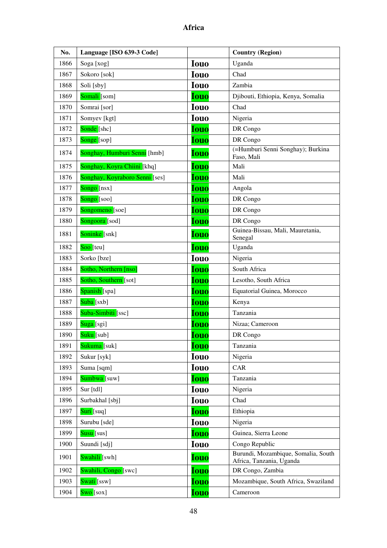| No.  | Language [ISO 639-3 Code]      |             | <b>Country (Region)</b>                                         |
|------|--------------------------------|-------------|-----------------------------------------------------------------|
| 1866 | Soga [xog]                     | <b>Iouo</b> | Uganda                                                          |
| 1867 | Sokoro [sok]                   | <b>Iouo</b> | Chad                                                            |
| 1868 | Soli [sby]                     | <b>Iouo</b> | Zambia                                                          |
| 1869 | Somali <sup>[som]</sup>        | <b>Iouo</b> | Djibouti, Ethiopia, Kenya, Somalia                              |
| 1870 | Somrai [sor]                   | <b>Iouo</b> | Chad                                                            |
| 1871 | Somyev [kgt]                   | <b>Iouo</b> | Nigeria                                                         |
| 1872 | Sonde [shc]                    | <b>Iouo</b> | DR Congo                                                        |
| 1873 | Songe [sop]                    | <b>Iouo</b> | DR Congo                                                        |
| 1874 | Songhay, Humburi Senni [hmb]   | <b>Iouo</b> | (=Humburi Senni Songhay); Burkina<br>Faso, Mali                 |
| 1875 | Songhay, Koyra Chiini [khq]    | <b>Iouo</b> | Mali                                                            |
| 1876 | Songhay, Koyraboro Senni [ses] | <b>Iouo</b> | Mali                                                            |
| 1877 | Songo [nsx]                    | <b>Iouo</b> | Angola                                                          |
| 1878 | $\text{Songo}$ [soo]           | <b>Iouo</b> | DR Congo                                                        |
| 1879 | Songomeno [soe]                | <b>Iouo</b> | DR Congo                                                        |
| 1880 | Songoora [sod]                 | Iouo        | DR Congo                                                        |
| 1881 | Soninke [snk]                  | <b>Iouo</b> | Guinea-Bissau, Mali, Mauretania,<br>Senegal                     |
| 1882 | Soo <sup>[teu]</sup>           | <b>Iouo</b> | Uganda                                                          |
| 1883 | Sorko [bze]                    | <b>Iouo</b> | Nigeria                                                         |
| 1884 | Sotho, Northern [nso]          | <b>Iouo</b> | South Africa                                                    |
| 1885 | Sotho, Southern [sot]          | <b>Iouo</b> | Lesotho, South Africa                                           |
| 1886 | Spanish [spa]                  | <b>Iouo</b> | Equatorial Guinea, Morocco                                      |
| 1887 | Suba [sxb]                     | <b>Iouo</b> | Kenya                                                           |
| 1888 | Suba-Simbiti [ssc]             | <b>Iouo</b> | Tanzania                                                        |
| 1889 | Suga [sgi]                     | <b>Iouo</b> | Nizaa; Cameroon                                                 |
| 1890 | Suku [sub]                     | <b>Iouo</b> | DR Congo                                                        |
| 1891 | Sukuma [suk]                   | <b>Iouo</b> | Tanzania                                                        |
| 1892 | Sukur [syk]                    | <b>Iouo</b> | Nigeria                                                         |
| 1893 | Suma [sqm]                     | <b>Iouo</b> | CAR                                                             |
| 1894 | Sumbwa [suw]                   | <b>Iouo</b> | Tanzania                                                        |
| 1895 | Sur [tdl]                      | <b>Iouo</b> | Nigeria                                                         |
| 1896 | Surbakhal [sbj]                | <b>Iouo</b> | Chad                                                            |
| 1897 | Suri [suq]                     | <b>Iouo</b> | Ethiopia                                                        |
| 1898 | Surubu [sde]                   | <b>Iouo</b> | Nigeria                                                         |
| 1899 | Susu <sup>[sus]</sup>          | <b>Iouo</b> | Guinea, Sierra Leone                                            |
| 1900 | Suundi [sdj]                   | <b>Iouo</b> | Congo Republic                                                  |
| 1901 | Swahili <sup>[swh]</sup>       | <b>Iouo</b> | Burundi, Mozambique, Somalia, South<br>Africa, Tanzania, Uganda |
| 1902 | Swahili, Congo [swc]           | <b>Iouo</b> | DR Congo, Zambia                                                |
| 1903 | Swati [ssw]                    | <b>Iouo</b> | Mozambique, South Africa, Swaziland                             |
| 1904 | $Swo$ [sox]                    | <b>Iouo</b> | Cameroon                                                        |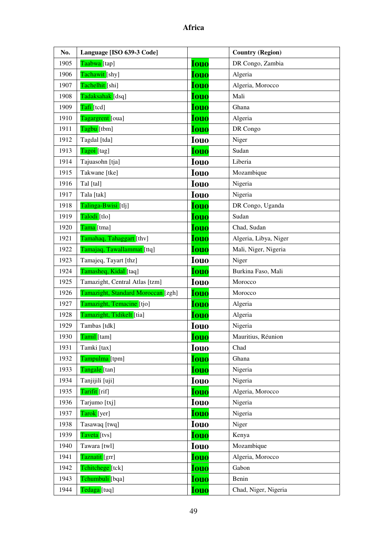| No.  | Language [ISO 639-3 Code]          |             | <b>Country (Region)</b> |
|------|------------------------------------|-------------|-------------------------|
| 1905 | Taabwa [tap]                       | <b>Iouo</b> | DR Congo, Zambia        |
| 1906 | Tachawit [shy]                     | <b>Iouo</b> | Algeria                 |
| 1907 | Tachelhit [shi]                    | <b>Iouo</b> | Algeria, Morocco        |
| 1908 | Tadaksahak [dsq]                   | <b>Iouo</b> | Mali                    |
| 1909 | Tafi [tcd]                         | <b>Iouo</b> | Ghana                   |
| 1910 | Tagargrent [oua]                   | <b>Iouo</b> | Algeria                 |
| 1911 | Tagbu [tbm]                        | <b>Iouo</b> | DR Congo                |
| 1912 | Tagdal [tda]                       | <b>Iouo</b> | Niger                   |
| 1913 | Tagoi [tag]                        | <b>Iouo</b> | Sudan                   |
| 1914 | Tajuasohn [tja]                    | <b>Iouo</b> | Liberia                 |
| 1915 | Takwane [tke]                      | <b>Iouo</b> | Mozambique              |
| 1916 | Tal [tal]                          | <b>Iouo</b> | Nigeria                 |
| 1917 | Tala [tak]                         | <b>Iouo</b> | Nigeria                 |
| 1918 | Talinga-Bwisi [tlj]                | <b>Iouo</b> | DR Congo, Uganda        |
| 1919 | Talodi <sup>[tlo]</sup>            | <b>Iouo</b> | Sudan                   |
| 1920 | Tama [tma]                         | <b>Iouo</b> | Chad, Sudan             |
| 1921 | Tamahaq, Tahaggart [thv]           | <b>Iouo</b> | Algeria, Libya, Niger   |
| 1922 | Tamajaq, Tawallammat [ttq]         | <b>Iouo</b> | Mali, Niger, Nigeria    |
| 1923 | Tamajeq, Tayart [thz]              | <b>Iouo</b> | Niger                   |
| 1924 | Tamasheq, Kidal [taq]              | <b>Iouo</b> | Burkina Faso, Mali      |
| 1925 | Tamazight, Central Atlas [tzm]     | <b>Iouo</b> | Morocco                 |
| 1926 | Tamazight, Standard Moroccan [zgh] | <b>Iouo</b> | Morocco                 |
| 1927 | Tamazight, Temacine [tjo]          | <b>Iouo</b> | Algeria                 |
| 1928 | Tamazight, Tidikelt [tia]          | <b>Iouo</b> | Algeria                 |
| 1929 | Tambas [tdk]                       | <b>Iouo</b> | Nigeria                 |
| 1930 | Tamil [tam]                        | <b>Iouo</b> | Mauritius, Réunion      |
| 1931 | Tamki [tax]                        | <b>Iouo</b> | Chad                    |
| 1932 | Tampulma [tpm]                     | <b>Iouo</b> | Ghana                   |
| 1933 | Tangale [tan]                      | <b>Iouo</b> | Nigeria                 |
| 1934 | Tanjijili [uji]                    | <b>Iouo</b> | Nigeria                 |
| 1935 | Tarifit [rif]                      | <b>Iouo</b> | Algeria, Morocco        |
| 1936 | Tarjumo [txj]                      | <b>Iouo</b> | Nigeria                 |
| 1937 | Tarok [yer]                        | <b>Iouo</b> | Nigeria                 |
| 1938 | Tasawaq [twq]                      | <b>Iouo</b> | Niger                   |
| 1939 | Taveta [tvs]                       | <b>Iouo</b> | Kenya                   |
| 1940 | Tawara [twl]                       | <b>Iouo</b> | Mozambique              |
| 1941 | Taznatit [grr]                     | <b>Iouo</b> | Algeria, Morocco        |
| 1942 | Tchitchege [tck]                   | <b>Iouo</b> | Gabon                   |
| 1943 | Tchumbuli [bqa]                    | <b>Iouo</b> | Benin                   |
| 1944 | Tedaga [tuq]                       | <b>Iouo</b> | Chad, Niger, Nigeria    |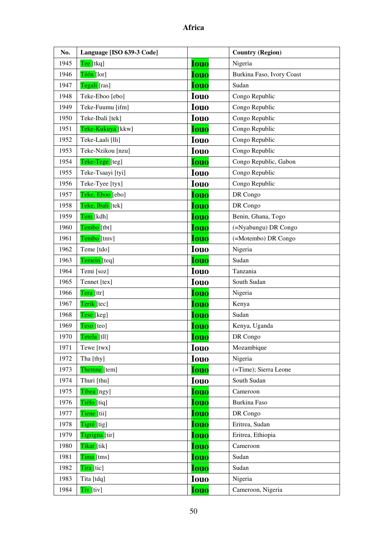| No.  | Language [ISO 639-3 Code] |             | <b>Country (Region)</b>   |
|------|---------------------------|-------------|---------------------------|
| 1945 | Tee [tkq]                 | <b>Iouo</b> | Nigeria                   |
| 1946 | Téén [lor]                | <b>Iouo</b> | Burkina Faso, Ivory Coast |
| 1947 | Tegali [ras]              | <b>Iouo</b> | Sudan                     |
| 1948 | Teke-Eboo [ebo]           | <b>Iouo</b> | Congo Republic            |
| 1949 | Teke-Fuumu [ifm]          | <b>Iouo</b> | Congo Republic            |
| 1950 | Teke-Ibali [tek]          | <b>Iouo</b> | Congo Republic            |
| 1951 | Teke-Kukuya [kkw]         | <b>Iouo</b> | Congo Republic            |
| 1952 | Teke-Laali [lli]          | <b>Iouo</b> | Congo Republic            |
| 1953 | Teke-Nzikou [nzu]         | <b>Iouo</b> | Congo Republic            |
| 1954 | Teke-Tege [teg]           | <b>Iouo</b> | Congo Republic, Gabon     |
| 1955 | Teke-Tsaayi [tyi]         | <b>Iouo</b> | Congo Republic            |
| 1956 | Teke-Tyee [tyx]           | <b>Iouo</b> | Congo Republic            |
| 1957 | Teke, Eboo [ebo]          | <b>Iouo</b> | DR Congo                  |
| 1958 | Teke, Ibali [tek]         | <b>Iouo</b> | DR Congo                  |
| 1959 | Tem [kdh]                 | <b>Iouo</b> | Benin, Ghana, Togo        |
| 1960 | Tembo <sup>[tbt]</sup>    | <b>Iouo</b> | (=Nyabungu) DR Congo      |
| 1961 | Tembo [tmv]               | <b>Iouo</b> | (=Motembo) DR Congo       |
| 1962 | Teme [tdo]                | <b>Iouo</b> | Nigeria                   |
| 1963 | Temein [teq]              | <b>Iouo</b> | Sudan                     |
| 1964 | Temi [soz]                | <b>Iouo</b> | Tanzania                  |
| 1965 | Tennet [tex]              | <b>Iouo</b> | South Sudan               |
| 1966 | Tera [ttr]                | <b>Iouo</b> | Nigeria                   |
| 1967 | Terik [tec]               | <b>Iouo</b> | Kenya                     |
| 1968 | Tese [keg]                | <b>Iouo</b> | Sudan                     |
| 1969 | Teso [teo]                | <b>Iouo</b> | Kenya, Uganda             |
| 1970 | Tetela [tll]              | <u>Iouo</u> | DR Congo                  |
| 1971 | Tewe [twx]                | <b>Iouo</b> | Mozambique                |
| 1972 | Tha [thy]                 | <b>Iouo</b> | Nigeria                   |
| 1973 | Themne [tem]              | <b>Iouo</b> | (=Time); Sierra Leone     |
| 1974 | Thuri [thu]               | <b>Iouo</b> | South Sudan               |
| 1975 | Tibea [ngy]               | <b>Iouo</b> | Cameroon                  |
| 1976 | Tiéfo [tiq]               | <b>Iouo</b> | Burkina Faso              |
| 1977 | Tiene [tii]               | <b>Iouo</b> | DR Congo                  |
| 1978 | Tigré [tig]               | <b>Iouo</b> | Eritrea, Sudan            |
| 1979 | Tigrigna [tir]            | <b>Iouo</b> | Eritrea, Ethiopia         |
| 1980 | Tikar [tik]               | <u>Iouo</u> | Cameroon                  |
| 1981 | Tima [tms]                | <b>Iouo</b> | Sudan                     |
| 1982 | Tira [tic]                | <b>Iouo</b> | Sudan                     |
| 1983 | Tita [tdq]                | <b>Iouo</b> | Nigeria                   |
| 1984 | Tiv <sup>[tiv]</sup>      | <b>Iouo</b> | Cameroon, Nigeria         |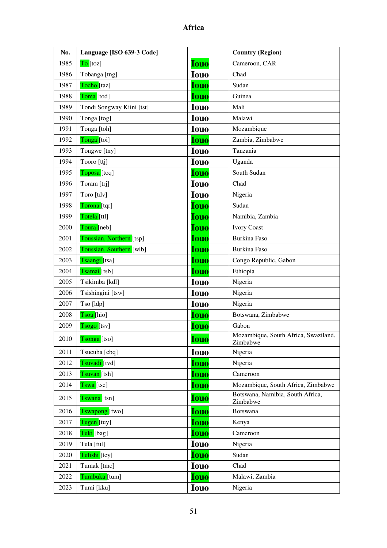| No.  | Language [ISO 639-3 Code] |             | <b>Country (Region)</b>                          |
|------|---------------------------|-------------|--------------------------------------------------|
| 1985 | To [toz]                  | <b>Iouo</b> | Cameroon, CAR                                    |
| 1986 | Tobanga [tng]             | <b>Iouo</b> | Chad                                             |
| 1987 | Tocho [taz]               | <b>Iouo</b> | Sudan                                            |
| 1988 | Toma [tod]                | <b>Iouo</b> | Guinea                                           |
| 1989 | Tondi Songway Kiini [tst] | <b>Iouo</b> | Mali                                             |
| 1990 | Tonga [tog]               | <b>Iouo</b> | Malawi                                           |
| 1991 | Tonga [toh]               | <b>Iouo</b> | Mozambique                                       |
| 1992 | Tonga [toi]               | <b>Iouo</b> | Zambia, Zimbabwe                                 |
| 1993 | Tongwe [tny]              | <b>Iouo</b> | Tanzania                                         |
| 1994 | Tooro [ttj]               | <b>Iouo</b> | Uganda                                           |
| 1995 | Toposa <sup>[toq]</sup>   | <b>Iouo</b> | South Sudan                                      |
| 1996 | Toram [trj]               | <b>Iouo</b> | Chad                                             |
| 1997 | Toro [tdv]                | <b>Iouo</b> | Nigeria                                          |
| 1998 | Torona [tqr]              | <b>Iouo</b> | Sudan                                            |
| 1999 | Totela [ttl]              | <b>Iouo</b> | Namibia, Zambia                                  |
| 2000 | Toura [neb]               | <b>Iouo</b> | <b>Ivory Coast</b>                               |
| 2001 | Toussian, Northern [tsp]  | <b>Iouo</b> | Burkina Faso                                     |
| 2002 | Toussian, Southern [wib]  | <b>Iouo</b> | Burkina Faso                                     |
| 2003 | Tsaangi [tsa]             | <b>Iouo</b> | Congo Republic, Gabon                            |
| 2004 | Tsamai [tsb]              | <b>Iouo</b> | Ethiopia                                         |
| 2005 | Tsikimba [kdl]            | <b>Iouo</b> | Nigeria                                          |
| 2006 | Tsishingini [tsw]         | <b>Iouo</b> | Nigeria                                          |
| 2007 | Tso [ldp]                 | <b>Iouo</b> | Nigeria                                          |
| 2008 | Tsoa [hio]                | <b>Iouo</b> | Botswana, Zimbabwe                               |
| 2009 | Tsogo [tsv]               | <b>Iouo</b> | Gabon                                            |
| 2010 | Tsonga [tso]              | <b>Iouo</b> | Mozambique, South Africa, Swaziland,<br>Zimbabwe |
| 2011 | Tsucuba [cbq]             | <b>Iouo</b> | Nigeria                                          |
| 2012 | Tsuvadi [tvd]             | <b>Iouo</b> | Nigeria                                          |
| 2013 | Tsuvan [tsh]              | <b>Iouo</b> | Cameroon                                         |
| 2014 | Tswa [tsc]                | <b>Iouo</b> | Mozambique, South Africa, Zimbabwe               |
| 2015 | Tswana [tsn]              | <b>Iouo</b> | Botswana, Namibia, South Africa,<br>Zimbabwe     |
| 2016 | Tswapong [two]            | <b>Iouo</b> | Botswana                                         |
| 2017 | Tugen [tuy]               | <b>Iouo</b> | Kenya                                            |
| 2018 | Tuki [bag]                | <b>Iouo</b> | Cameroon                                         |
| 2019 | Tula [tul]                | <b>Iouo</b> | Nigeria                                          |
| 2020 | Tulishi [tey]             | <b>Iouo</b> | Sudan                                            |
| 2021 | Tumak [tmc]               | <b>Iouo</b> | Chad                                             |
| 2022 | Tumbuka [tum]             | Iouo        | Malawi, Zambia                                   |
| 2023 | Tumi [kku]                | <b>Iouo</b> | Nigeria                                          |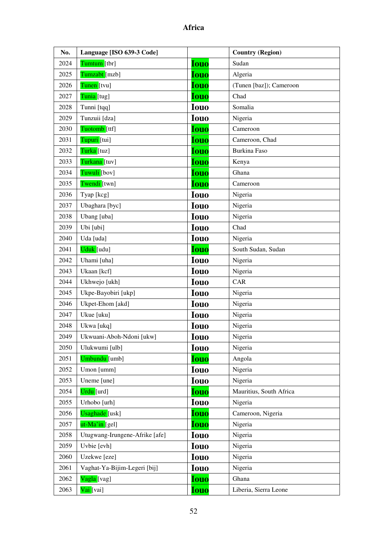| No.  | Language [ISO 639-3 Code]      |             | <b>Country (Region)</b> |
|------|--------------------------------|-------------|-------------------------|
| 2024 | Tumtum [tbr]                   | <b>Iouo</b> | Sudan                   |
| 2025 | Tumzabt [mzb]                  | <b>Iouo</b> | Algeria                 |
| 2026 | Tunen [tvu]                    | <b>Iouo</b> | (Tunen [baz]); Cameroon |
| 2027 | Tunia [tug]                    | <b>Iouo</b> | Chad                    |
| 2028 | Tunni [tqq]                    | <b>Iouo</b> | Somalia                 |
| 2029 | Tunzuii [dza]                  | <b>Iouo</b> | Nigeria                 |
| 2030 | Tuotomb [ttf]                  | <b>Iouo</b> | Cameroon                |
| 2031 | Tupuri [tui]                   | <b>Iouo</b> | Cameroon, Chad          |
| 2032 | Turka [tuz]                    | <b>Iouo</b> | Burkina Faso            |
| 2033 | Turkana [tuv]                  | <b>Iouo</b> | Kenya                   |
| 2034 | Tuwuli [bov]                   | Iouo        | Ghana                   |
| 2035 | Twendi [twn]                   | <b>Iouo</b> | Cameroon                |
| 2036 | Tyap [kcg]                     | <b>Iouo</b> | Nigeria                 |
| 2037 | Ubaghara [byc]                 | <b>Iouo</b> | Nigeria                 |
| 2038 | Ubang [uba]                    | <b>Iouo</b> | Nigeria                 |
| 2039 | Ubi [ubi]                      | <b>Iouo</b> | Chad                    |
| 2040 | Uda [uda]                      | <b>Iouo</b> | Nigeria                 |
| 2041 | Uduk [udu]                     | <b>Iouo</b> | South Sudan, Sudan      |
| 2042 | Uhami [uha]                    | <b>Iouo</b> | Nigeria                 |
| 2043 | Ukaan [kcf]                    | <b>Iouo</b> | Nigeria                 |
| 2044 | Ukhwejo [ukh]                  | <b>Iouo</b> | CAR                     |
| 2045 | Ukpe-Bayobiri [ukp]            | <b>Iouo</b> | Nigeria                 |
| 2046 | Ukpet-Ehom [akd]               | <b>Iouo</b> | Nigeria                 |
| 2047 | Ukue [uku]                     | <b>Iouo</b> | Nigeria                 |
| 2048 | Ukwa [ukq]                     | <b>Iouo</b> | Nigeria                 |
| 2049 | Ukwuani-Aboh-Ndoni [ukw]       | <b>Iouo</b> | Nigeria                 |
| 2050 | Ulukwumi [ulb]                 | <b>Iouo</b> | Nigeria                 |
| 2051 | Umbundu [umb]                  | <b>Iouo</b> | Angola                  |
| 2052 | Umon [umm]                     | <b>Iouo</b> | Nigeria                 |
| 2053 | Uneme [une]                    | <b>Iouo</b> | Nigeria                 |
| 2054 | Urdu [urd]                     | <b>Iouo</b> | Mauritius, South Africa |
| 2055 | Urhobo [urh]                   | <b>Iouo</b> | Nigeria                 |
| 2056 | Usaghade [usk]                 | <b>Iouo</b> | Cameroon, Nigeria       |
| 2057 | ut-Ma'in [gel]                 | <b>Iouo</b> | Nigeria                 |
| 2058 | Utugwang-Irungene-Afrike [afe] | <b>Iouo</b> | Nigeria                 |
| 2059 | Uvbie [evh]                    | <b>Iouo</b> | Nigeria                 |
| 2060 | Uzekwe [eze]                   | <b>Iouo</b> | Nigeria                 |
| 2061 | Vaghat-Ya-Bijim-Legeri [bij]   | <b>Iouo</b> | Nigeria                 |
| 2062 | Vagla [vag]                    | <b>Iouo</b> | Ghana                   |
| 2063 | Vai [vai]                      | <b>Iouo</b> | Liberia, Sierra Leone   |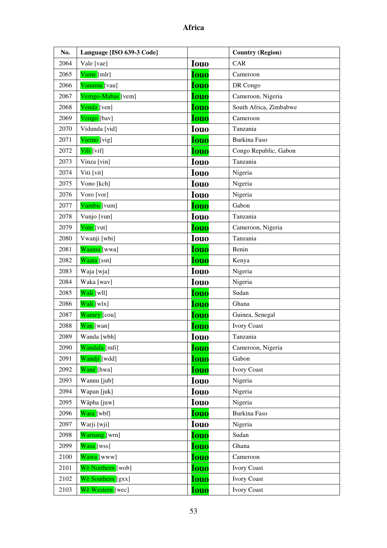| No.  | Language [ISO 639-3 Code] |             | <b>Country (Region)</b> |
|------|---------------------------|-------------|-------------------------|
| 2064 | Vale [vae]                | <b>Iouo</b> | CAR                     |
| 2065 | Vame [mlr]                | <b>Iouo</b> | Cameroon                |
| 2066 | Vanuma [vau]              | <b>Iouo</b> | DR Congo                |
| 2067 | Vemgo-Mabas [vem]         | <b>Iouo</b> | Cameroon, Nigeria       |
| 2068 | Venda [ven]               | <b>Iouo</b> | South Africa, Zimbabwe  |
| 2069 | Vengo [bav]               | <b>Iouo</b> | Cameroon                |
| 2070 | Vidunda [vid]             | <b>Iouo</b> | Tanzania                |
| 2071 | Viemo [vig]               | <b>Iouo</b> | <b>Burkina Faso</b>     |
| 2072 | Vili <sup>[vif]</sup>     | <b>Iouo</b> | Congo Republic, Gabon   |
| 2073 | Vinza [vin]               | <b>Iouo</b> | Tanzania                |
| 2074 | Viti [vit]                | <b>Iouo</b> | Nigeria                 |
| 2075 | Vono [kch]                | <b>Iouo</b> | Nigeria                 |
| 2076 | Voro [vor]                | <b>Iouo</b> | Nigeria                 |
| 2077 | Vumbu [vum]               | <b>Iouo</b> | Gabon                   |
| 2078 | Vunjo [vun]               | <b>Iouo</b> | Tanzania                |
| 2079 | Vute [vut]                | <b>Iouo</b> | Cameroon, Nigeria       |
| 2080 | Vwanji [wbi]              | <b>Iouo</b> | Tanzania                |
| 2081 | Waama [wwa]               | <b>Iouo</b> | Benin                   |
| 2082 | Waata [ssn]               | <b>Iouo</b> | Kenya                   |
| 2083 | Waja [wja]                | <b>Iouo</b> | Nigeria                 |
| 2084 | Waka [wav]                | <b>Iouo</b> | Nigeria                 |
| 2085 | Wali [wll]                | <b>Iouo</b> | Sudan                   |
| 2086 | Wali [wlx]                | <b>Iouo</b> | Ghana                   |
| 2087 | Wamey [cou]               | <b>Iouo</b> | Guinea, Senegal         |
| 2088 | Wan [wan]                 | <b>Iouo</b> | <b>Ivory Coast</b>      |
| 2089 | Wanda [wbh]               | <b>Iouo</b> | Tanzania                |
| 2090 | Wandala [mfi]             | <b>Iouo</b> | Cameroon, Nigeria       |
| 2091 | Wandji [wdd]              | <b>Iouo</b> | Gabon                   |
| 2092 | Wané [hwa]                | <b>Iouo</b> | <b>Ivory Coast</b>      |
| 2093 | Wannu [jub]               | <b>Iouo</b> | Nigeria                 |
| 2094 | Wapan [juk]               | <b>Iouo</b> | Nigeria                 |
| 2095 | Wãpha [juw]               | <b>Iouo</b> | Nigeria                 |
| 2096 | Wara [wbf]                | <b>Iouo</b> | Burkina Faso            |
| 2097 | Warji [wji]               | <b>Iouo</b> | Nigeria                 |
| 2098 | Warnang [wrn]             | <b>Iouo</b> | Sudan                   |
| 2099 | Wasa [wss]                | <b>Iouo</b> | Ghana                   |
| 2100 | Wawa [www]                | <b>Iouo</b> | Cameroon                |
| 2101 | Wè Northern [wob]         | <b>Iouo</b> | <b>Ivory Coast</b>      |
| 2102 | Wè Southern [gxx]         | <b>Iouo</b> | <b>Ivory Coast</b>      |
| 2103 | Wè Western [wec]          | <b>Iouo</b> | <b>Ivory Coast</b>      |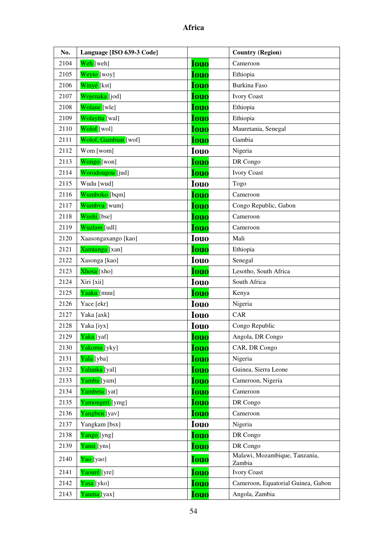| No.  | Language [ISO 639-3 Code] |             | <b>Country (Region)</b>                 |
|------|---------------------------|-------------|-----------------------------------------|
| 2104 | Weh [weh]                 | <b>Iouo</b> | Cameroon                                |
| 2105 | Weyto [woy]               | <b>Iouo</b> | Ethiopia                                |
| 2106 | Winyé [kst]               | <b>Iouo</b> | <b>Burkina Faso</b>                     |
| 2107 | Wojenaka [jod]            | <b>Iouo</b> | <b>Ivory Coast</b>                      |
| 2108 | Wolane [wle]              | <b>Iouo</b> | Ethiopia                                |
| 2109 | Wolaytta [wal]            | <b>Iouo</b> | Ethiopia                                |
| 2110 | Wolof [wol]               | <b>Iouo</b> | Mauretania, Senegal                     |
| 2111 | Wolof, Gambian [wof]      | <b>Iouo</b> | Gambia                                  |
| 2112 | Wom [wom]                 | <b>Iouo</b> | Nigeria                                 |
| 2113 | Wongo [won]               | <b>Iouo</b> | DR Congo                                |
| 2114 | Worodougou [jud]          | <b>Iouo</b> | <b>Ivory Coast</b>                      |
| 2115 | Wudu [wud]                | <b>Iouo</b> | Togo                                    |
| 2116 | Wumboko [bqm]             | <b>Iouo</b> | Cameroon                                |
| 2117 | Wumbvu [wum]              | <b>Iouo</b> | Congo Republic, Gabon                   |
| 2118 | Wushi [bse]               | <b>Iouo</b> | Cameroon                                |
| 2119 | Wuzlam [udl]              | <b>Iouo</b> | Cameroon                                |
| 2120 | Xaasongaxango [kao]       | <b>Iouo</b> | Mali                                    |
| 2121 | Xamtanga [xan]            | <b>Iouo</b> | Ethiopia                                |
| 2122 | Xasonga [kao]             | <b>Iouo</b> | Senegal                                 |
| 2123 | Xhosa [xho]               | <b>Iouo</b> | Lesotho, South Africa                   |
| 2124 | Xiri [xii]                | <b>Iouo</b> | South Africa                            |
| 2125 | Yaaku [muu]               | <b>Iouo</b> | Kenya                                   |
| 2126 | Yace [ekr]                | <b>Iouo</b> | Nigeria                                 |
| 2127 | Yaka [axk]                | <b>Iouo</b> | <b>CAR</b>                              |
| 2128 | Yaka [iyx]                | <b>Iouo</b> | Congo Republic                          |
| 2129 | Yaka [yaf]                | <b>Iouo</b> | Angola, DR Congo                        |
| 2130 | Yakoma [yky]              | <b>Iouo</b> | CAR, DR Congo                           |
| 2131 | Yala [yba]                | <b>Iouo</b> | Nigeria                                 |
| 2132 | Yalunka [yal]             | <b>Iouo</b> | Guinea, Sierra Leone                    |
| 2133 | Yamba [yam]               | <b>Iouo</b> | Cameroon, Nigeria                       |
| 2134 | Yambeta [yat]             | <b>Iouo</b> | Cameroon                                |
| 2135 | Yamongeri [ymg]           | <b>Iouo</b> | DR Congo                                |
| 2136 | Yangben [yav]             | <b>Iouo</b> | Cameroon                                |
| 2137 | Yangkam [bsx]             | <b>Iouo</b> | Nigeria                                 |
| 2138 | Yango [yng]               | <b>Iouo</b> | DR Congo                                |
| 2139 | Yansi [yns]               | <b>Iouo</b> | DR Congo                                |
| 2140 | Yao [yao]                 | <b>Iouo</b> | Malawi, Mozambique, Tanzania,<br>Zambia |
| 2141 | Yaouré [yre]              | <b>Iouo</b> | <b>Ivory Coast</b>                      |
| 2142 | Yasa [yko]                | <b>Iouo</b> | Cameroon, Equatorial Guinea, Gabon      |
| 2143 | Yauma [yax]               | <b>Iouo</b> | Angola, Zambia                          |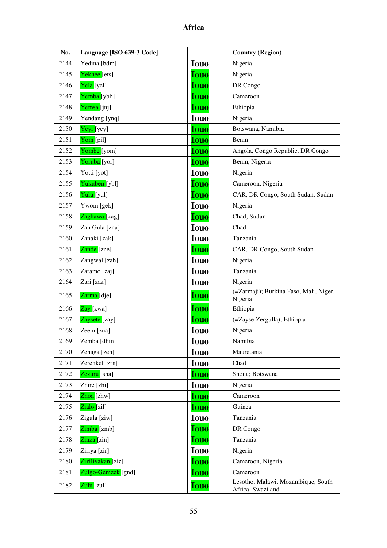| No.  | Language [ISO 639-3 Code] |             | <b>Country (Region)</b>                                 |
|------|---------------------------|-------------|---------------------------------------------------------|
| 2144 | Yedina [bdm]              | <b>Iouo</b> | Nigeria                                                 |
| 2145 | Yekhee <sup>[ets]</sup>   | <b>Iouo</b> | Nigeria                                                 |
| 2146 | Yela [yel]                | <b>Iouo</b> | DR Congo                                                |
| 2147 | Yemba [ybb]               | <b>Iouo</b> | Cameroon                                                |
| 2148 | Yemsa [jnj]               | <b>Iouo</b> | Ethiopia                                                |
| 2149 | Yendang [ynq]             | <b>Iouo</b> | Nigeria                                                 |
| 2150 | Yeyi [yey]                | <b>Iouo</b> | Botswana, Namibia                                       |
| 2151 | Yom [pil]                 | <b>Iouo</b> | Benin                                                   |
| 2152 | Yombe [yom]               | <b>Iouo</b> | Angola, Congo Republic, DR Congo                        |
| 2153 | Yoruba <sup>[yor]</sup>   | <b>Iouo</b> | Benin, Nigeria                                          |
| 2154 | Yotti [yot]               | <b>Iouo</b> | Nigeria                                                 |
| 2155 | Yukuben [ybl]             | <b>Iouo</b> | Cameroon, Nigeria                                       |
| 2156 | Yulu [yul]                | <b>Iouo</b> | CAR, DR Congo, South Sudan, Sudan                       |
| 2157 | Ywom [gek]                | <b>Iouo</b> | Nigeria                                                 |
| 2158 | Zaghawa [zag]             | <b>Iouo</b> | Chad, Sudan                                             |
| 2159 | Zan Gula [zna]            | <b>Iouo</b> | Chad                                                    |
| 2160 | Zanaki [zak]              | <b>Iouo</b> | Tanzania                                                |
| 2161 | Zande [zne]               | <b>Iouo</b> | CAR, DR Congo, South Sudan                              |
| 2162 | Zangwal [zah]             | <b>Iouo</b> | Nigeria                                                 |
| 2163 | Zaramo [zaj]              | <b>Iouo</b> | Tanzania                                                |
| 2164 | Zari [zaz]                | <b>Iouo</b> | Nigeria                                                 |
| 2165 | Zarma [dje]               | <b>Iouo</b> | (=Zarmaji); Burkina Faso, Mali, Niger,<br>Nigeria       |
| 2166 | Zay [zwa]                 | <b>Iouo</b> | Ethiopia                                                |
| 2167 | Zaysete [zay]             | <b>Iouo</b> | (=Zayse-Zergulla); Ethiopia                             |
| 2168 | Zeem [zua]                | <b>Iouo</b> | Nigeria                                                 |
| 2169 | Zemba [dhm]               | <b>Iouo</b> | Namibia                                                 |
| 2170 | Zenaga [zen]              | <b>Iouo</b> | Mauretania                                              |
| 2171 | Zerenkel [zrn]            | <b>Iouo</b> | Chad                                                    |
| 2172 | Zezuru <sup>[sna]</sup>   | <b>Iouo</b> | Shona; Botswana                                         |
| 2173 | Zhire [zhi]               | <b>Iouo</b> | Nigeria                                                 |
| 2174 | Zhoa <sup>[zhw]</sup>     | Iouo        | Cameroon                                                |
| 2175 | Zialo [zil]               | <b>Iouo</b> | Guinea                                                  |
| 2176 | Zigula [ziw]              | <b>Iouo</b> | Tanzania                                                |
| 2177 | $Zimba$ [zmb]             | <b>Iouo</b> | DR Congo                                                |
| 2178 | Zinza [zin]               | <b>Iouo</b> | Tanzania                                                |
| 2179 | Ziriya [zir]              | <b>Iouo</b> | Nigeria                                                 |
| 2180 | Zizilivakan [ziz]         | <b>Iouo</b> | Cameroon, Nigeria                                       |
| 2181 | Zulgo-Gemzek [gnd]        | <b>Iouo</b> | Cameroon                                                |
| 2182 | Zulu [zul]                | <b>Iouo</b> | Lesotho, Malawi, Mozambique, South<br>Africa, Swaziland |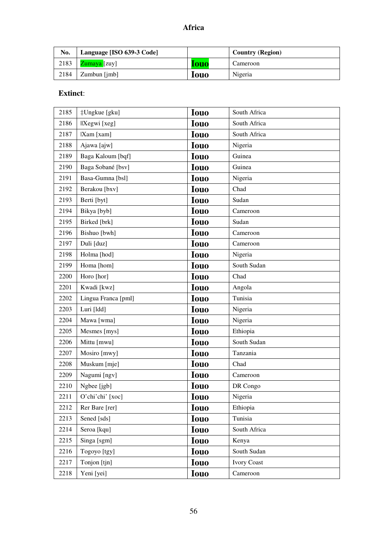| No.  | Language [ISO 639-3 Code] |             | <b>Country (Region)</b> |
|------|---------------------------|-------------|-------------------------|
| 2183 | Zumaya [zuy]              | <b>louo</b> | Cameroon                |
| 2184 | Zumbun [jmb]              | <b>louo</b> | Nigeria                 |

# **Extinct**:

| 2185 | ‡Ungkue [gku]       | <b>Iouo</b> | South Africa       |
|------|---------------------|-------------|--------------------|
| 2186 | IXegwi [xeg]        | <b>Iouo</b> | South Africa       |
| 2187 | [Xam [xam]          | <b>Iouo</b> | South Africa       |
| 2188 | Ajawa [ajw]         | <b>Iouo</b> | Nigeria            |
| 2189 | Baga Kaloum [bqf]   | <b>Iouo</b> | Guinea             |
| 2190 | Baga Sobané [bsv]   | <b>Iouo</b> | Guinea             |
| 2191 | Basa-Gumna [bsl]    | <b>Iouo</b> | Nigeria            |
| 2192 | Berakou [bxv]       | <b>Iouo</b> | Chad               |
| 2193 | Berti [byt]         | <b>Iouo</b> | Sudan              |
| 2194 | Bikya [byb]         | <b>Iouo</b> | Cameroon           |
| 2195 | Birked [brk]        | <b>Iouo</b> | Sudan              |
| 2196 | Bishuo [bwh]        | <b>Iouo</b> | Cameroon           |
| 2197 | Duli [duz]          | <b>Iouo</b> | Cameroon           |
| 2198 | Holma [hod]         | <b>Iouo</b> | Nigeria            |
| 2199 | Homa [hom]          | <b>Iouo</b> | South Sudan        |
| 2200 | Horo [hor]          | <b>Iouo</b> | Chad               |
| 2201 | Kwadi [kwz]         | <b>Iouo</b> | Angola             |
| 2202 | Lingua Franca [pml] | <b>Iouo</b> | Tunisia            |
| 2203 | Luri [ldd]          | <b>Iouo</b> | Nigeria            |
| 2204 | Mawa [wma]          | <b>Iouo</b> | Nigeria            |
| 2205 | Mesmes [mys]        | <b>Iouo</b> | Ethiopia           |
| 2206 | Mittu [mwu]         | <b>Iouo</b> | South Sudan        |
| 2207 | Mosiro [mwy]        | <b>Iouo</b> | Tanzania           |
| 2208 | Muskum [mje]        | <b>Iouo</b> | Chad               |
| 2209 | Nagumi [ngv]        | <b>Iouo</b> | Cameroon           |
| 2210 | Ngbee [jgb]         | <b>Iouo</b> | DR Congo           |
| 2211 | O'chi'chi' [xoc]    | Iouo        | Nigeria            |
| 2212 | Rer Bare [rer]      | <b>Iouo</b> | Ethiopia           |
| 2213 | Sened [sds]         | <b>Iouo</b> | Tunisia            |
| 2214 | Seroa [kqu]         | <b>Iouo</b> | South Africa       |
| 2215 | Singa [sgm]         | <b>Iouo</b> | Kenya              |
| 2216 | Togoyo [tgy]        | <b>Iouo</b> | South Sudan        |
| 2217 | Tonjon [tjn]        | <b>Iouo</b> | <b>Ivory Coast</b> |
| 2218 | Yeni [yei]          | <b>Iouo</b> | Cameroon           |